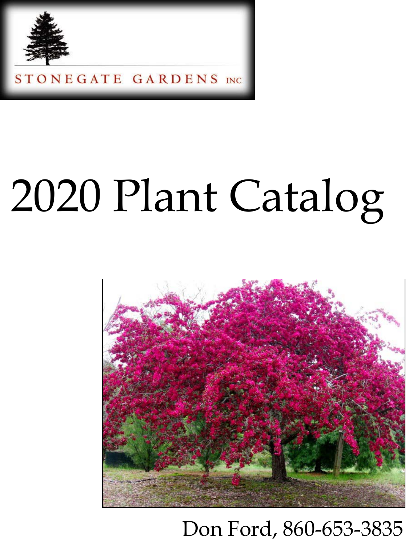

## 2020 Plant Catalog



## Don Ford, 860-653-3835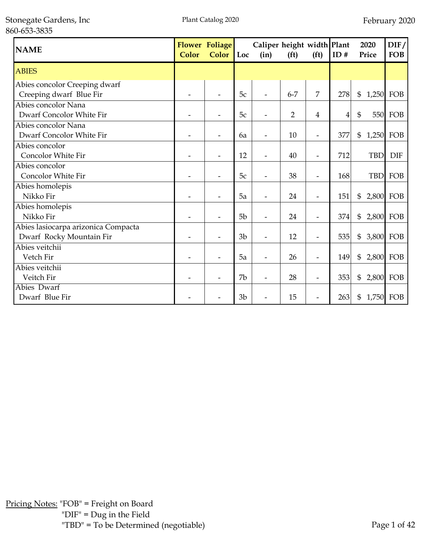| <b>NAME</b>                                                     | <b>Color</b>             | <b>Flower Foliage</b><br><b>Color</b> | Loc            | Caliper height width Plant<br>(in) | (f <sup>t</sup> ) | (f <sup>t</sup> )        | ID# | 2020<br>Price         | $\text{DIF}/$<br><b>FOB</b> |
|-----------------------------------------------------------------|--------------------------|---------------------------------------|----------------|------------------------------------|-------------------|--------------------------|-----|-----------------------|-----------------------------|
| <b>ABIES</b>                                                    |                          |                                       |                |                                    |                   |                          |     |                       |                             |
| Abies concolor Creeping dwarf<br>Creeping dwarf Blue Fir        |                          |                                       | 5c             |                                    | $6 - 7$           | 7                        | 278 | \$                    | 1,250 FOB                   |
| Abies concolor Nana<br>Dwarf Concolor White Fir                 |                          |                                       | 5c             |                                    | $\overline{2}$    | 4                        | 4   | $\mathfrak{S}$<br>550 | FOB                         |
| Abies concolor Nana<br>Dwarf Concolor White Fir                 | $\overline{\phantom{0}}$ |                                       | 6a             |                                    | 10                | $\overline{\phantom{a}}$ | 377 | \$<br>1,250           | FOB                         |
| Abies concolor<br>Concolor White Fir                            |                          |                                       | 12             |                                    | 40                |                          | 712 | <b>TBD</b>            | <b>DIF</b>                  |
| Abies concolor<br>Concolor White Fir                            |                          |                                       | 5c             |                                    | 38                | $\overline{\phantom{a}}$ | 168 | <b>TBD</b>            | FOB                         |
| Abies homolepis<br>Nikko Fir                                    |                          |                                       | 5a             |                                    | 24                | $\overline{\phantom{0}}$ | 151 | \$<br>2,800           | FOB                         |
| Abies homolepis<br>Nikko Fir                                    |                          |                                       | 5 <sub>b</sub> |                                    | 24                |                          | 374 | \$                    | 2,800 FOB                   |
| Abies lasiocarpa arizonica Compacta<br>Dwarf Rocky Mountain Fir |                          |                                       | 3 <sub>b</sub> |                                    | 12                | $\overline{\phantom{a}}$ | 535 | \$                    | 3,800 FOB                   |
| Abies veitchii<br>Vetch Fir                                     |                          |                                       | 5a             |                                    | 26                | $\overline{\phantom{0}}$ | 149 | \$                    | 2,800 FOB                   |
| Abies veitchii<br>Veitch Fir                                    |                          |                                       | 7b             |                                    | 28                | $\overline{\phantom{0}}$ | 353 | \$<br>2,800           | FOB                         |
| Abies Dwarf<br>Dwarf Blue Fir                                   |                          |                                       | 3 <sub>b</sub> |                                    | 15                | $\overline{\phantom{0}}$ | 263 | \$                    | 1,750 FOB                   |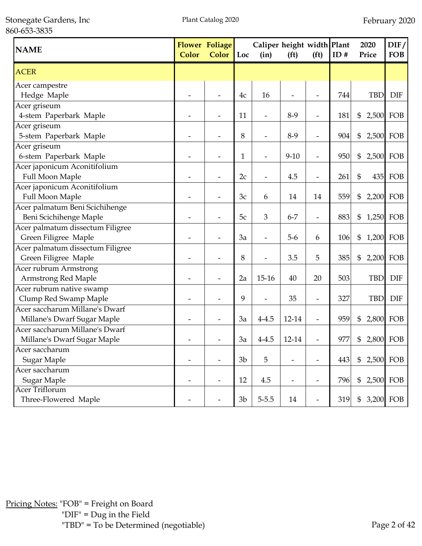Stonegate Gardens, Inc 860-653-3835

| <b>NAME</b>                      | <b>Color</b> | <b>Flower Foliage</b><br>Color | Loc            | Caliper height width Plant<br>(in) | (f <sup>t</sup> ) | (f <sup>t</sup> )        | ID# | 2020<br>Price               | DIF/<br><b>FOB</b> |
|----------------------------------|--------------|--------------------------------|----------------|------------------------------------|-------------------|--------------------------|-----|-----------------------------|--------------------|
| <b>ACER</b>                      |              |                                |                |                                    |                   |                          |     |                             |                    |
| Acer campestre                   |              |                                |                |                                    |                   |                          |     |                             |                    |
| Hedge Maple                      |              |                                | 4c             | 16                                 |                   | $\overline{a}$           | 744 | <b>TBD</b>                  | <b>DIF</b>         |
| Acer griseum                     |              |                                |                |                                    |                   |                          |     |                             |                    |
| 4-stem Paperbark Maple           |              |                                | 11             |                                    | $8-9$             | $\overline{a}$           | 181 | \$                          | 2,500 FOB          |
| Acer griseum                     |              |                                |                |                                    |                   |                          |     |                             |                    |
| 5-stem Paperbark Maple           |              |                                | 8              | $\overline{a}$                     | $8-9$             | $\overline{\phantom{a}}$ | 904 | \$<br>2,500                 | FOB                |
| Acer griseum                     |              |                                |                |                                    |                   |                          |     |                             |                    |
| 6-stem Paperbark Maple           |              |                                | 1              |                                    | $9 - 10$          | $\overline{\phantom{0}}$ | 950 | \$                          | 2,500 FOB          |
| Acer japonicum Aconitifolium     |              |                                |                |                                    |                   |                          |     |                             |                    |
| Full Moon Maple                  |              |                                | 2c             | $\overline{\phantom{a}}$           | 4.5               | $\overline{\phantom{a}}$ | 261 | \$                          | 435 FOB            |
| Acer japonicum Aconitifolium     |              |                                |                |                                    |                   |                          |     |                             |                    |
| Full Moon Maple                  |              |                                | 3c             | 6                                  | 14                | 14                       | 559 | \$                          | 2,200 FOB          |
| Acer palmatum Beni Scichihenge   |              |                                |                |                                    |                   |                          |     |                             |                    |
| Beni Scichihenge Maple           |              |                                | 5c             | 3                                  | $6 - 7$           | $\overline{\phantom{m}}$ | 883 | \$                          | 1,250 FOB          |
| Acer palmatum dissectum Filigree |              |                                |                |                                    |                   |                          |     |                             |                    |
| Green Filigree Maple             |              |                                | 3a             |                                    | $5-6$             | 6                        | 106 | 1,200 FOB<br>\$             |                    |
| Acer palmatum dissectum Filigree |              |                                |                |                                    |                   |                          |     |                             |                    |
| Green Filigree Maple             |              |                                | 8              |                                    | 3.5               | 5                        | 385 | \$                          | 2,200 FOB          |
| Acer rubrum Armstrong            |              |                                |                |                                    |                   |                          |     |                             |                    |
| Armstrong Red Maple              |              |                                | 2a             | $15 - 16$                          | 40                | 20                       | 503 | <b>TBD</b>                  | <b>DIF</b>         |
| Acer rubrum native swamp         |              |                                |                |                                    |                   |                          |     |                             |                    |
| Clump Red Swamp Maple            |              |                                | 9              |                                    | 35                |                          | 327 | <b>TBD</b>                  | <b>DIF</b>         |
| Acer saccharum Millane's Dwarf   |              |                                |                |                                    |                   |                          |     |                             |                    |
| Millane's Dwarf Sugar Maple      |              |                                | 3a             | $4 - 4.5$                          | 12-14             |                          | 959 | \$                          | 2,800 FOB          |
| Acer saccharum Millane's Dwarf   |              |                                |                |                                    |                   |                          |     |                             |                    |
| Millane's Dwarf Sugar Maple      |              |                                | 3a             | $4 - 4.5$                          | 12-14             |                          | 977 | \$                          | 2,800 FOB          |
| Acer saccharum                   |              |                                |                |                                    |                   |                          |     |                             |                    |
| Sugar Maple                      |              |                                | 3 <sub>b</sub> | 5                                  |                   | $\overline{\phantom{a}}$ | 443 | 2,500 FOB<br>$\mathfrak{S}$ |                    |
| Acer saccharum                   |              |                                |                |                                    |                   |                          |     |                             |                    |
| Sugar Maple                      |              |                                | 12             | 4.5                                |                   | $\overline{\phantom{a}}$ | 796 | \$                          | 2,500 FOB          |
| <b>Acer Triflorum</b>            |              |                                |                |                                    |                   |                          |     |                             |                    |
| Three-Flowered Maple             |              |                                | 3 <sub>b</sub> | $5 - 5.5$                          | 14                |                          | 319 | \$                          | 3,200 FOB          |

Pricing Notes: "FOB" = Freight on Board "DIF" = Dug in the Field "TBD" = To be Determined (negotiable) Page 2 of 42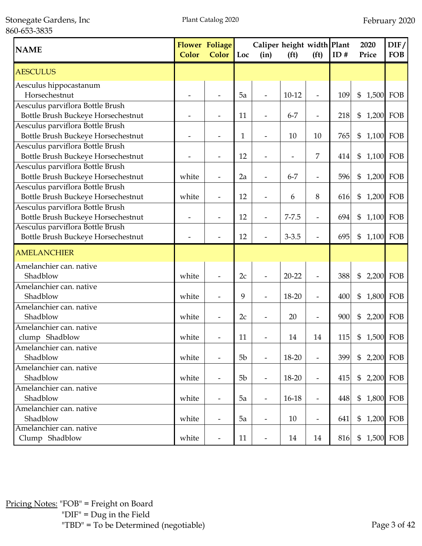Stonegate Gardens, Inc 860-653-3835

| <b>NAME</b>                                                                                                | <b>Color</b> | <b>Flower Foliage</b><br><b>Color</b> | Loc | Caliper height width Plant<br>(in) | (f <sup>t</sup> ) | (f <sup>t</sup> )        | ID# | 2020<br>Price                       | DIF/<br><b>FOB</b> |
|------------------------------------------------------------------------------------------------------------|--------------|---------------------------------------|-----|------------------------------------|-------------------|--------------------------|-----|-------------------------------------|--------------------|
| <b>AESCULUS</b>                                                                                            |              |                                       |     |                                    |                   |                          |     |                                     |                    |
| Aesculus hippocastanum<br>Horsechestnut                                                                    |              |                                       | 5a  |                                    | $10 - 12$         |                          | 109 | $\boldsymbol{\mathsf{\$}}$<br>1,500 | FOB                |
| Aesculus parviflora Bottle Brush<br>Bottle Brush Buckeye Horsechestnut                                     |              |                                       | 11  |                                    | $6 - 7$           | $\overline{a}$           | 218 | 1,200 FOB<br>$\frac{6}{5}$          |                    |
| Aesculus parviflora Bottle Brush<br>Bottle Brush Buckeye Horsechestnut                                     |              |                                       | 1   |                                    | 10                | 10                       | 765 | $\mathfrak{S}$<br>1,100             | FOB                |
| Aesculus parviflora Bottle Brush<br>Bottle Brush Buckeye Horsechestnut                                     |              |                                       | 12  |                                    |                   | 7                        | 414 | 1,100 FOB<br>$\frac{6}{5}$          |                    |
| Aesculus parviflora Bottle Brush<br>Bottle Brush Buckeye Horsechestnut<br>Aesculus parviflora Bottle Brush | white        | $\overline{\phantom{a}}$              | 2a  | $\overline{\phantom{a}}$           | $6 - 7$           | $\overline{\phantom{a}}$ | 596 | \$<br>1,200                         | FOB                |
| Bottle Brush Buckeye Horsechestnut<br>Aesculus parviflora Bottle Brush                                     | white        |                                       | 12  |                                    | 6                 | 8                        | 616 | \$<br>1,200 FOB                     |                    |
| Bottle Brush Buckeye Horsechestnut<br>Aesculus parviflora Bottle Brush                                     |              |                                       | 12  | $\overline{\phantom{a}}$           | $7 - 7.5$         | $\overline{\phantom{a}}$ | 694 | \$<br>1,100                         | FOB                |
| Bottle Brush Buckeye Horsechestnut                                                                         |              |                                       | 12  |                                    | $3 - 3.5$         | $\overline{a}$           | 695 | 1,100 FOB<br>$\mathfrak{S}$         |                    |
| <b>AMELANCHIER</b>                                                                                         |              |                                       |     |                                    |                   |                          |     |                                     |                    |
| Amelanchier can. native<br>Shadblow<br>Amelanchier can. native                                             | white        |                                       | 2c  |                                    | $20 - 22$         | $\overline{a}$           | 388 | $\mathfrak{S}$<br>2,200             | FOB                |
| Shadblow                                                                                                   | white        |                                       | 9   |                                    | 18-20             | $\overline{\phantom{m}}$ | 400 | \$<br>1,800 FOB                     |                    |
| Amelanchier can. native<br>Shadblow                                                                        | white        | $\overline{\phantom{a}}$              | 2c  | $\overline{\phantom{a}}$           | 20                | $\overline{\phantom{a}}$ | 900 | \$<br>2,200                         | FOB                |
| Amelanchier can. native<br>clump Shadblow                                                                  | white        |                                       | 11  |                                    | 14                | 14                       | 115 | \$<br>1,500 FOB                     |                    |
| Amelanchier can. native<br>Shadblow                                                                        | white        | $\overline{\phantom{a}}$              | 5b  | $\overline{\phantom{a}}$           | 18-20             | $\overline{a}$           | 399 | $\mathbb{S}$<br>2,200 FOB           |                    |
| Amelanchier can. native<br>Shadblow                                                                        | white        |                                       | 5b  | $\overline{\phantom{a}}$           | $18 - 20$         | $\overline{\phantom{a}}$ | 415 | $\$\$<br>2,200 FOB                  |                    |
| Amelanchier can. native<br>Shadblow                                                                        | white        |                                       | 5a  | $\overline{\phantom{a}}$           | $16-18$           | $\overline{\phantom{0}}$ | 448 | $\mathfrak{S}$<br>1,800 FOB         |                    |
| Amelanchier can. native<br>Shadblow                                                                        | white        |                                       | 5a  | $\overline{\phantom{a}}$           | 10                | $\overline{\phantom{a}}$ | 641 | $\mathfrak{S}$<br>1,200 FOB         |                    |
| Amelanchier can. native<br>Clump Shadblow                                                                  | white        | $\overline{\phantom{a}}$              | 11  | $\overline{\phantom{a}}$           | 14                | 14                       | 816 | $\mathfrak{S}$<br>1,500 FOB         |                    |

Pricing Notes: "FOB" = Freight on Board "DIF" = Dug in the Field "TBD" = To be Determined (negotiable) Page 3 of 42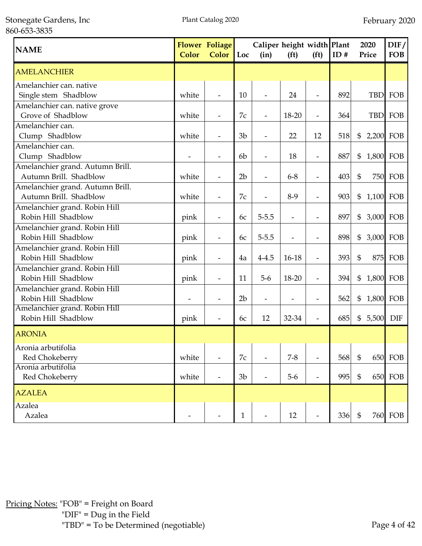Stonegate Gardens, Inc 860-653-3835

| <b>NAME</b>                                                | <b>Color</b> | <b>Flower Foliage</b><br>Color | Loc            | Caliper height width Plant<br>(in) | (f <sup>t</sup> ) | (f <sup>t</sup> )        | ID# |                | 2020<br>Price | DIF/<br><b>FOB</b> |
|------------------------------------------------------------|--------------|--------------------------------|----------------|------------------------------------|-------------------|--------------------------|-----|----------------|---------------|--------------------|
| <b>AMELANCHIER</b>                                         |              |                                |                |                                    |                   |                          |     |                |               |                    |
| Amelanchier can. native<br>Single stem Shadblow            | white        |                                | 10             |                                    | 24                |                          | 892 |                | <b>TBD</b>    | FOB                |
| Amelanchier can. native grove<br>Grove of Shadblow         | white        |                                | 7c             |                                    | 18-20             | $\overline{a}$           | 364 |                |               | TBD FOB            |
| Amelanchier can.<br>Clump Shadblow                         | white        | $\overline{\phantom{a}}$       | 3 <sub>b</sub> | $\overline{\phantom{a}}$           | 22                | 12                       | 518 | \$             | 2,200 FOB     |                    |
| Amelanchier can.<br>Clump Shadblow                         |              | $\overline{\phantom{a}}$       | 6 <sub>b</sub> |                                    | 18                | $\overline{\phantom{a}}$ | 887 | \$             | 1,800 FOB     |                    |
| Amelanchier grand. Autumn Brill.<br>Autumn Brill. Shadblow | white        | $\overline{\phantom{a}}$       | 2 <sub>b</sub> | $\overline{\phantom{a}}$           | $6 - 8$           | $\overline{\phantom{a}}$ | 403 | $\mathfrak{S}$ |               | <b>750 FOB</b>     |
| Amelanchier grand. Autumn Brill.<br>Autumn Brill. Shadblow | white        | $\overline{\phantom{a}}$       | 7c             |                                    | $8-9$             | $\overline{\phantom{a}}$ | 903 | \$             | 1,100 FOB     |                    |
| Amelanchier grand. Robin Hill<br>Robin Hill Shadblow       | pink         |                                | 6c             | $5 - 5.5$                          |                   | $\overline{\phantom{0}}$ | 897 | \$             | 3,000 FOB     |                    |
| Amelanchier grand. Robin Hill<br>Robin Hill Shadblow       | pink         |                                | 6c             | $5 - 5.5$                          |                   | $\overline{\phantom{0}}$ | 898 | \$             | 3,000 FOB     |                    |
| Amelanchier grand. Robin Hill<br>Robin Hill Shadblow       | pink         |                                | 4a             | $4 - 4.5$                          | 16-18             |                          | 393 | $\mathfrak{S}$ |               | 875 FOB            |
| Amelanchier grand. Robin Hill<br>Robin Hill Shadblow       | pink         |                                | 11             | $5-6$                              | 18-20             |                          | 394 | \$             |               | 1,800 FOB          |
| Amelanchier grand. Robin Hill<br>Robin Hill Shadblow       |              |                                | 2 <sub>b</sub> |                                    |                   |                          | 562 | \$             |               | 1,800 FOB          |
| Amelanchier grand. Robin Hill<br>Robin Hill Shadblow       | pink         |                                | 6c             | 12                                 | 32-34             | L,                       | 685 | \$             | 5,500         | DIF                |
| <b>ARONIA</b>                                              |              |                                |                |                                    |                   |                          |     |                |               |                    |
| Aronia arbutifolia<br>Red Chokeberry                       | white        | $\overline{\phantom{a}}$       | 7c             |                                    | $7 - 8$           | $\overline{\phantom{0}}$ | 568 | $\mathfrak{S}$ |               | <b>650 FOB</b>     |
| Aronia arbutifolia<br>Red Chokeberry                       | white        |                                | 3 <sub>b</sub> | $\overline{\phantom{a}}$           | $5-6$             | $\overline{\phantom{a}}$ | 995 | \$             |               | 650 FOB            |
| <b>AZALEA</b>                                              |              |                                |                |                                    |                   |                          |     |                |               |                    |
| <b>Azalea</b><br>Azalea                                    |              |                                | $\mathbf{1}$   |                                    | 12                |                          | 336 | $\mathbb{S}$   |               | 760 FOB            |

Pricing Notes: "FOB" = Freight on Board "DIF" = Dug in the Field "TBD" = To be Determined (negotiable) Page 4 of 42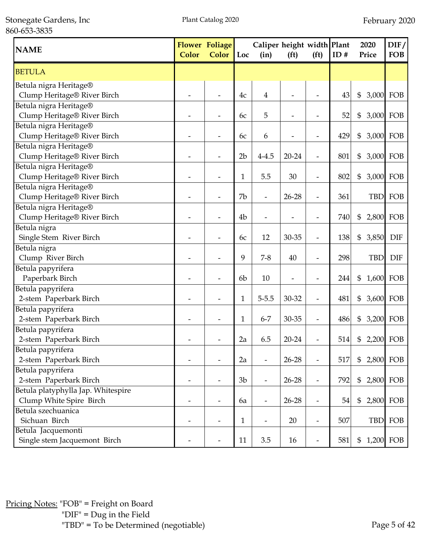Stonegate Gardens, Inc 860-653-3835

| <b>NAME</b>                                                   | <b>Color</b> | <b>Flower Foliage</b><br><b>Color</b> | Loc            | Caliper height width Plant<br>(in) | (f <sup>t</sup> )        | (f <sup>t</sup> )        | ID# | 2020<br>Price | DIF/<br><b>FOB</b> |
|---------------------------------------------------------------|--------------|---------------------------------------|----------------|------------------------------------|--------------------------|--------------------------|-----|---------------|--------------------|
| <b>BETULA</b>                                                 |              |                                       |                |                                    |                          |                          |     |               |                    |
| Betula nigra Heritage®<br>Clump Heritage® River Birch         |              |                                       | 4c             | 4                                  |                          |                          | 43  | \$            | 3,000 FOB          |
| Betula nigra Heritage®<br>Clump Heritage® River Birch         |              |                                       | 6c             | 5                                  |                          |                          | 52  | \$            | 3,000 FOB          |
| Betula nigra Heritage®<br>Clump Heritage® River Birch         |              |                                       | 6c             | 6                                  |                          |                          | 429 | \$            | 3,000 FOB          |
| Betula nigra Heritage®<br>Clump Heritage® River Birch         |              |                                       | 2 <sub>b</sub> | $4 - 4.5$                          | 20-24                    |                          | 801 | \$            | 3,000 FOB          |
| Betula nigra Heritage®<br>Clump Heritage® River Birch         |              |                                       | 1              | 5.5                                | 30                       | $\overline{\phantom{a}}$ | 802 | \$<br>3,000   | FOB                |
| Betula nigra Heritage®<br>Clump Heritage® River Birch         |              |                                       | 7b             | $\overline{\phantom{a}}$           | 26-28                    | $\overline{\phantom{a}}$ | 361 |               | TBD FOB            |
| Betula nigra Heritage®<br>Clump Heritage® River Birch         |              |                                       | 4 <sub>b</sub> | $\overline{\phantom{0}}$           |                          | $\overline{\phantom{a}}$ | 740 | \$<br>2,800   | FOB                |
| Betula nigra<br>Single Stem River Birch                       |              |                                       | 6c             | 12                                 | 30-35                    | $\overline{\phantom{a}}$ | 138 | \$<br>3,850   | <b>DIF</b>         |
| Betula nigra<br>Clump River Birch                             |              |                                       | 9              | $7 - 8$                            | 40                       | $\overline{\phantom{a}}$ | 298 | <b>TBD</b>    | <b>DIF</b>         |
| Betula papyrifera<br>Paperbark Birch                          |              |                                       | 6 <sub>b</sub> | 10                                 | $\overline{\phantom{a}}$ | ۰                        | 244 | \$            | 1,600 FOB          |
| Betula papyrifera<br>2-stem Paperbark Birch                   |              |                                       | 1              | $5 - 5.5$                          | 30-32                    | $\overline{\phantom{a}}$ | 481 | \$            | 3,600 FOB          |
| Betula papyrifera<br>2-stem Paperbark Birch                   |              |                                       | 1              | $6 - 7$                            | 30-35                    |                          | 486 | \$            | 3,200 FOB          |
| Betula papyrifera<br>2-stem Paperbark Birch                   |              |                                       | 2a             | 6.5                                | $20 - 24$                |                          | 514 | \$            | 2,200 FOB          |
| Betula papyrifera<br>2-stem Paperbark Birch                   |              |                                       | 2a             |                                    | 26-28                    |                          | 517 | \$            | 2,800 FOB          |
| Betula papyrifera<br>2-stem Paperbark Birch                   |              |                                       | 3 <sub>b</sub> |                                    | 26-28                    |                          | 792 | \$            | 2,800 FOB          |
| Betula platyphylla Jap. Whitespire<br>Clump White Spire Birch |              |                                       | 6a             | $\overline{\phantom{a}}$           | $26 - 28$                | $\overline{\phantom{m}}$ | 54  | \$            | 2,800 FOB          |
| Betula szechuanica<br>Sichuan Birch                           | -            |                                       | $\mathbf{1}$   | $\overline{a}$                     | 20                       | $\overline{\phantom{m}}$ | 507 | <b>TBD</b>    | FOB                |
| Betula Jacquemonti<br>Single stem Jacquemont Birch            |              |                                       | 11             | 3.5                                | 16                       |                          | 581 | \$            | 1,200 FOB          |

Pricing Notes: "FOB" = Freight on Board "DIF" = Dug in the Field "TBD" = To be Determined (negotiable) Page 5 of 42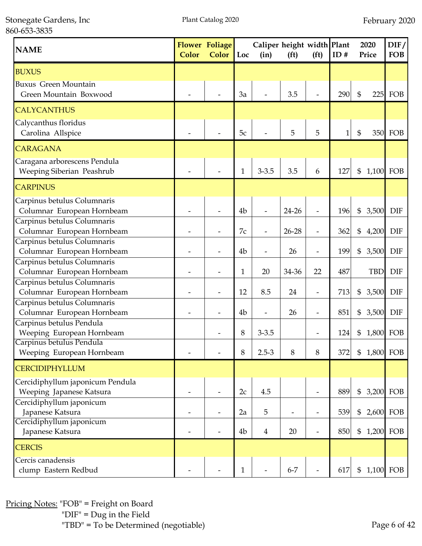Stonegate Gardens, Inc 860-653-3835

| <b>NAME</b>                      | <b>Color</b> | <b>Flower Foliage</b><br><b>Color</b> | Loc            | Caliper height width Plant<br>(in) | (f <sup>t</sup> ) | (f <sup>t</sup> )        | ID#          | 2020<br>Price             |            | DIF/<br><b>FOB</b> |
|----------------------------------|--------------|---------------------------------------|----------------|------------------------------------|-------------------|--------------------------|--------------|---------------------------|------------|--------------------|
| <b>BUXUS</b>                     |              |                                       |                |                                    |                   |                          |              |                           |            |                    |
| <b>Buxus Green Mountain</b>      |              |                                       |                |                                    |                   |                          |              |                           |            |                    |
| Green Mountain Boxwood           |              |                                       | 3a             |                                    | 3.5               |                          | 290          | $\mathfrak{S}$            | 225        | FOB                |
| <b>CALYCANTHUS</b>               |              |                                       |                |                                    |                   |                          |              |                           |            |                    |
| Calycanthus floridus             |              |                                       |                |                                    |                   |                          |              |                           |            |                    |
| Carolina Allspice                |              |                                       | 5c             |                                    | 5                 | 5                        | $\mathbf{1}$ | $\mathfrak{S}$            |            | 350 FOB            |
| <b>CARAGANA</b>                  |              |                                       |                |                                    |                   |                          |              |                           |            |                    |
| Caragana arborescens Pendula     |              |                                       |                |                                    |                   |                          |              |                           |            |                    |
| Weeping Siberian Peashrub        |              |                                       | $\mathbf{1}$   | $3 - 3.5$                          | 3.5               | 6                        | 127          | \$                        |            | 1,100 FOB          |
| <b>CARPINUS</b>                  |              |                                       |                |                                    |                   |                          |              |                           |            |                    |
| Carpinus betulus Columnaris      |              |                                       |                |                                    |                   |                          |              |                           |            |                    |
| Columnar European Hornbeam       |              |                                       | 4 <sub>b</sub> |                                    | 24-26             | $\overline{\phantom{m}}$ | 196          | \$                        | 3,500      | <b>DIF</b>         |
| Carpinus betulus Columnaris      |              |                                       |                |                                    |                   |                          |              |                           |            |                    |
| Columnar European Hornbeam       |              |                                       | 7c             |                                    | 26-28             | $\overline{\phantom{a}}$ | 362          | \$                        | 4,200      | <b>DIF</b>         |
| Carpinus betulus Columnaris      |              |                                       |                |                                    |                   |                          |              |                           |            |                    |
| Columnar European Hornbeam       |              |                                       | 4 <sub>b</sub> |                                    | 26                | $\overline{\phantom{m}}$ | 199          | \$                        | 3,500      | <b>DIF</b>         |
| Carpinus betulus Columnaris      |              |                                       |                |                                    |                   |                          |              |                           |            |                    |
| Columnar European Hornbeam       |              |                                       | 1              | 20                                 | 34-36             | 22                       | 487          |                           | <b>TBD</b> | <b>DIF</b>         |
| Carpinus betulus Columnaris      |              |                                       |                |                                    |                   |                          |              |                           |            |                    |
| Columnar European Hornbeam       |              |                                       | 12             | 8.5                                | 24                | $\overline{\phantom{a}}$ | 713          | \$                        | 3,500      | <b>DIF</b>         |
| Carpinus betulus Columnaris      |              |                                       |                |                                    |                   |                          |              |                           |            |                    |
| Columnar European Hornbeam       |              |                                       | 4 <sub>b</sub> |                                    | 26                |                          | 851          | \$                        | 3,500      | <b>DIF</b>         |
| Carpinus betulus Pendula         |              |                                       |                |                                    |                   |                          |              |                           |            |                    |
| Weeping European Hornbeam        |              |                                       | 8              | $3 - 3.5$                          |                   |                          | 124          | \$                        | 1,800      | FOB                |
| Carpinus betulus Pendula         |              |                                       |                |                                    |                   |                          |              |                           |            |                    |
| Weeping European Hornbeam        |              |                                       | 8              | $2.5 - 3$                          | 8                 | 8                        | 372          | \$                        |            | 1,800 FOB          |
| <b>CERCIDIPHYLLUM</b>            |              |                                       |                |                                    |                   |                          |              |                           |            |                    |
| Cercidiphyllum japonicum Pendula |              |                                       |                |                                    |                   |                          |              |                           |            |                    |
| Weeping Japanese Katsura         |              |                                       | 2c             | 4.5                                |                   | $\overline{\phantom{a}}$ | 889          | \$                        |            | 3,200 FOB          |
| Cercidiphyllum japonicum         |              |                                       |                |                                    |                   |                          |              |                           |            |                    |
| Japanese Katsura                 |              |                                       | 2a             | 5                                  |                   | $\overline{\phantom{a}}$ | 539          | \$                        |            | 2,600 FOB          |
| Cercidiphyllum japonicum         |              |                                       |                |                                    |                   |                          |              |                           |            |                    |
| Japanese Katsura                 |              |                                       | 4b             | 4                                  | 20                | $\overline{\phantom{0}}$ | 850          | \$                        |            | 1,200 FOB          |
| <b>CERCIS</b>                    |              |                                       |                |                                    |                   |                          |              |                           |            |                    |
| Cercis canadensis                |              |                                       |                |                                    |                   |                          |              |                           |            |                    |
| clump Eastern Redbud             |              |                                       | $\mathbf{1}$   |                                    | $6 - 7$           |                          | 617          | $\boldsymbol{\mathsf{S}}$ |            | 1,100 FOB          |

Pricing Notes: "FOB" = Freight on Board "DIF" = Dug in the Field "TBD" = To be Determined (negotiable) Page 6 of 42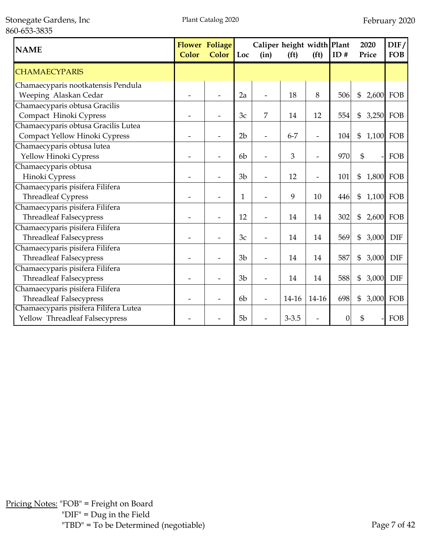Stonegate Gardens, Inc 860-653-3835

| <b>NAME</b>                                                             | <b>Color</b> | <b>Flower Foliage</b><br><b>Color</b> | Loc            | Caliper height width Plant<br>(in) | (f <sup>t</sup> ) | (f <sup>t</sup> )        | ID#              | 2020<br>Price   | $\text{DIF}/$<br><b>FOB</b> |
|-------------------------------------------------------------------------|--------------|---------------------------------------|----------------|------------------------------------|-------------------|--------------------------|------------------|-----------------|-----------------------------|
| <b>CHAMAECYPARIS</b>                                                    |              |                                       |                |                                    |                   |                          |                  |                 |                             |
| Chamaecyparis nootkatensis Pendula<br>Weeping Alaskan Cedar             |              |                                       | 2a             |                                    | 18                | 8                        | 506              | \$<br>2,600     | FOB                         |
| Chamaecyparis obtusa Gracilis<br>Compact Hinoki Cypress                 |              |                                       | 3c             | 7                                  | 14                | 12                       | 554              | \$<br>3,250 FOB |                             |
| Chamaecyparis obtusa Gracilis Lutea<br>Compact Yellow Hinoki Cypress    |              |                                       | 2 <sub>b</sub> |                                    | $6 - 7$           | $\overline{a}$           | 104              | \$<br>1,100     | FOB                         |
| Chamaecyparis obtusa lutea<br>Yellow Hinoki Cypress                     |              |                                       | 6 <sub>b</sub> |                                    | 3                 | $\overline{\phantom{a}}$ | 970              | \$              | FOB                         |
| Chamaecyparis obtusa<br>Hinoki Cypress                                  |              |                                       | 3 <sub>b</sub> |                                    | 12                | $\overline{a}$           | 101              | \$<br>1,800     | FOB                         |
| Chamaecyparis pisifera Filifera<br><b>Threadleaf Cypress</b>            |              |                                       | $\mathbf{1}$   |                                    | 9                 | 10                       | 446              | 1,100 FOB<br>\$ |                             |
| Chamaecyparis pisifera Filifera<br><b>Threadleaf Falsecypress</b>       |              |                                       | 12             |                                    | 14                | 14                       | 302              | \$              | 2,600 FOB                   |
| Chamaecyparis pisifera Filifera<br><b>Threadleaf Falsecypress</b>       |              |                                       | 3c             |                                    | 14                | 14                       | 569              | \$<br>3,000     | <b>DIF</b>                  |
| Chamaecyparis pisifera Filifera<br><b>Threadleaf Falsecypress</b>       |              |                                       | 3 <sub>b</sub> |                                    | 14                | 14                       | 587              | \$<br>3,000     | <b>DIF</b>                  |
| Chamaecyparis pisifera Filifera<br><b>Threadleaf Falsecypress</b>       |              |                                       | 3 <sub>b</sub> |                                    | 14                | 14                       | 588              | \$<br>3,000     | <b>DIF</b>                  |
| Chamaecyparis pisifera Filifera<br><b>Threadleaf Falsecypress</b>       |              |                                       | 6 <sub>b</sub> |                                    | 14-16             | $14-16$                  | 698              | \$<br>3,000     | FOB                         |
| Chamaecyparis pisifera Filifera Lutea<br>Yellow Threadleaf Falsecypress |              |                                       | 5 <sub>b</sub> |                                    | $3 - 3.5$         |                          | $\boldsymbol{0}$ | \$              | FOB                         |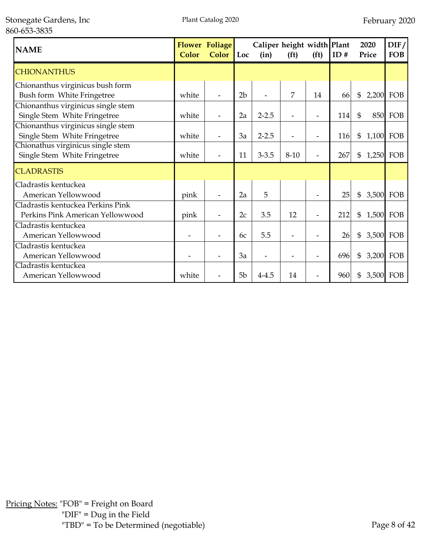| <b>NAME</b>                        | Color | <b>Flower Foliage</b><br><b>Color</b> | Loc            | Caliper height width Plant<br>(in) | (f <sup>t</sup> ) | (f <sup>t</sup> )        | ID# | 2020<br>Price  | DIF/<br><b>FOB</b> |
|------------------------------------|-------|---------------------------------------|----------------|------------------------------------|-------------------|--------------------------|-----|----------------|--------------------|
| <b>CHIONANTHUS</b>                 |       |                                       |                |                                    |                   |                          |     |                |                    |
| Chionanthus virginicus bush form   |       |                                       |                |                                    |                   |                          |     |                |                    |
| Bush form White Fringetree         | white |                                       | 2 <sub>b</sub> |                                    | 7                 | 14                       | 66  | $\mathfrak{S}$ | 2,200 FOB          |
| Chionanthus virginicus single stem |       |                                       |                |                                    |                   |                          |     |                |                    |
| Single Stem White Fringetree       | white |                                       | 2a             | $2 - 2.5$                          |                   | $\overline{\phantom{0}}$ | 114 | $\mathfrak{S}$ | <b>850 FOB</b>     |
| Chionanthus virginicus single stem |       |                                       |                |                                    |                   |                          |     |                |                    |
| Single Stem White Fringetree       | white |                                       | 3a             | $2 - 2.5$                          |                   |                          | 116 | \$             | 1,100 FOB          |
| Chionathus virginicus single stem  |       |                                       |                |                                    |                   |                          |     |                |                    |
| Single Stem White Fringetree       | white | $\qquad \qquad \blacksquare$          | 11             | $3 - 3.5$                          | $8 - 10$          | $\overline{a}$           | 267 | \$             | 1,250 FOB          |
| <b>CLADRASTIS</b>                  |       |                                       |                |                                    |                   |                          |     |                |                    |
| Cladrastis kentuckea               |       |                                       |                |                                    |                   |                          |     |                |                    |
| American Yellowwood                | pink  |                                       | 2a             | 5                                  |                   | $\overline{\phantom{0}}$ | 25  | $\mathfrak{S}$ | 3,500 FOB          |
| Cladrastis kentuckea Perkins Pink  |       |                                       |                |                                    |                   |                          |     |                |                    |
| Perkins Pink American Yellowwood   | pink  | $\overline{\phantom{0}}$              | 2c             | 3.5                                | 12                | $\overline{a}$           | 212 | \$             | 1,500 FOB          |
| Cladrastis kentuckea               |       |                                       |                |                                    |                   |                          |     |                |                    |
| American Yellowwood                |       |                                       | 6c             | 5.5                                |                   |                          | 26  | \$             | 3,500 FOB          |
| Cladrastis kentuckea               |       |                                       |                |                                    |                   |                          |     |                |                    |
| American Yellowwood                |       |                                       | 3a             |                                    |                   |                          | 696 | \$             | 3,200 FOB          |
| Cladrastis kentuckea               |       |                                       |                |                                    |                   |                          |     |                |                    |
| American Yellowwood                | white |                                       | 5 <sub>b</sub> | $4 - 4.5$                          | 14                | $\overline{\phantom{0}}$ | 960 | \$             | 3,500 FOB          |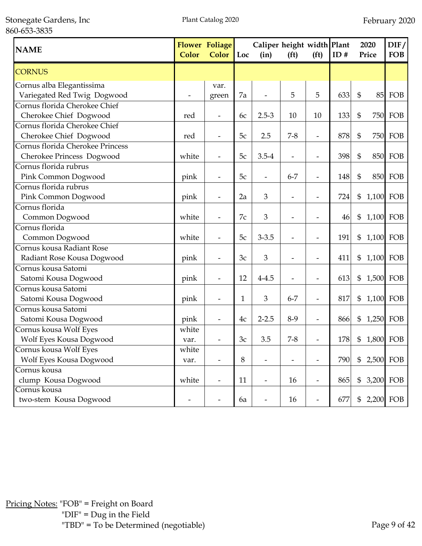Stonegate Gardens, Inc 860-653-3835

| <b>NAME</b>                      | <b>Color</b> | <b>Flower Foliage</b><br><b>Color</b> | Loc          | Caliper height width Plant<br>(in) | (f <sup>t</sup> )        | (f <sup>t</sup> )        | ID# |                | 2020<br>Price | DIF/<br><b>FOB</b> |
|----------------------------------|--------------|---------------------------------------|--------------|------------------------------------|--------------------------|--------------------------|-----|----------------|---------------|--------------------|
| <b>CORNUS</b>                    |              |                                       |              |                                    |                          |                          |     |                |               |                    |
| Cornus alba Elegantissima        |              | var.                                  |              |                                    |                          |                          |     |                |               |                    |
| Variegated Red Twig Dogwood      |              | green                                 | 7a           |                                    | 5                        | 5                        | 633 | $\mathfrak{S}$ |               | 85 FOB             |
| Cornus florida Cherokee Chief    |              |                                       |              |                                    |                          |                          |     |                |               |                    |
| Cherokee Chief Dogwood           | red          |                                       | 6c           | $2.5 - 3$                          | 10                       | 10                       | 133 | \$             |               | 750 FOB            |
| Cornus florida Cherokee Chief    |              |                                       |              |                                    |                          |                          |     |                |               |                    |
| Cherokee Chief Dogwood           | red          |                                       | 5c           | 2.5                                | $7 - 8$                  | $\overline{\phantom{a}}$ | 878 | $\mathfrak{S}$ |               | <b>750 FOB</b>     |
| Cornus florida Cherokee Princess |              |                                       |              |                                    |                          |                          |     |                |               |                    |
| Cherokee Princess Dogwood        | white        |                                       | 5c           | $3.5 - 4$                          |                          | $\overline{\phantom{a}}$ | 398 | \$             |               | <b>850 FOB</b>     |
| Cornus florida rubrus            |              |                                       |              |                                    |                          |                          |     |                |               |                    |
| Pink Common Dogwood              | pink         | $\overline{\phantom{a}}$              | 5c           | $\overline{\phantom{a}}$           | $6 - 7$                  | $\overline{\phantom{a}}$ | 148 | \$             |               | <b>850 FOB</b>     |
| Cornus florida rubrus            |              |                                       |              |                                    |                          |                          |     |                |               |                    |
| Pink Common Dogwood              | pink         | $\overline{\phantom{a}}$              | 2a           | 3                                  | $\overline{\phantom{a}}$ | $\overline{\phantom{0}}$ | 724 | \$             | 1,100 FOB     |                    |
| Cornus florida                   |              |                                       |              |                                    |                          |                          |     |                |               |                    |
| Common Dogwood                   | white        | $\overline{\phantom{a}}$              | 7c           | 3                                  | $\overline{\phantom{a}}$ | $\overline{\phantom{a}}$ | 46  | \$             | 1,100 FOB     |                    |
| Cornus florida                   |              |                                       |              |                                    |                          |                          |     |                |               |                    |
| Common Dogwood                   | white        | $\overline{\phantom{a}}$              | 5c           | $3 - 3.5$                          | $\overline{\phantom{0}}$ | L,                       | 191 | \$             | 1,100 FOB     |                    |
| Cornus kousa Radiant Rose        |              |                                       |              |                                    |                          |                          |     |                |               |                    |
| Radiant Rose Kousa Dogwood       | pink         | $\overline{\phantom{a}}$              | 3c           | 3                                  | $\overline{\phantom{a}}$ | Ĭ.                       | 411 | \$             | 1,100 FOB     |                    |
| Cornus kousa Satomi              |              |                                       |              |                                    |                          |                          |     |                |               |                    |
| Satomi Kousa Dogwood             | pink         |                                       | 12           | $4 - 4.5$                          | $\overline{a}$           | -                        | 613 | $\mathfrak{S}$ | 1,500 FOB     |                    |
| Cornus kousa Satomi              |              |                                       |              |                                    |                          |                          |     |                |               |                    |
| Satomi Kousa Dogwood             | pink         |                                       | $\mathbf{1}$ | 3                                  | $6 - 7$                  |                          | 817 | \$             | 1,100 FOB     |                    |
| Cornus kousa Satomi              |              |                                       |              |                                    |                          |                          |     |                |               |                    |
| Satomi Kousa Dogwood             | pink         |                                       | 4c           | $2 - 2.5$                          | $8-9$                    |                          | 866 | \$             | 1,250 FOB     |                    |
| Cornus kousa Wolf Eyes           | white        |                                       |              |                                    |                          |                          |     |                |               |                    |
| Wolf Eyes Kousa Dogwood          | var.         |                                       | 3c           | 3.5                                | $7 - 8$                  |                          | 178 | \$             | 1,800 FOB     |                    |
| Cornus kousa Wolf Eyes           | white        |                                       |              |                                    |                          |                          |     |                |               |                    |
| Wolf Eyes Kousa Dogwood          | var.         |                                       | 8            |                                    |                          | $\overline{\phantom{0}}$ | 790 | \$             |               | 2,500 FOB          |
| Cornus kousa                     |              |                                       |              |                                    |                          |                          |     |                |               |                    |
| clump Kousa Dogwood              | white        |                                       | 11           | $\overline{\phantom{a}}$           | 16                       | $\overline{\phantom{0}}$ | 865 | \$             |               | 3,200 FOB          |
| Cornus kousa                     |              |                                       |              |                                    |                          |                          |     |                |               |                    |
| two-stem Kousa Dogwood           |              |                                       | 6a           | $\overline{\phantom{a}}$           | 16                       |                          | 677 | \$             |               | 2,200 FOB          |

Pricing Notes: "FOB" = Freight on Board "DIF" = Dug in the Field "TBD" = To be Determined (negotiable) Page 9 of 42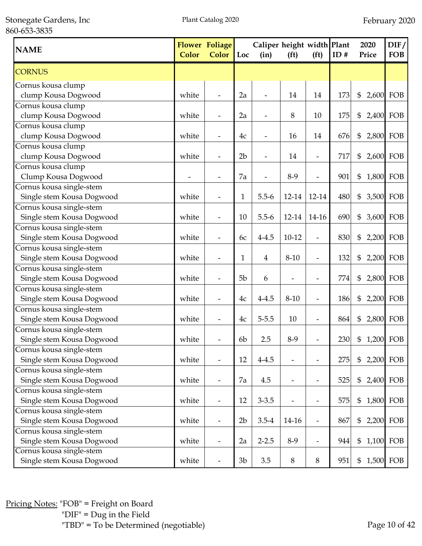Stonegate Gardens, Inc 860-653-3835

| <b>NAME</b>               | Color | <b>Flower Foliage</b><br><b>Color</b> | Loc            | Caliper height width Plant<br>(in) | (f <sup>t</sup> )        | (f <sup>t</sup> )            | ID# | 2020<br>Price   | $\overline{DIF}/$<br><b>FOB</b> |
|---------------------------|-------|---------------------------------------|----------------|------------------------------------|--------------------------|------------------------------|-----|-----------------|---------------------------------|
| <b>CORNUS</b>             |       |                                       |                |                                    |                          |                              |     |                 |                                 |
| Cornus kousa clump        |       |                                       |                |                                    |                          |                              |     |                 |                                 |
| clump Kousa Dogwood       | white |                                       | 2a             |                                    | 14                       | 14                           | 173 | \$<br>2,600     | FOB                             |
| Cornus kousa clump        |       |                                       |                |                                    |                          |                              |     |                 |                                 |
| clump Kousa Dogwood       | white |                                       | 2a             |                                    | 8                        | 10                           | 175 | \$              | 2,400 FOB                       |
| Cornus kousa clump        |       |                                       |                |                                    |                          |                              |     |                 |                                 |
| clump Kousa Dogwood       | white | $\overline{\phantom{a}}$              | 4c             | $\overline{\phantom{a}}$           | 16                       | 14                           | 676 | \$<br>2,800     | FOB                             |
| Cornus kousa clump        |       |                                       |                |                                    |                          |                              |     |                 |                                 |
| clump Kousa Dogwood       | white |                                       | 2 <sub>b</sub> |                                    | 14                       | $\overline{\phantom{a}}$     | 717 | \$              | 2,600 FOB                       |
| Cornus kousa clump        |       |                                       |                |                                    |                          |                              |     |                 |                                 |
| Clump Kousa Dogwood       |       |                                       | 7a             |                                    | $8-9$                    | $\overline{\phantom{a}}$     | 901 | \$              | 1,800 FOB                       |
| Cornus kousa single-stem  |       |                                       |                |                                    |                          |                              |     |                 |                                 |
| Single stem Kousa Dogwood | white |                                       | $\mathbf 1$    | $5.5 - 6$                          | 12-14                    | 12-14                        | 480 | \$              | 3,500 FOB                       |
| Cornus kousa single-stem  |       |                                       |                |                                    |                          |                              |     |                 |                                 |
| Single stem Kousa Dogwood | white |                                       | 10             | $5.5 - 6$                          | 12-14                    | 14-16                        | 690 | \$              | 3,600 FOB                       |
| Cornus kousa single-stem  |       |                                       |                |                                    |                          |                              |     |                 |                                 |
| Single stem Kousa Dogwood | white |                                       | 6c             | $4 - 4.5$                          | $10 - 12$                |                              | 830 | \$              | 2,200 FOB                       |
| Cornus kousa single-stem  |       |                                       |                |                                    |                          |                              |     |                 |                                 |
| Single stem Kousa Dogwood | white |                                       | 1              | 4                                  | $8 - 10$                 |                              | 132 | \$              | 2,200 FOB                       |
| Cornus kousa single-stem  |       |                                       |                |                                    |                          |                              |     |                 |                                 |
| Single stem Kousa Dogwood | white |                                       | 5 <sub>b</sub> | 6                                  |                          |                              | 774 | \$              | 2,800 FOB                       |
| Cornus kousa single-stem  |       |                                       |                |                                    |                          |                              |     |                 |                                 |
| Single stem Kousa Dogwood | white |                                       | 4c             | $4 - 4.5$                          | $8 - 10$                 |                              | 186 | \$              | 2,200 FOB                       |
| Cornus kousa single-stem  |       |                                       |                |                                    |                          |                              |     |                 |                                 |
| Single stem Kousa Dogwood | white | $\qquad \qquad \blacksquare$          | 4c             | $5 - 5.5$                          | 10                       | $\overline{\phantom{a}}$     | 864 | \$<br>2,800 FOB |                                 |
| Cornus kousa single-stem  |       |                                       |                |                                    |                          |                              |     |                 |                                 |
| Single stem Kousa Dogwood | white |                                       | 6 <sub>b</sub> | 2.5                                | $8-9$                    |                              | 230 | \$<br>1,200 FOB |                                 |
| Cornus kousa single-stem  |       |                                       |                |                                    |                          |                              |     |                 |                                 |
| Single stem Kousa Dogwood | white | $\overline{\phantom{0}}$              | 12             | $4 - 4.5$                          |                          | $\qquad \qquad \blacksquare$ | 275 | \$              | 2,200 FOB                       |
| Cornus kousa single-stem  |       |                                       |                |                                    |                          |                              |     |                 |                                 |
| Single stem Kousa Dogwood | white | $\overline{\phantom{a}}$              | 7a             | 4.5                                | $\overline{\phantom{a}}$ | $\overline{\phantom{a}}$     | 525 | \$<br>2,400     | FOB                             |
| Cornus kousa single-stem  |       |                                       |                |                                    |                          |                              |     |                 |                                 |
| Single stem Kousa Dogwood | white | $\overline{\phantom{a}}$              | 12             | $3 - 3.5$                          | $\overline{\phantom{a}}$ | $\overline{\phantom{a}}$     | 575 | \$<br>1,800 FOB |                                 |
| Cornus kousa single-stem  |       |                                       |                |                                    |                          |                              |     |                 |                                 |
| Single stem Kousa Dogwood | white | $\overline{\phantom{a}}$              | 2 <sub>b</sub> | $3.5 - 4$                          | 14-16                    | $\overline{\phantom{a}}$     | 867 | \$              | 2,200 FOB                       |
| Cornus kousa single-stem  |       |                                       |                |                                    |                          |                              |     |                 |                                 |
| Single stem Kousa Dogwood | white | $\overline{\phantom{a}}$              | 2a             | $2 - 2.5$                          | $8-9$                    | $\overline{\phantom{m}}$     | 944 | 1,100 FOB<br>\$ |                                 |
| Cornus kousa single-stem  |       |                                       |                |                                    |                          |                              |     |                 |                                 |
| Single stem Kousa Dogwood | white |                                       | 3 <sub>b</sub> | 3.5                                | $\,8\,$                  | 8                            | 951 | \$              | 1,500 FOB                       |

Pricing Notes: "FOB" = Freight on Board "DIF" = Dug in the Field "TBD" = To be Determined (negotiable) Page 10 of 42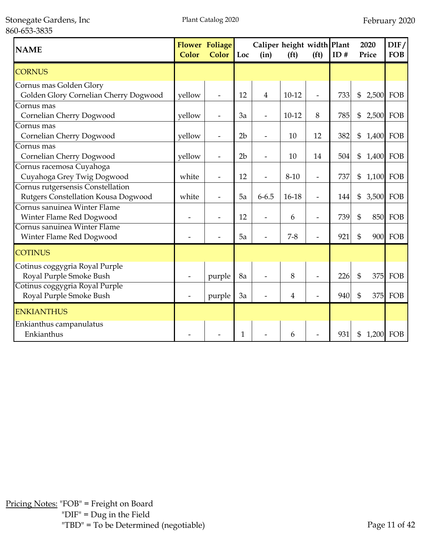| <b>NAME</b>                           | <b>Color</b> | <b>Flower Foliage</b><br><b>Color</b> | $\vert$ Loc    | Caliper height width Plant<br>(in) | (f <sup>t</sup> ) | (f <sup>t</sup> ) | ID# |                | 2020<br>Price | DIF/<br><b>FOB</b> |
|---------------------------------------|--------------|---------------------------------------|----------------|------------------------------------|-------------------|-------------------|-----|----------------|---------------|--------------------|
| <b>CORNUS</b>                         |              |                                       |                |                                    |                   |                   |     |                |               |                    |
| Cornus mas Golden Glory               |              |                                       |                |                                    |                   |                   |     |                |               |                    |
| Golden Glory Cornelian Cherry Dogwood | yellow       |                                       | 12             | $\overline{4}$                     | $10-12$           | $\overline{a}$    | 733 | $\mathfrak{S}$ | 2,500         | FOB                |
| Cornus mas                            |              |                                       |                |                                    |                   |                   |     |                |               |                    |
| Cornelian Cherry Dogwood              | vellow       |                                       | 3a             |                                    | $10-12$           | 8                 | 785 | \$             | 2,500 FOB     |                    |
| Cornus mas                            |              |                                       |                |                                    |                   |                   |     |                |               |                    |
| Cornelian Cherry Dogwood              | yellow       |                                       | 2 <sub>b</sub> |                                    | 10                | 12                | 382 | \$             | 1,400 FOB     |                    |
| Cornus mas                            |              |                                       |                |                                    |                   |                   |     |                |               |                    |
| Cornelian Cherry Dogwood              | yellow       |                                       | 2 <sub>b</sub> |                                    | 10                | 14                | 504 | \$             | 1,400 FOB     |                    |
| Cornus racemosa Cuyahoga              |              |                                       |                |                                    |                   |                   |     |                |               |                    |
| Cuyahoga Grey Twig Dogwood            | white        | $\overline{a}$                        | 12             |                                    | $8 - 10$          | $\overline{a}$    | 737 | \$             | 1,100 FOB     |                    |
| Cornus rutgersensis Constellation     |              |                                       |                |                                    |                   |                   |     |                |               |                    |
| Rutgers Constellation Kousa Dogwood   | white        |                                       | 5a             | $6 - 6.5$                          | $16-18$           | $\overline{a}$    | 144 | \$             | 3,500 FOB     |                    |
| Cornus sanuinea Winter Flame          |              |                                       |                |                                    |                   |                   |     |                |               |                    |
| Winter Flame Red Dogwood              |              |                                       | 12             |                                    | 6                 | $\overline{a}$    | 739 | \$             | 850           | FOB                |
| Cornus sanuinea Winter Flame          |              |                                       |                |                                    |                   |                   |     |                |               |                    |
| Winter Flame Red Dogwood              |              |                                       | 5a             |                                    | $7 - 8$           | $\overline{a}$    | 921 | \$             |               | 900 FOB            |
| <b>COTINUS</b>                        |              |                                       |                |                                    |                   |                   |     |                |               |                    |
| Cotinus coggygria Royal Purple        |              |                                       |                |                                    |                   |                   |     |                |               |                    |
| Royal Purple Smoke Bush               |              | purple                                | 8a             |                                    | 8                 | $\overline{a}$    | 226 | $\mathfrak{S}$ | 375           | FOB                |
| Cotinus coggygria Royal Purple        |              |                                       |                |                                    |                   |                   |     |                |               |                    |
| Royal Purple Smoke Bush               |              | purple                                | 3a             |                                    | 4                 | $\overline{a}$    | 940 | \$             | 375           | FOB                |
| <b>ENKIANTHUS</b>                     |              |                                       |                |                                    |                   |                   |     |                |               |                    |
| Enkianthus campanulatus               |              |                                       |                |                                    |                   |                   |     |                |               |                    |
| Enkianthus                            |              |                                       | 1              |                                    | 6                 |                   | 931 | \$             | 1,200 FOB     |                    |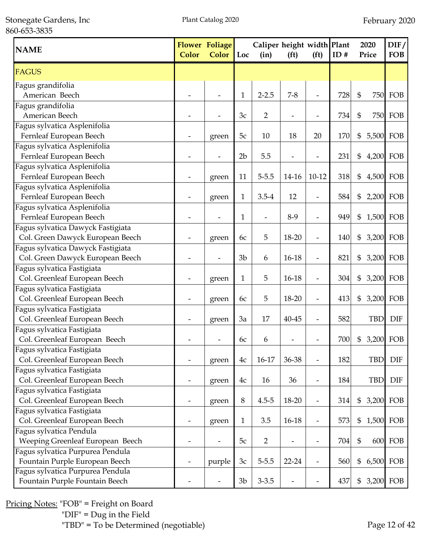Stonegate Gardens, Inc 860-653-3835

| <b>NAME</b>                       | <b>Color</b> | <b>Flower Foliage</b><br>Color | Loc            | Caliper height width Plant<br>(in) | (f <sup>t</sup> )            | (f <sup>t</sup> )        | ID# | 2020<br>Price | DIF/<br><b>FOB</b> |
|-----------------------------------|--------------|--------------------------------|----------------|------------------------------------|------------------------------|--------------------------|-----|---------------|--------------------|
| <b>FAGUS</b>                      |              |                                |                |                                    |                              |                          |     |               |                    |
| Fagus grandifolia                 |              |                                |                |                                    |                              |                          |     |               |                    |
| American Beech                    |              |                                | $\mathbf{1}$   | $2 - 2.5$                          | $7 - 8$                      |                          | 728 | \$            | <b>750 FOB</b>     |
| Fagus grandifolia                 |              |                                |                |                                    |                              |                          |     |               |                    |
| American Beech                    |              |                                | 3c             | 2                                  |                              |                          | 734 | \$            | <b>750 FOB</b>     |
| Fagus sylvatica Asplenifolia      |              |                                |                |                                    |                              |                          |     |               |                    |
| Fernleaf European Beech           |              | green                          | 5c             | 10                                 | 18                           | 20                       | 170 | \$            | 5,500 FOB          |
| Fagus sylvatica Asplenifolia      |              |                                |                |                                    |                              |                          |     |               |                    |
| Fernleaf European Beech           |              |                                | 2 <sub>b</sub> | 5.5                                |                              |                          | 231 | \$            | 4,200 FOB          |
| Fagus sylvatica Asplenifolia      |              |                                |                |                                    |                              |                          |     |               |                    |
| Fernleaf European Beech           |              | green                          | 11             | $5 - 5.5$                          | 14-16                        | $10 - 12$                | 318 | \$            | 4,500 FOB          |
| Fagus sylvatica Asplenifolia      |              |                                |                |                                    |                              |                          |     |               |                    |
| Fernleaf European Beech           |              | green                          | 1              | $3.5 - 4$                          | 12                           | $\overline{\phantom{a}}$ | 584 | \$            | 2,200 FOB          |
| Fagus sylvatica Asplenifolia      |              |                                |                |                                    |                              |                          |     |               |                    |
| Fernleaf European Beech           |              |                                | 1              | $\overline{\phantom{a}}$           | $8-9$                        | $\overline{\phantom{a}}$ | 949 | \$            | 1,500 FOB          |
| Fagus sylvatica Dawyck Fastigiata |              |                                |                |                                    |                              |                          |     |               |                    |
| Col. Green Dawyck European Beech  |              | green                          | 6c             | 5                                  | 18-20                        | $\overline{\phantom{a}}$ | 140 | \$            | 3,200 FOB          |
| Fagus sylvatica Dawyck Fastigiata |              |                                |                |                                    |                              |                          |     |               |                    |
| Col. Green Dawyck European Beech  |              |                                | 3 <sub>b</sub> | 6                                  | 16-18                        | $\overline{\phantom{m}}$ | 821 | \$            | 3,200 FOB          |
| Fagus sylvatica Fastigiata        |              |                                |                |                                    |                              |                          |     |               |                    |
| Col. Greenleaf European Beech     |              | green                          | 1              | 5                                  | $16 - 18$                    |                          | 304 | \$            | 3,200 FOB          |
| Fagus sylvatica Fastigiata        |              |                                |                |                                    |                              |                          |     |               |                    |
| Col. Greenleaf European Beech     |              | green                          | 6c             | 5                                  | 18-20                        |                          | 413 | \$            | 3,200 FOB          |
| Fagus sylvatica Fastigiata        |              |                                |                |                                    |                              |                          |     |               |                    |
| Col. Greenleaf European Beech     |              | green                          | 3a             | 17                                 | 40-45                        |                          | 582 | <b>TBD</b>    | <b>DIF</b>         |
| Fagus sylvatica Fastigiata        |              |                                |                |                                    |                              |                          |     |               |                    |
| Col. Greenleaf European Beech     |              |                                | 6c             | 6                                  |                              |                          | 700 | \$            | 3,200 FOB          |
| Fagus sylvatica Fastigiata        |              |                                |                |                                    |                              |                          |     |               |                    |
| Col. Greenleaf European Beech     |              | green                          | 4c             | 16-17                              | 36-38                        |                          | 182 | TBD           | <b>DIF</b>         |
| Fagus sylvatica Fastigiata        |              |                                |                |                                    |                              |                          |     |               |                    |
| Col. Greenleaf European Beech     |              | green                          | 4c             | 16                                 | 36                           | $\overline{a}$           | 184 | <b>TBD</b>    | <b>DIF</b>         |
| Fagus sylvatica Fastigiata        |              |                                |                |                                    |                              |                          |     |               |                    |
| Col. Greenleaf European Beech     |              | green                          | 8              | $4.5 - 5$                          | 18-20                        | $\overline{a}$           | 314 | $\frac{6}{5}$ | 3,200 FOB          |
| Fagus sylvatica Fastigiata        |              |                                |                |                                    |                              |                          |     |               |                    |
| Col. Greenleaf European Beech     |              | green                          | $\mathbf{1}$   | 3.5                                | 16-18                        | $\overline{\phantom{0}}$ | 573 | \$            | 1,500 FOB          |
| Fagus sylvatica Pendula           |              |                                |                |                                    |                              |                          |     |               |                    |
| Weeping Greenleaf European Beech  |              |                                | 5c             | 2                                  | $\qquad \qquad \blacksquare$ | $\overline{a}$           | 704 | \$            | <b>600 FOB</b>     |
| Fagus sylvatica Purpurea Pendula  |              |                                |                |                                    |                              |                          |     |               |                    |
| Fountain Purple European Beech    |              | purple                         | 3c             | $5 - 5.5$                          | $22 - 24$                    | $\overline{\phantom{a}}$ | 560 | \$            | 6,500 FOB          |
| Fagus sylvatica Purpurea Pendula  |              |                                |                |                                    |                              |                          |     |               |                    |
| Fountain Purple Fountain Beech    |              |                                | 3 <sub>b</sub> | $3 - 3.5$                          |                              |                          | 437 | \$            | 3,200 FOB          |

Pricing Notes: "FOB" = Freight on Board "DIF" = Dug in the Field "TBD" = To be Determined (negotiable) Page 12 of 42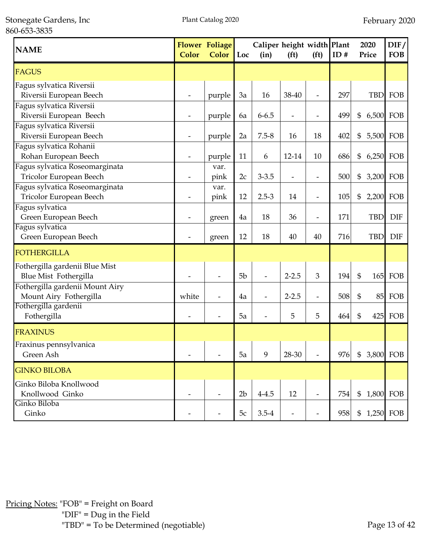Stonegate Gardens, Inc 860-653-3835

| <b>NAME</b>                                               | <b>Color</b> | <b>Flower Foliage</b><br><b>Color</b> | Loc            | Caliper height width Plant<br>(in) | (f <sup>t</sup> )        | (f <sup>t</sup> )        | ID# |                | 2020<br>Price | DIF/<br><b>FOB</b> |
|-----------------------------------------------------------|--------------|---------------------------------------|----------------|------------------------------------|--------------------------|--------------------------|-----|----------------|---------------|--------------------|
| <b>FAGUS</b>                                              |              |                                       |                |                                    |                          |                          |     |                |               |                    |
| Fagus sylvatica Riversii<br>Riversii European Beech       |              | purple                                | 3a             | 16                                 | 38-40                    | $\overline{\phantom{a}}$ | 297 |                | <b>TBD</b>    | FOB                |
| Fagus sylvatica Riversii<br>Riversii European Beech       | -            | purple                                | 6a             | $6 - 6.5$                          | $\overline{\phantom{a}}$ |                          | 499 | \$             | 6,500 FOB     |                    |
| Fagus sylvatica Riversii<br>Riversii European Beech       |              | purple                                | 2a             | $7.5 - 8$                          | 16                       | 18                       | 402 | \$             | 5,500 FOB     |                    |
| Fagus sylvatica Rohanii<br>Rohan European Beech           |              | purple                                | 11             | 6                                  | 12-14                    | 10                       | 686 | \$             | 6,250 FOB     |                    |
| Fagus sylvatica Roseomarginata<br>Tricolor European Beech |              | var.<br>pink                          | 2c             | $3 - 3.5$                          |                          |                          | 500 | \$             | 3,200 FOB     |                    |
| Fagus sylvatica Roseomarginata<br>Tricolor European Beech |              | var.<br>pink                          | 12             | $2.5 - 3$                          | 14                       |                          | 105 | \$             | 2,200         | FOB                |
| Fagus sylvatica<br>Green European Beech                   |              | green                                 | 4a             | 18                                 | 36                       |                          | 171 |                | <b>TBD</b>    | <b>DIF</b>         |
| Fagus sylvatica<br>Green European Beech                   |              | green                                 | 12             | 18                                 | 40                       | 40                       | 716 |                | <b>TBD</b>    | <b>DIF</b>         |
| FOTHERGILLA                                               |              |                                       |                |                                    |                          |                          |     |                |               |                    |
| Fothergilla gardenii Blue Mist<br>Blue Mist Fothergilla   |              |                                       | 5 <sub>b</sub> |                                    | $2 - 2.5$                | 3                        | 194 | \$             |               | $165$ FOB          |
| Fothergilla gardenii Mount Airy<br>Mount Airy Fothergilla | white        |                                       | 4a             |                                    | $2 - 2.5$                |                          | 508 | \$             | 85            | FOB                |
| Fothergilla gardenii<br>Fothergilla                       |              |                                       | 5a             |                                    | 5                        | 5                        | 464 | \$             | 425           | FOB                |
| FRAXINUS                                                  |              |                                       |                |                                    |                          |                          |     |                |               |                    |
| Fraxinus pennsylvanica<br>Green Ash                       |              |                                       | 5a             | 9                                  | 28-30                    |                          | 976 | $\mathfrak{S}$ | 3,800 FOB     |                    |
| <b>GINKO BILOBA</b>                                       |              |                                       |                |                                    |                          |                          |     |                |               |                    |
| Ginko Biloba Knollwood<br>Knollwood Ginko                 |              |                                       | 2 <sub>b</sub> | $4 - 4.5$                          | 12                       | $\overline{\phantom{a}}$ | 754 |                | \$ 1,800 FOB  |                    |
| Ginko Biloba<br>Ginko                                     |              |                                       | 5c             | $3.5 - 4$                          |                          |                          | 958 | \$             |               | 1,250 FOB          |

Pricing Notes: "FOB" = Freight on Board "DIF" = Dug in the Field "TBD" = To be Determined (negotiable) Page 13 of 42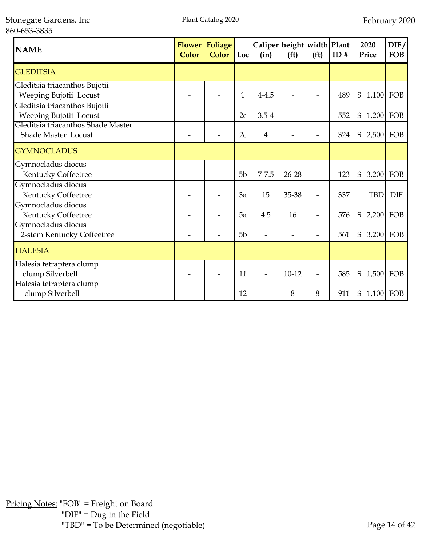| <b>NAME</b>                                               | Color | <b>Flower Foliage</b><br>Color | $\vert$ Loc    | Caliper height width Plant<br>(in) | (f <sup>t</sup> ) | (f <sup>t</sup> )        | ID# | 2020<br>Price   | DIF/<br><b>FOB</b> |
|-----------------------------------------------------------|-------|--------------------------------|----------------|------------------------------------|-------------------|--------------------------|-----|-----------------|--------------------|
| <b>GLEDITSIA</b>                                          |       |                                |                |                                    |                   |                          |     |                 |                    |
| Gleditsia triacanthos Bujotii<br>Weeping Bujotii Locust   |       |                                | $\mathbf{1}$   | $4 - 4.5$                          |                   |                          | 489 | \$              | 1,100 FOB          |
| Gleditsia triacanthos Bujotii<br>Weeping Bujotii Locust   |       |                                | 2c             | $3.5 - 4$                          |                   |                          | 552 | \$<br>1,200 FOB |                    |
| Gleditsia triacanthos Shade Master<br>Shade Master Locust |       |                                | 2c             | $\overline{4}$                     |                   |                          | 324 | \$<br>2,500     | FOB                |
| <b>GYMNOCLADUS</b>                                        |       |                                |                |                                    |                   |                          |     |                 |                    |
| Gymnocladus diocus<br>Kentucky Coffeetree                 |       |                                | 5b             | $7 - 7.5$                          | $26 - 28$         | $\overline{\phantom{0}}$ | 123 | \$              | 3,200 FOB          |
| Gymnocladus diocus<br>Kentucky Coffeetree                 |       |                                | 3a             | 15                                 | 35-38             | $\overline{\phantom{0}}$ | 337 | <b>TBD</b>      | <b>DIF</b>         |
| Gymnocladus diocus<br>Kentucky Coffeetree                 |       |                                | 5a             | 4.5                                | 16                | L,                       | 576 | \$              | 2,200 FOB          |
| Gymnocladus diocus<br>2-stem Kentucky Coffeetree          |       |                                | 5 <sub>b</sub> |                                    |                   |                          | 561 | \$<br>3,200     | FOB                |
| <b>HALESIA</b>                                            |       |                                |                |                                    |                   |                          |     |                 |                    |
| Halesia tetraptera clump<br>clump Silverbell              |       |                                | 11             |                                    | $10-12$           | L,                       | 585 | \$              | 1,500 FOB          |
| Halesia tetraptera clump<br>clump Silverbell              |       |                                | 12             |                                    | 8                 | 8                        | 911 | \$              | 1,100 FOB          |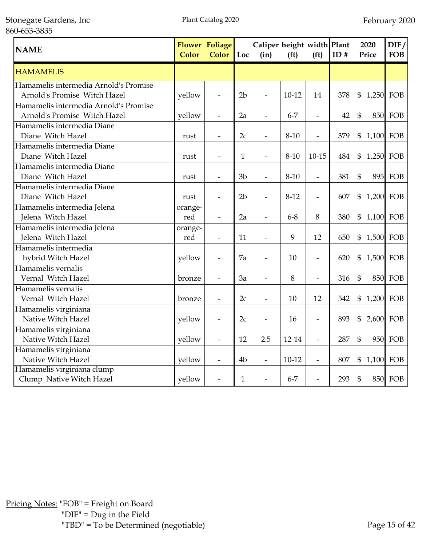Stonegate Gardens, Inc 860-653-3835

| <b>NAME</b>                                                           | Color          | <b>Flower Foliage</b><br>Color | Loc            | Caliper height width Plant<br>(in) | (f <sup>t</sup> ) | (f <sup>t</sup> )            | ID# |                | 2020<br>Price | DIF/<br><b>FOB</b> |
|-----------------------------------------------------------------------|----------------|--------------------------------|----------------|------------------------------------|-------------------|------------------------------|-----|----------------|---------------|--------------------|
| <b>HAMAMELIS</b>                                                      |                |                                |                |                                    |                   |                              |     |                |               |                    |
| Hamamelis intermedia Arnold's Promise<br>Arnold's Promise Witch Hazel | yellow         | $\blacksquare$                 | 2 <sub>b</sub> | $\frac{1}{2}$                      | $10-12$           | 14                           | 378 | \$             | 1,250         | FOB                |
| Hamamelis intermedia Arnold's Promise<br>Arnold's Promise Witch Hazel | yellow         |                                | 2a             |                                    | $6 - 7$           | $\overline{a}$               | 42  | $\mathfrak{S}$ |               | <b>850 FOB</b>     |
| Hamamelis intermedia Diane                                            |                |                                |                |                                    |                   |                              |     |                |               |                    |
| Diane Witch Hazel<br>Hamamelis intermedia Diane                       | rust           | $\overline{\phantom{a}}$       | 2c             | $\overline{\phantom{a}}$           | $8 - 10$          | $\overline{a}$               | 379 | $\mathfrak{S}$ | 1,100 FOB     |                    |
| Diane Witch Hazel                                                     | rust           | $\blacksquare$                 | $\mathbf{1}$   | $\overline{a}$                     | $8 - 10$          | $10 - 15$                    | 484 | \$             | 1,250         | FOB                |
| Hamamelis intermedia Diane<br>Diane Witch Hazel                       | rust           |                                | 3 <sub>b</sub> |                                    | $8 - 10$          | $\frac{1}{2}$                | 381 | $\mathfrak{S}$ | 895           | FOB                |
| Hamamelis intermedia Diane<br>Diane Witch Hazel                       | rust           | $\overline{\phantom{a}}$       | 2 <sub>b</sub> | $\overline{\phantom{a}}$           | $8 - 12$          | $\overline{\phantom{m}}$     | 607 | \$             | 1,200 FOB     |                    |
| Hamamelis intermedia Jelena<br>Jelena Witch Hazel                     | orange-<br>red | $\frac{1}{2}$                  | 2a             | $\frac{1}{2}$                      | $6 - 8$           | 8                            | 380 | $\mathfrak{S}$ | 1,100         | FOB                |
| Hamamelis intermedia Jelena<br>Jelena Witch Hazel                     | orange-<br>red |                                | 11             |                                    | 9                 | 12                           | 650 | \$             | 1,500 FOB     |                    |
| Hamamelis intermedia                                                  |                |                                |                |                                    |                   |                              |     |                |               |                    |
| hybrid Witch Hazel<br>Hamamelis vernalis                              | yellow         | $\overline{\phantom{a}}$       | 7a             |                                    | 10                | $\overline{\phantom{0}}$     | 620 | $\mathfrak{S}$ | 1,500 FOB     |                    |
| Vernal Witch Hazel                                                    | bronze         | $\blacksquare$                 | 3a             | $\overline{\phantom{0}}$           | $8\,$             | $\overline{a}$               | 316 | $\mathfrak{S}$ | 850           | FOB                |
| Hamamelis vernalis<br>Vernal Witch Hazel                              | bronze         |                                | 2c             |                                    | 10                | 12                           | 542 | \$             | 1,200 FOB     |                    |
| Hamamelis virginiana<br>Native Witch Hazel                            | yellow         | $\overline{\phantom{a}}$       | 2c             |                                    | 16                | $\qquad \qquad \blacksquare$ | 893 | \$             | 2,600         | FOB                |
| Hamamelis virginiana<br>Native Witch Hazel                            | yellow         | $\overline{\phantom{a}}$       | 12             | 2.5                                | 12-14             | $\frac{1}{2}$                | 287 | $\mathfrak{S}$ | 950           | FOB                |
| Hamamelis virginiana<br>Native Witch Hazel                            | yellow         | $\overline{\phantom{a}}$       | 4 <sub>b</sub> | $\overline{a}$                     | $10-12$           | $\overline{\phantom{a}}$     | 807 | \$             | 1,100         | FOB                |
| Hamamelis virginiana clump<br>Clump Native Witch Hazel                | yellow         |                                | $\mathbf{1}$   |                                    | $6 - 7$           |                              | 293 | \$             |               | <b>850 FOB</b>     |

Pricing Notes: "FOB" = Freight on Board "DIF" = Dug in the Field "TBD" = To be Determined (negotiable) Page 15 of 42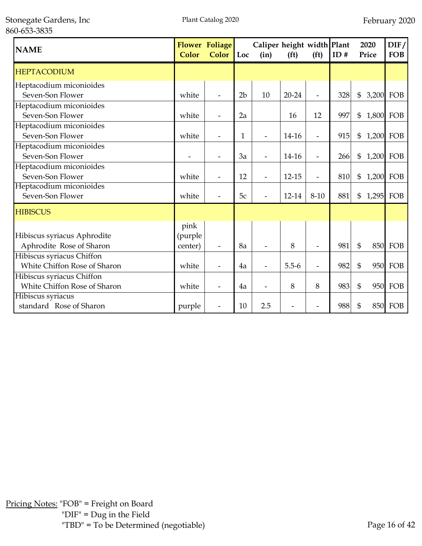Stonegate Gardens, Inc 860-653-3835

| <b>NAME</b>                                               | Color                      | <b>Flower Foliage</b><br><b>Color</b> | Loc            | Caliper height width Plant<br>(in) | (f <sup>t</sup> ) | (f <sup>t</sup> )        | ID# | 2020<br>Price               | DIF/<br><b>FOB</b> |
|-----------------------------------------------------------|----------------------------|---------------------------------------|----------------|------------------------------------|-------------------|--------------------------|-----|-----------------------------|--------------------|
| <b>HEPTACODIUM</b>                                        |                            |                                       |                |                                    |                   |                          |     |                             |                    |
| Heptacodium miconioides<br>Seven-Son Flower               | white                      |                                       | 2 <sub>b</sub> | 10                                 | $20 - 24$         | L,                       | 328 | \$                          | 3,200 FOB          |
| Heptacodium miconioides<br>Seven-Son Flower               | white                      |                                       | 2a             |                                    | 16                | 12                       | 997 | \$                          | 1,800 FOB          |
| Heptacodium miconioides<br>Seven-Son Flower               | white                      | $\qquad \qquad \blacksquare$          | 1              |                                    | 14-16             | $\overline{a}$           | 915 | \$                          | 1,200 FOB          |
| Heptacodium miconioides<br>Seven-Son Flower               |                            |                                       | 3a             |                                    | 14-16             | L,                       | 266 | \$                          | 1,200 FOB          |
| Heptacodium miconioides<br>Seven-Son Flower               | white                      | $\qquad \qquad \blacksquare$          | 12             | $\overline{\phantom{a}}$           | 12-15             | $\overline{a}$           | 810 | \$<br>1,200                 | FOB                |
| Heptacodium miconioides<br>Seven-Son Flower               | white                      |                                       | 5c             |                                    | 12-14             | $8 - 10$                 | 881 | $\mathfrak{S}$<br>1,295 FOB |                    |
| <b>HIBISCUS</b>                                           |                            |                                       |                |                                    |                   |                          |     |                             |                    |
| Hibiscus syriacus Aphrodite<br>Aphrodite Rose of Sharon   | pink<br>(purple<br>center) |                                       | 8a             |                                    | 8                 |                          | 981 | $\mathfrak{S}$              | <b>850 FOB</b>     |
| Hibiscus syriacus Chiffon<br>White Chiffon Rose of Sharon | white                      | $\overline{\phantom{0}}$              | 4a             | L,                                 | $5.5 - 6$         | L,                       | 982 | $\mathfrak{S}$              | 950 FOB            |
| Hibiscus syriacus Chiffon<br>White Chiffon Rose of Sharon | white                      |                                       | 4a             |                                    | 8                 | 8                        | 983 | $\mathfrak{S}$              | 950 FOB            |
| Hibiscus syriacus<br>standard Rose of Sharon              | purple                     |                                       | 10             | 2.5                                |                   | $\overline{\phantom{0}}$ | 988 | \$                          | <b>850 FOB</b>     |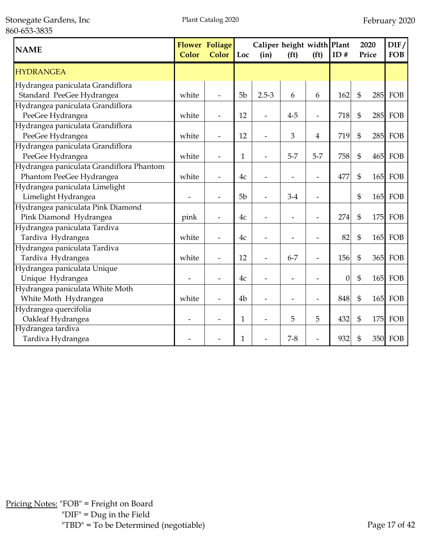Stonegate Gardens, Inc 860-653-3835

| <b>NAME</b>                              | Color | <b>Flower Foliage</b><br><b>Color</b> | Loc            | (in)      | Caliper height width Plant<br>(f <sup>t</sup> )<br>(f <sup>t</sup> ) |                          | ID#              |                | 2020<br>Price | DIF/<br><b>FOB</b> |
|------------------------------------------|-------|---------------------------------------|----------------|-----------|----------------------------------------------------------------------|--------------------------|------------------|----------------|---------------|--------------------|
| <b>HYDRANGEA</b>                         |       |                                       |                |           |                                                                      |                          |                  |                |               |                    |
| Hydrangea paniculata Grandiflora         |       |                                       |                |           |                                                                      |                          |                  |                |               |                    |
| Standard PeeGee Hydrangea                | white |                                       | 5 <sub>b</sub> | $2.5 - 3$ | 6                                                                    | 6                        | 162              | $\mathfrak{S}$ | 285           | FOB                |
| Hydrangea paniculata Grandiflora         |       |                                       |                |           |                                                                      |                          |                  |                |               |                    |
| PeeGee Hydrangea                         | white |                                       | 12             |           | $4 - 5$                                                              | $\overline{a}$           | 718              | $\mathfrak{S}$ | 285           | FOB                |
| Hydrangea paniculata Grandiflora         |       |                                       |                |           |                                                                      |                          |                  |                |               |                    |
| PeeGee Hydrangea                         | white | $\overline{\phantom{0}}$              | 12             |           | 3                                                                    | $\overline{4}$           | 719              | \$             | 285           | FOB                |
| Hydrangea paniculata Grandiflora         |       |                                       |                |           |                                                                      |                          |                  |                |               |                    |
| PeeGee Hydrangea                         | white | $\overline{\phantom{0}}$              | 1              |           | $5 - 7$                                                              | $5 - 7$                  | 758              | \$             |               | 465 FOB            |
| Hydrangea paniculata Grandiflora Phantom |       |                                       |                |           |                                                                      |                          |                  |                |               |                    |
| Phantom PeeGee Hydrangea                 | white |                                       | 4c             |           |                                                                      | $\overline{\phantom{0}}$ | 477              | \$             |               | <b>165 FOB</b>     |
| Hydrangea paniculata Limelight           |       |                                       |                |           |                                                                      |                          |                  |                |               |                    |
| Limelight Hydrangea                      |       |                                       | 5b             |           | $3-4$                                                                | $\overline{\phantom{0}}$ |                  | \$             |               | 165 FOB            |
| Hydrangea paniculata Pink Diamond        |       |                                       |                |           |                                                                      |                          |                  |                |               |                    |
| Pink Diamond Hydrangea                   | pink  |                                       | 4c             |           |                                                                      | $\overline{\phantom{0}}$ | 274              | $\mathfrak{S}$ | 175           | FOB                |
| Hydrangea paniculata Tardiva             |       |                                       |                |           |                                                                      |                          |                  |                |               |                    |
| Tardiva Hydrangea                        | white |                                       | 4c             |           |                                                                      |                          | 82               | \$             | 165           | FOB                |
| Hydrangea paniculata Tardiva             |       |                                       |                |           |                                                                      |                          |                  |                |               |                    |
| Tardiva Hydrangea                        | white |                                       | 12             |           | $6 - 7$                                                              |                          | 156              | \$             | 365           | FOB                |
| Hydrangea paniculata Unique              |       |                                       |                |           |                                                                      |                          |                  |                |               |                    |
| Unique Hydrangea                         |       |                                       | 4c             |           |                                                                      | $\overline{\phantom{0}}$ | $\boldsymbol{0}$ | $\mathfrak{S}$ | 165           | FOB                |
| Hydrangea paniculata White Moth          |       |                                       |                |           |                                                                      |                          |                  |                |               |                    |
| White Moth Hydrangea                     | white |                                       | 4 <sub>b</sub> |           |                                                                      | $\overline{a}$           | 848              | \$             | 165           | FOB                |
| Hydrangea quercifolia                    |       |                                       |                |           |                                                                      |                          |                  |                |               |                    |
| Oakleaf Hydrangea                        |       |                                       | $\mathbf{1}$   |           | 5                                                                    | 5                        | 432              | \$             | 175           | FOB                |
| Hydrangea tardiva                        |       |                                       |                |           |                                                                      |                          |                  |                |               |                    |
| Tardiva Hydrangea                        |       |                                       | 1              |           | $7 - 8$                                                              |                          | 932              | \$             |               | 350 FOB            |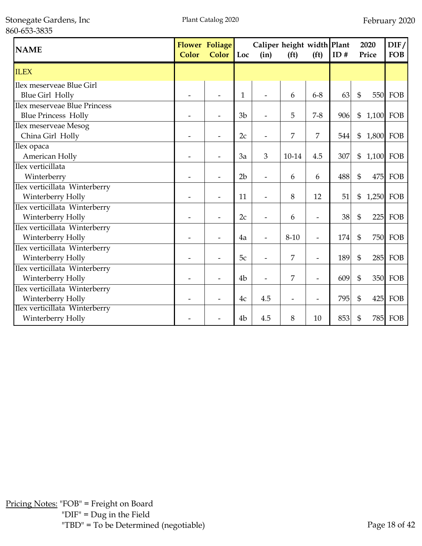| <b>NAME</b>                   | Color | <b>Flower Foliage</b><br><b>Color</b> | Loc            | Caliper height width Plant<br>(in) | (f <sup>t</sup> ) | (f <sup>t</sup> )        | ID# |                | 2020<br>Price | DIF/<br><b>FOB</b> |
|-------------------------------|-------|---------------------------------------|----------------|------------------------------------|-------------------|--------------------------|-----|----------------|---------------|--------------------|
| <b>ILEX</b>                   |       |                                       |                |                                    |                   |                          |     |                |               |                    |
| Ilex meserveae Blue Girl      |       |                                       |                |                                    |                   |                          |     |                |               |                    |
| <b>Blue Girl Holly</b>        |       |                                       | $\mathbf{1}$   |                                    | 6                 | $6 - 8$                  | 63  | $\mathfrak{S}$ |               | <b>550 FOB</b>     |
| Ilex meserveae Blue Princess  |       |                                       |                |                                    |                   |                          |     |                |               |                    |
| <b>Blue Princess Holly</b>    |       |                                       | 3 <sub>b</sub> |                                    | 5                 | $7 - 8$                  | 906 | \$             | 1,100 FOB     |                    |
| Ilex meserveae Mesog          |       |                                       |                |                                    |                   |                          |     |                |               |                    |
| China Girl Holly              |       |                                       | 2c             |                                    | 7                 | 7                        | 544 | $\mathfrak{S}$ | 1,800 FOB     |                    |
| Ilex opaca                    |       |                                       |                |                                    |                   |                          |     |                |               |                    |
| American Holly                |       |                                       | 3a             | 3                                  | 10-14             | 4.5                      | 307 | \$             | 1,100 FOB     |                    |
| Ilex verticillata             |       |                                       |                |                                    |                   |                          |     |                |               |                    |
| Winterberry                   |       |                                       | 2 <sub>b</sub> |                                    | 6                 | 6                        | 488 | $\mathfrak{S}$ | 475           | FOB                |
| Ilex verticillata Winterberry |       |                                       |                |                                    |                   |                          |     |                |               |                    |
| Winterberry Holly             |       |                                       | 11             |                                    | 8                 | 12                       | 51  | \$             | 1,250 FOB     |                    |
| Ilex verticillata Winterberry |       |                                       |                |                                    |                   |                          |     |                |               |                    |
| Winterberry Holly             |       |                                       | 2c             |                                    | 6                 | $\overline{\phantom{0}}$ | 38  | $\mathfrak{S}$ | 225           | FOB                |
| Ilex verticillata Winterberry |       |                                       |                |                                    |                   |                          |     |                |               |                    |
| Winterberry Holly             |       |                                       | 4a             |                                    | $8 - 10$          | L,                       | 174 | $\mathfrak{S}$ |               | <b>750 FOB</b>     |
| Ilex verticillata Winterberry |       |                                       |                |                                    |                   |                          |     |                |               |                    |
| Winterberry Holly             |       |                                       | 5c             |                                    | 7                 | L,                       | 189 | $\mathfrak{S}$ | 285           | FOB                |
| Ilex verticillata Winterberry |       |                                       |                |                                    |                   |                          |     |                |               |                    |
| Winterberry Holly             |       |                                       | 4 <sub>b</sub> |                                    | 7                 | L,                       | 609 | $\mathfrak{S}$ |               | 350 FOB            |
| Ilex verticillata Winterberry |       |                                       |                |                                    |                   |                          |     |                |               |                    |
| Winterberry Holly             |       |                                       | 4c             | 4.5                                |                   | $\overline{\phantom{0}}$ | 795 | $\mathfrak{S}$ | 425           | FOB                |
| Ilex verticillata Winterberry |       |                                       |                |                                    |                   |                          |     |                |               |                    |
| Winterberry Holly             |       |                                       | 4 <sub>b</sub> | 4.5                                | 8                 | 10                       | 853 | \$             | 785           | FOB                |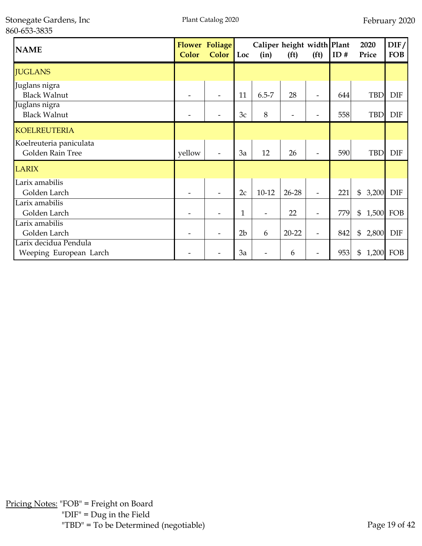| <b>NAME</b>                                     | Color  | <b>Flower Foliage</b><br><b>Color</b> | Loc            | Caliper height width Plant<br>(in) | (f <sup>t</sup> ) | (f <sup>t</sup> )        | ID# | 2020<br>Price | $\mathrm{DIF}/$<br><b>FOB</b> |
|-------------------------------------------------|--------|---------------------------------------|----------------|------------------------------------|-------------------|--------------------------|-----|---------------|-------------------------------|
| <b>JUGLANS</b>                                  |        |                                       |                |                                    |                   |                          |     |               |                               |
| Juglans nigra<br><b>Black Walnut</b>            |        |                                       | 11             | $6.5 - 7$                          | 28                | $\overline{\phantom{0}}$ | 644 | <b>TBD</b>    | <b>DIF</b>                    |
| Juglans nigra<br><b>Black Walnut</b>            |        |                                       | 3c             | 8                                  |                   |                          | 558 | <b>TBD</b>    | <b>DIF</b>                    |
| <b>KOELREUTERIA</b>                             |        |                                       |                |                                    |                   |                          |     |               |                               |
| Koelreuteria paniculata<br>Golden Rain Tree     | yellow |                                       | 3a             | 12                                 | 26                |                          | 590 | <b>TBD</b>    | <b>DIF</b>                    |
| <b>LARIX</b>                                    |        |                                       |                |                                    |                   |                          |     |               |                               |
| Larix amabilis<br>Golden Larch                  |        |                                       | 2c             | $10 - 12$                          | $26 - 28$         | L,                       | 221 | \$<br>3,200   | <b>DIF</b>                    |
| Larix amabilis<br>Golden Larch                  |        |                                       | $\mathbf{1}$   |                                    | 22                | -                        | 779 | \$            | 1,500 FOB                     |
| Larix amabilis<br>Golden Larch                  |        |                                       | 2 <sub>b</sub> | 6                                  | $20 - 22$         | $\overline{\phantom{0}}$ | 842 | \$<br>2,800   | <b>DIF</b>                    |
| Larix decidua Pendula<br>Weeping European Larch |        |                                       | 3a             |                                    | 6                 | -                        | 953 | \$<br>1,200   | FOB                           |

Pricing Notes: "FOB" = Freight on Board "DIF" = Dug in the Field "TBD" = To be Determined (negotiable) Page 19 of 42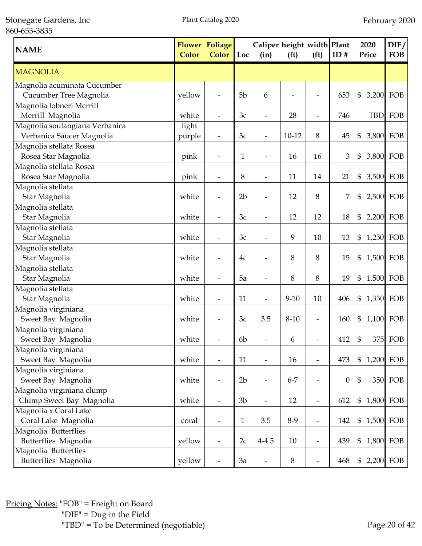Stonegate Gardens, Inc 860-653-3835

| <b>NAME</b>                    | Color  | Flower Foliage<br><b>Color</b> | Loc            | Caliper height width Plant<br>(in) | (f <sup>t</sup> ) | (f <sup>t</sup> )        | ID#              | 2020<br>Price | DIF/<br><b>FOB</b> |
|--------------------------------|--------|--------------------------------|----------------|------------------------------------|-------------------|--------------------------|------------------|---------------|--------------------|
| <b>MAGNOLIA</b>                |        |                                |                |                                    |                   |                          |                  |               |                    |
| Magnolia acuminata Cucumber    |        |                                |                |                                    |                   |                          |                  |               |                    |
| Cucumber Tree Magnolia         | yellow |                                | 5b             | 6                                  |                   |                          | 653              | \$<br>3,200   | FOB                |
| Magnolia lobneri Merrill       |        |                                |                |                                    |                   |                          |                  |               |                    |
| Merrill Magnolia               | white  |                                | 3c             | $\overline{a}$                     | 28                | -                        | 746              | <b>TBD</b>    | FOB                |
| Magnolia soulangiana Verbanica | light  |                                |                |                                    |                   |                          |                  |               |                    |
| Verbanica Saucer Magnolia      | purple | $\qquad \qquad \blacksquare$   | 3c             | $\overline{\phantom{m}}$           | $10 - 12$         | 8                        | 45               | \$            | 3,800 FOB          |
| Magnolia stellata Rosea        |        |                                |                |                                    |                   |                          |                  |               |                    |
| Rosea Star Magnolia            | pink   | $\overline{\phantom{a}}$       | 1              | $\overline{\phantom{a}}$           | 16                | 16                       | 3                | \$            | 3,800 FOB          |
| Magnolia stellata Rosea        |        |                                |                |                                    |                   |                          |                  |               |                    |
| Rosea Star Magnolia            | pink   | $\overline{a}$                 | 8              | $\overline{\phantom{0}}$           | 11                | 14                       | 21               | \$<br>3,500   | FOB                |
| Magnolia stellata              |        |                                |                |                                    |                   |                          |                  |               |                    |
| Star Magnolia                  | white  |                                | 2 <sub>b</sub> | $\overline{a}$                     | 12                | 8                        | 7                | \$            | 2,500 FOB          |
| Magnolia stellata              |        |                                |                |                                    |                   |                          |                  |               |                    |
| Star Magnolia                  | white  |                                | 3c             |                                    | 12                | 12                       | 18               | \$            | 2,200 FOB          |
| Magnolia stellata              |        |                                |                |                                    |                   |                          |                  |               |                    |
| Star Magnolia                  | white  |                                | 3c             |                                    | 9                 | 10                       | 13               | \$            | 1,250 FOB          |
| Magnolia stellata              |        |                                |                |                                    |                   |                          |                  |               |                    |
| Star Magnolia                  | white  |                                | 4c             |                                    | 8                 | 8                        | 15               | \$            | 1,500 FOB          |
| Magnolia stellata              |        |                                |                |                                    |                   |                          |                  |               |                    |
| Star Magnolia                  | white  |                                | 5a             |                                    | 8                 | 8                        | 19               | \$            | 1,500 FOB          |
| Magnolia stellata              |        |                                |                |                                    |                   |                          |                  |               |                    |
| Star Magnolia                  | white  |                                | 11             |                                    | $9 - 10$          | 10                       | 406              | \$            | 1,350 FOB          |
| Magnolia virginiana            |        |                                |                |                                    |                   |                          |                  |               |                    |
| Sweet Bay Magnolia             | white  |                                | 3c             | 3.5                                | $8 - 10$          | Ĭ.                       | 160              | \$<br>1,100   | FOB                |
| Magnolia virginiana            |        |                                |                |                                    |                   |                          |                  |               |                    |
| Sweet Bay Magnolia             | white  |                                | 6b             |                                    | 6                 |                          | 412              | \$            | 375 FOB            |
| Magnolia virginiana            |        |                                |                |                                    |                   |                          |                  |               |                    |
| Sweet Bay Magnolia             | white  | $\qquad \qquad \blacksquare$   | 11             | $\overline{a}$                     | 16                | $\overline{a}$           | 473              | \$            | 1,200 FOB          |
| Magnolia virginiana            |        |                                |                |                                    |                   |                          |                  |               |                    |
| Sweet Bay Magnolia             | white  | $\qquad \qquad \blacksquare$   | 2 <sub>b</sub> | $\overline{\phantom{0}}$           | $6 - 7$           | $\overline{\phantom{m}}$ | $\boldsymbol{0}$ | \$            | 350 FOB            |
| Magnolia virginiana clump      |        |                                |                |                                    |                   |                          |                  |               |                    |
| Clump Sweet Bay Magnolia       | white  | $\overline{\phantom{a}}$       | 3 <sub>b</sub> | $\overline{\phantom{m}}$           | 12                | $\overline{\phantom{a}}$ | 612              | \$            | 1,800 FOB          |
| Magnolia x Coral Lake          |        |                                |                |                                    |                   |                          |                  |               |                    |
| Coral Lake Magnolia            | coral  | $\overline{\phantom{m}}$       | $\mathbf{1}$   | 3.5                                | 8-9               | $\overline{\phantom{m}}$ | 142              | \$            | 1,500 FOB          |
| Magnolia Butterflies           |        |                                |                |                                    |                   |                          |                  |               |                    |
| Butterflies Magnolia           | yellow | $\qquad \qquad \blacksquare$   | 2c             | $4 - 4.5$                          | 10                | $\overline{\phantom{m}}$ | 439              | \$            | 1,800 FOB          |
| Magnolia Butterflies           |        |                                |                |                                    |                   |                          |                  |               |                    |
| Butterflies Magnolia           | yellow |                                | 3a             | $\overline{\phantom{a}}$           | $\,8\,$           |                          | 468              | \$            | 2,200 FOB          |

Pricing Notes: "FOB" = Freight on Board "DIF" = Dug in the Field "TBD" = To be Determined (negotiable) Page 20 of 42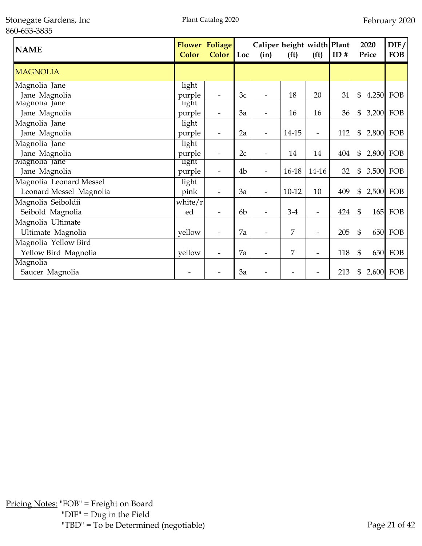| <b>NAME</b>             | Color   | <b>Flower Foliage</b><br><b>Color</b> | Loc            | (in) | Caliper height width Plant<br>(f <sup>t</sup> )<br>(f <sup>t</sup> ) |                          |     |                 |     |  |  |  | ID# | 2020<br>Price | $\rm{DIF}/$<br><b>FOB</b> |
|-------------------------|---------|---------------------------------------|----------------|------|----------------------------------------------------------------------|--------------------------|-----|-----------------|-----|--|--|--|-----|---------------|---------------------------|
| <b>MAGNOLIA</b>         |         |                                       |                |      |                                                                      |                          |     |                 |     |  |  |  |     |               |                           |
| Magnolia Jane           | light   |                                       |                |      |                                                                      |                          |     |                 |     |  |  |  |     |               |                           |
| Jane Magnolia           | purple  | $\overline{\phantom{a}}$              | 3c             |      | 18                                                                   | 20                       | 31  | \$<br>4,250 FOB |     |  |  |  |     |               |                           |
| Magnolia Jane           | light   |                                       |                |      |                                                                      |                          |     |                 |     |  |  |  |     |               |                           |
| Jane Magnolia           | purple  | $\qquad \qquad \blacksquare$          | 3a             |      | 16                                                                   | 16                       | 36  | \$<br>3,200 FOB |     |  |  |  |     |               |                           |
| Magnolia Jane           | light   |                                       |                |      |                                                                      |                          |     |                 |     |  |  |  |     |               |                           |
| Jane Magnolia           | purple  | $\overline{\phantom{a}}$              | 2a             |      | 14-15                                                                | $\overline{\phantom{0}}$ | 112 | \$<br>2,800     | FOB |  |  |  |     |               |                           |
| Magnolia Jane           | light   |                                       |                |      |                                                                      |                          |     |                 |     |  |  |  |     |               |                           |
| Jane Magnolia           | purple  | $\overline{\phantom{a}}$              | 2c             |      | 14                                                                   | 14                       | 404 | \$<br>2,800     | FOB |  |  |  |     |               |                           |
| Magnolia Jane           | light   |                                       |                |      |                                                                      |                          |     |                 |     |  |  |  |     |               |                           |
| Jane Magnolia           | purple  |                                       | 4 <sub>b</sub> |      | 16-18                                                                | $14-16$                  | 32  | \$<br>3,500 FOB |     |  |  |  |     |               |                           |
| Magnolia Leonard Messel | light   |                                       |                |      |                                                                      |                          |     |                 |     |  |  |  |     |               |                           |
| Leonard Messel Magnolia | pink    | $\overline{\phantom{a}}$              | 3a             |      | $10-12$                                                              | 10                       | 409 | \$<br>2,500 FOB |     |  |  |  |     |               |                           |
| Magnolia Seiboldii      | white/r |                                       |                |      |                                                                      |                          |     |                 |     |  |  |  |     |               |                           |
| Seibold Magnolia        | ed      | $\overline{\phantom{a}}$              | 6 <sub>b</sub> |      | $3-4$                                                                | $\overline{\phantom{0}}$ | 424 | \$<br>165       | FOB |  |  |  |     |               |                           |
| Magnolia Ultimate       |         |                                       |                |      |                                                                      |                          |     |                 |     |  |  |  |     |               |                           |
| Ultimate Magnolia       | yellow  | $\overline{\phantom{0}}$              | 7a             |      | 7                                                                    | $\overline{\phantom{0}}$ | 205 | \$<br>650       | FOB |  |  |  |     |               |                           |
| Magnolia Yellow Bird    |         |                                       |                |      |                                                                      |                          |     |                 |     |  |  |  |     |               |                           |
| Yellow Bird Magnolia    | yellow  |                                       | 7a             |      | 7                                                                    | $\overline{a}$           | 118 | \$<br>650       | FOB |  |  |  |     |               |                           |
| Magnolia                |         |                                       |                |      |                                                                      |                          |     |                 |     |  |  |  |     |               |                           |
| Saucer Magnolia         |         |                                       | 3a             |      |                                                                      |                          | 213 | \$<br>2,600     | FOB |  |  |  |     |               |                           |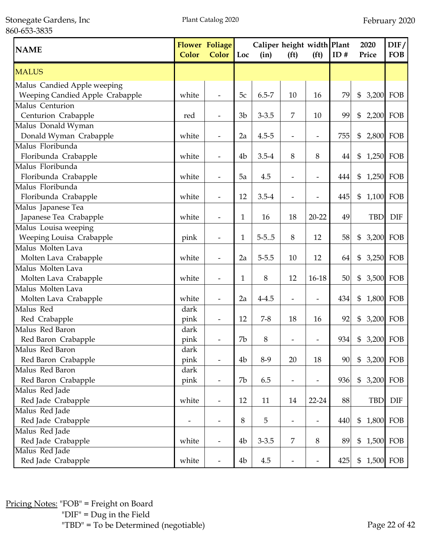Stonegate Gardens, Inc 860-653-3835

| <b>NAME</b>                     | <b>Color</b> | <b>Flower Foliage</b><br>Color | Loc            | Caliper height width Plant<br>(in) | (f <sup>t</sup> )        | (f <sup>t</sup> )        | ID# | 2020<br>Price               | DIF/<br><b>FOB</b> |
|---------------------------------|--------------|--------------------------------|----------------|------------------------------------|--------------------------|--------------------------|-----|-----------------------------|--------------------|
| <b>MALUS</b>                    |              |                                |                |                                    |                          |                          |     |                             |                    |
| Malus Candied Apple weeping     |              |                                |                |                                    |                          |                          |     |                             |                    |
| Weeping Candied Apple Crabapple | white        |                                | 5c             | $6.5 - 7$                          | 10                       | 16                       | 79  | $\$\$<br>3,200 FOB          |                    |
| Malus Centurion                 |              |                                |                |                                    |                          |                          |     |                             |                    |
| Centurion Crabapple             | red          |                                | 3 <sub>b</sub> | $3 - 3.5$                          | $\overline{7}$           | 10                       | 99  | $2,200$ FOB<br>\$           |                    |
| Malus Donald Wyman              |              |                                |                |                                    |                          |                          |     |                             |                    |
| Donald Wyman Crabapple          | white        |                                | 2a             | $4.5 - 5$                          | $\overline{\phantom{a}}$ | $\overline{\phantom{a}}$ | 755 | \$<br>2,800 FOB             |                    |
| Malus Floribunda                |              |                                |                |                                    |                          |                          |     |                             |                    |
| Floribunda Crabapple            | white        | $\overline{\phantom{a}}$       | 4b             | $3.5 - 4$                          | 8                        | 8                        | 44  | 1,250 FOB<br>\$             |                    |
| Malus Floribunda                |              |                                |                |                                    |                          |                          |     |                             |                    |
| Floribunda Crabapple            | white        | $\overline{\phantom{a}}$       | 5a             | 4.5                                | $\overline{\phantom{a}}$ | $\overline{\phantom{a}}$ | 444 | \$<br>1,250 FOB             |                    |
| Malus Floribunda                |              |                                |                |                                    |                          |                          |     |                             |                    |
| Floribunda Crabapple            | white        | $\overline{\phantom{a}}$       | 12             | $3.5 - 4$                          | $\overline{\phantom{a}}$ | $\overline{\phantom{0}}$ | 445 | \$<br>1,100 FOB             |                    |
| Malus Japanese Tea              |              |                                |                |                                    |                          |                          |     |                             |                    |
| Japanese Tea Crabapple          | white        |                                | $\mathbf{1}$   | 16                                 | 18                       | $20 - 22$                | 49  | <b>TBD</b>                  | <b>DIF</b>         |
| Malus Louisa weeping            |              |                                |                |                                    |                          |                          |     |                             |                    |
| Weeping Louisa Crabapple        | pink         |                                | $\mathbf{1}$   | $5 - 5.05$                         | 8                        | 12                       | 58  | 3,200 FOB<br>\$             |                    |
| Malus Molten Lava               |              |                                |                |                                    |                          |                          |     |                             |                    |
| Molten Lava Crabapple           | white        |                                | 2a             | $5 - 5.5$                          | 10                       | 12                       | 64  | \$<br>3,250 FOB             |                    |
| Malus Molten Lava               |              |                                |                |                                    |                          |                          |     |                             |                    |
| Molten Lava Crabapple           | white        |                                | 1              | 8                                  | 12                       | $16-18$                  | 50  | $\mathfrak{S}$<br>3,500 FOB |                    |
| Malus Molten Lava               |              |                                |                |                                    |                          |                          |     |                             |                    |
| Molten Lava Crabapple           | white        |                                | 2a             | $4 - 4.5$                          |                          |                          | 434 | \$                          | 1,800 FOB          |
| Malus Red                       | dark         |                                |                |                                    |                          |                          |     |                             |                    |
| Red Crabapple                   | pink         |                                | 12             | $7 - 8$                            | 18                       | 16                       | 92  | \$<br>3,200 FOB             |                    |
| Malus Red Baron                 | dark         |                                |                |                                    |                          |                          |     |                             |                    |
| Red Baron Crabapple             | pink         |                                | 7b             | 8                                  |                          |                          | 934 | 3,200 FOB<br>\$             |                    |
| Malus Red Baron                 | dark         |                                |                |                                    |                          |                          |     |                             |                    |
| Red Baron Crabapple             | pink         | $\overline{\phantom{a}}$       | 4 <sub>b</sub> | $8-9$                              | 20                       | 18                       | 90  | 3,200 FOB<br>$\mathfrak{S}$ |                    |
| Malus Red Baron                 | dark         |                                |                |                                    |                          |                          |     |                             |                    |
| Red Baron Crabapple             | pink         | $\overline{\phantom{a}}$       | 7b             | 6.5                                | $\overline{\phantom{a}}$ | $\overline{\phantom{a}}$ | 936 | \$                          | 3,200 FOB          |
| Malus Red Jade                  |              |                                |                |                                    |                          |                          |     |                             |                    |
| Red Jade Crabapple              | white        | $\overline{\phantom{a}}$       | 12             | 11                                 | 14                       | 22-24                    | 88  | <b>TBD</b>                  | <b>DIF</b>         |
| Malus Red Jade                  |              |                                |                |                                    |                          |                          |     |                             |                    |
| Red Jade Crabapple              | -            | $\overline{\phantom{a}}$       | 8              | 5                                  | $\overline{\phantom{a}}$ | $\overline{\phantom{a}}$ | 440 | \$                          | 1,800 FOB          |
| Malus Red Jade                  |              |                                |                |                                    |                          |                          |     |                             |                    |
| Red Jade Crabapple              | white        | $\overline{\phantom{a}}$       | 4b             | $3 - 3.5$                          | 7                        | 8                        | 89  | 1,500 FOB<br>$\mathfrak{S}$ |                    |
| Malus Red Jade                  |              |                                |                |                                    |                          |                          |     |                             |                    |
| Red Jade Crabapple              | white        |                                | 4b             | 4.5                                |                          |                          | 425 | $\mathfrak{S}$              | 1,500 FOB          |

Pricing Notes: "FOB" = Freight on Board "DIF" = Dug in the Field "TBD" = To be Determined (negotiable) Page 22 of 42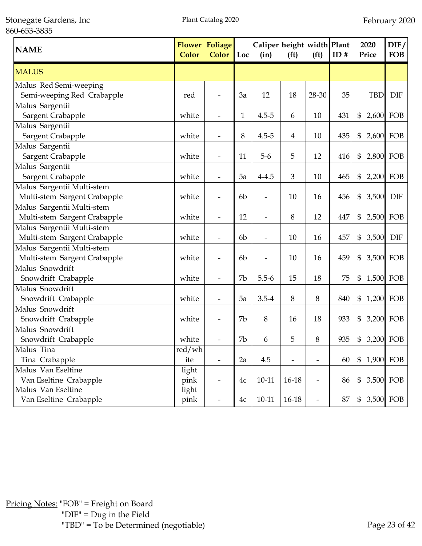Stonegate Gardens, Inc 860-653-3835

| <b>NAME</b>                  | Color  | <b>Flower Foliage</b><br><b>Color</b> | Loc            | Caliper height width Plant<br>(in) | (f <sup>t</sup> ) | (f <sup>t</sup> )        | ID# | 2020<br>Price             | DIF/<br><b>FOB</b> |
|------------------------------|--------|---------------------------------------|----------------|------------------------------------|-------------------|--------------------------|-----|---------------------------|--------------------|
| <b>MALUS</b>                 |        |                                       |                |                                    |                   |                          |     |                           |                    |
| Malus Red Semi-weeping       |        |                                       |                |                                    |                   |                          |     |                           |                    |
| Semi-weeping Red Crabapple   | red    |                                       | 3a             | 12                                 | 18                | 28-30                    | 35  | <b>TBD</b>                | <b>DIF</b>         |
| Malus Sargentii              |        |                                       |                |                                    |                   |                          |     |                           |                    |
| Sargent Crabapple            | white  |                                       | $\mathbf{1}$   | $4.5 - 5$                          | 6                 | 10                       | 431 | \$                        | 2,600 FOB          |
| Malus Sargentii              |        |                                       |                |                                    |                   |                          |     |                           |                    |
| Sargent Crabapple            | white  |                                       | 8              | $4.5 - 5$                          | 4                 | 10                       | 435 | \$                        | 2,600 FOB          |
| Malus Sargentii              |        |                                       |                |                                    |                   |                          |     |                           |                    |
| Sargent Crabapple            | white  |                                       | 11             | $5-6$                              | 5                 | 12                       | 416 | \$                        | 2,800 FOB          |
| Malus Sargentii              |        |                                       |                |                                    |                   |                          |     |                           |                    |
| Sargent Crabapple            | white  |                                       | 5a             | $4 - 4.5$                          | 3                 | 10                       | 465 | \$                        | 2,200 FOB          |
| Malus Sargentii Multi-stem   |        |                                       |                |                                    |                   |                          |     |                           |                    |
| Multi-stem Sargent Crabapple | white  |                                       | 6 <sub>b</sub> | $\overline{\phantom{a}}$           | 10                | 16                       | 456 | 3,500<br>\$               | <b>DIF</b>         |
| Malus Sargentii Multi-stem   |        |                                       |                |                                    |                   |                          |     |                           |                    |
| Multi-stem Sargent Crabapple | white  | $\overline{\phantom{a}}$              | 12             | $\overline{\phantom{a}}$           | $\, 8$            | 12                       | 447 | \$                        | 2,500 FOB          |
| Malus Sargentii Multi-stem   |        |                                       |                |                                    |                   |                          |     |                           |                    |
| Multi-stem Sargent Crabapple | white  | $\overline{\phantom{a}}$              | 6b             | $\overline{\phantom{0}}$           | 10                | 16                       | 457 | 3,500<br>\$               | <b>DIF</b>         |
| Malus Sargentii Multi-stem   |        |                                       |                |                                    |                   |                          |     |                           |                    |
| Multi-stem Sargent Crabapple | white  | $\overline{\phantom{a}}$              | 6 <sub>b</sub> | $\overline{\phantom{0}}$           | 10                | 16                       | 459 | \$                        | 3,500 FOB          |
| Malus Snowdrift              |        |                                       |                |                                    |                   |                          |     |                           |                    |
| Snowdrift Crabapple          | white  |                                       | 7b             | $5.5 - 6$                          | 15                | 18                       | 75  | \$                        | 1,500 FOB          |
| Malus Snowdrift              |        |                                       |                |                                    |                   |                          |     |                           |                    |
| Snowdrift Crabapple          | white  |                                       | 5a             | $3.5 - 4$                          | 8                 | 8                        | 840 | \$                        | 1,200 FOB          |
| Malus Snowdrift              |        |                                       |                |                                    |                   |                          |     |                           |                    |
| Snowdrift Crabapple          | white  |                                       | 7b             | 8                                  | 16                | 18                       | 933 | $\boldsymbol{\mathsf{S}}$ | 3,200 FOB          |
| Malus Snowdrift              |        |                                       |                |                                    |                   |                          |     |                           |                    |
| Snowdrift Crabapple          | white  |                                       | 7b             | 6                                  | 5                 | 8                        | 935 | \$                        | 3,200 FOB          |
| Malus Tina                   | red/wh |                                       |                |                                    |                   |                          |     |                           |                    |
| Tina Crabapple               | ite    |                                       | 2a             | 4.5                                |                   | $\overline{\phantom{0}}$ | 60  | $\mathfrak{S}$            | 1,900 FOB          |
| Malus Van Eseltine           | light  |                                       |                |                                    |                   |                          |     |                           |                    |
| Van Eseltine Crabapple       | pink   |                                       | 4c             | $10 - 11$                          | 16-18             | $\overline{\phantom{m}}$ | 86  | $\mathfrak{S}$            | 3,500 FOB          |
| Malus Van Eseltine           | light  |                                       |                |                                    |                   |                          |     |                           |                    |
| Van Eseltine Crabapple       | pink   |                                       | 4c             | $10 - 11$                          | 16-18             |                          | 87  | \$                        | 3,500 FOB          |

Pricing Notes: "FOB" = Freight on Board "DIF" = Dug in the Field "TBD" = To be Determined (negotiable) Page 23 of 42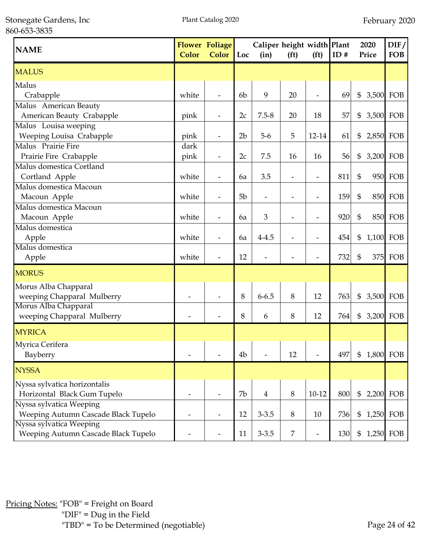| <b>NAME</b>                         | Color | <b>Flower Foliage</b><br><b>Color</b> | $\blacksquare$ Loc | Caliper height width Plant<br>(in) | (f <sup>t</sup> )        | (f <sup>t</sup> )        | ID# |                | 2020<br>Price | DIF/<br><b>FOB</b> |
|-------------------------------------|-------|---------------------------------------|--------------------|------------------------------------|--------------------------|--------------------------|-----|----------------|---------------|--------------------|
| <b>MALUS</b>                        |       |                                       |                    |                                    |                          |                          |     |                |               |                    |
| Malus<br>Crabapple                  | white |                                       | 6 <sub>b</sub>     | 9                                  | 20                       | $\overline{\phantom{0}}$ | 69  | \$             | 3,500         | FOB                |
| Malus American Beauty               |       |                                       |                    |                                    |                          |                          |     |                |               |                    |
| American Beauty Crabapple           | pink  | $\overline{\phantom{a}}$              | 2c                 | $7.5 - 8$                          | 20                       | 18                       | 57  | \$             | 3,500 FOB     |                    |
| Malus Louisa weeping                |       |                                       |                    |                                    |                          |                          |     |                |               |                    |
| Weeping Louisa Crabapple            | pink  | $\overline{\phantom{a}}$              | 2 <sub>b</sub>     | $5-6$                              | 5                        | 12-14                    | 61  | \$             | 2,850 FOB     |                    |
| Malus Prairie Fire                  | dark  |                                       |                    |                                    |                          |                          |     |                |               |                    |
| Prairie Fire Crabapple              | pink  | $\overline{\phantom{a}}$              | 2c                 | 7.5                                | 16                       | 16                       | 56  | \$             | 3,200 FOB     |                    |
| Malus domestica Cortland            |       |                                       |                    |                                    |                          |                          |     |                |               |                    |
| Cortland Apple                      | white | $\overline{\phantom{a}}$              | 6a                 | 3.5                                | $\overline{\phantom{0}}$ | -                        | 811 | \$             | 950           | FOB                |
| Malus domestica Macoun              |       |                                       |                    |                                    |                          |                          |     |                |               |                    |
| Macoun Apple                        | white |                                       | 5 <sub>b</sub>     |                                    |                          | -                        | 159 | $\mathfrak{S}$ | 850           | FOB                |
| Malus domestica Macoun              |       |                                       |                    |                                    |                          |                          |     |                |               |                    |
| Macoun Apple                        | white |                                       | 6a                 | 3                                  |                          | $\overline{\phantom{0}}$ | 920 | $\mathfrak{S}$ |               | <b>850 FOB</b>     |
| Malus domestica                     |       |                                       |                    |                                    |                          |                          |     |                |               |                    |
| Apple                               | white |                                       | 6a                 | $4 - 4.5$                          |                          | -                        | 454 | \$             | 1,100 FOB     |                    |
| Malus domestica                     |       |                                       |                    |                                    |                          |                          |     |                |               |                    |
| Apple                               | white |                                       | 12                 |                                    |                          | -                        | 732 | \$             | 375           | FOB                |
| <b>MORUS</b>                        |       |                                       |                    |                                    |                          |                          |     |                |               |                    |
| Morus Alba Chapparal                |       |                                       |                    |                                    |                          |                          |     |                |               |                    |
| weeping Chapparal Mulberry          |       |                                       | 8                  | $6 - 6.5$                          | 8                        | 12                       | 763 | \$             | 3,500 FOB     |                    |
| Morus Alba Chapparal                |       |                                       |                    |                                    |                          |                          |     |                |               |                    |
| weeping Chapparal Mulberry          |       |                                       | 8                  | 6                                  | 8                        | 12                       | 764 | \$             | 3,200 FOB     |                    |
| <b>MYRICA</b>                       |       |                                       |                    |                                    |                          |                          |     |                |               |                    |
| Myrica Cerifera                     |       |                                       |                    |                                    |                          |                          |     |                |               |                    |
| Bayberry                            |       |                                       | 4 <sub>b</sub>     |                                    | 12                       |                          | 497 | \$             | 1,800         | FOB                |
| <b>NYSSA</b>                        |       |                                       |                    |                                    |                          |                          |     |                |               |                    |
| Nyssa sylvatica horizontalis        |       |                                       |                    |                                    |                          |                          |     |                |               |                    |
| Horizontal Black Gum Tupelo         |       |                                       | 7b                 | $\overline{4}$                     | $\, 8$                   | $10 - 12$                | 800 | $\mathfrak{S}$ | 2,200 FOB     |                    |
| Nyssa sylvatica Weeping             |       |                                       |                    |                                    |                          |                          |     |                |               |                    |
| Weeping Autumn Cascade Black Tupelo |       |                                       | 12                 | $3 - 3.5$                          | 8                        | 10                       | 736 | \$             | 1,250 FOB     |                    |
| Nyssa sylvatica Weeping             |       |                                       |                    |                                    |                          |                          |     |                |               |                    |
| Weeping Autumn Cascade Black Tupelo |       |                                       | 11                 | $3 - 3.5$                          | $\overline{7}$           | -                        | 130 | \$             |               | 1,250 FOB          |

Pricing Notes: "FOB" = Freight on Board "DIF" = Dug in the Field "TBD" = To be Determined (negotiable) Page 24 of 42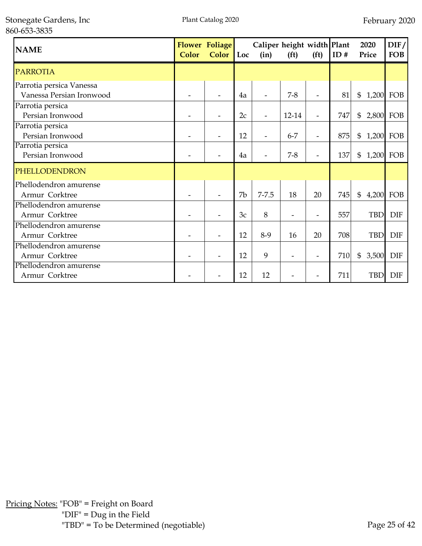| <b>NAME</b>              | Color | <b>Flower Foliage</b><br><b>Color</b> | Loc | Caliper height width Plant<br>(in) | (f <sup>t</sup> ) | (f <sup>t</sup> )        | ID# | 2020<br>Price   | DIF/<br><b>FOB</b> |
|--------------------------|-------|---------------------------------------|-----|------------------------------------|-------------------|--------------------------|-----|-----------------|--------------------|
| <b>PARROTIA</b>          |       |                                       |     |                                    |                   |                          |     |                 |                    |
| Parrotia persica Vanessa |       |                                       |     |                                    |                   |                          |     |                 |                    |
| Vanessa Persian Ironwood |       |                                       | 4a  |                                    | $7 - 8$           | $\overline{\phantom{a}}$ | 81  | \$<br>1,200 FOB |                    |
| Parrotia persica         |       |                                       |     |                                    |                   |                          |     |                 |                    |
| Persian Ironwood         |       |                                       | 2c  |                                    | 12-14             | ÷                        | 747 | \$<br>2,800 FOB |                    |
| Parrotia persica         |       |                                       |     |                                    |                   |                          |     |                 |                    |
| Persian Ironwood         |       |                                       | 12  |                                    | $6 - 7$           | $\overline{\phantom{0}}$ | 875 | \$<br>1,200 FOB |                    |
| Parrotia persica         |       |                                       |     |                                    |                   |                          |     |                 |                    |
| Persian Ironwood         |       |                                       | 4a  |                                    | $7 - 8$           | $\overline{\phantom{a}}$ | 137 | \$<br>1,200 FOB |                    |
| PHELLODENDRON            |       |                                       |     |                                    |                   |                          |     |                 |                    |
| Phellodendron amurense   |       |                                       |     |                                    |                   |                          |     |                 |                    |
| Armur Corktree           |       |                                       | 7b  | $7 - 7.5$                          | 18                | 20                       | 745 | \$              | 4,200 FOB          |
| Phellodendron amurense   |       |                                       |     |                                    |                   |                          |     |                 |                    |
| Armur Corktree           |       |                                       | 3c  | 8                                  |                   | $\overline{\phantom{0}}$ | 557 | <b>TBD</b>      | <b>DIF</b>         |
| Phellodendron amurense   |       |                                       |     |                                    |                   |                          |     |                 |                    |
| Armur Corktree           |       |                                       | 12  | $8-9$                              | 16                | 20                       | 708 | <b>TBD</b>      | <b>DIF</b>         |
| Phellodendron amurense   |       |                                       |     |                                    |                   |                          |     |                 |                    |
| Armur Corktree           |       |                                       | 12  | 9                                  |                   | -                        | 710 | \$<br>3,500     | <b>DIF</b>         |
| Phellodendron amurense   |       |                                       |     |                                    |                   |                          |     |                 |                    |
| Armur Corktree           |       |                                       | 12  | 12                                 |                   |                          | 711 | <b>TBD</b>      | <b>DIF</b>         |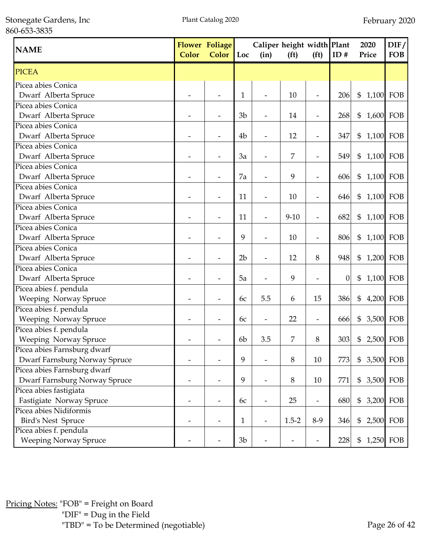Stonegate Gardens, Inc 860-653-3835

| <b>NAME</b>                   | Color | Flower Foliage<br><b>Color</b> | Loc            | Caliper height width Plant<br>(in) | (f <sup>t</sup> ) | (f <sup>t</sup> )        | ID#              | 2020<br>Price               | DIF/<br><b>FOB</b> |
|-------------------------------|-------|--------------------------------|----------------|------------------------------------|-------------------|--------------------------|------------------|-----------------------------|--------------------|
| <b>PICEA</b>                  |       |                                |                |                                    |                   |                          |                  |                             |                    |
| Picea abies Conica            |       |                                |                |                                    |                   |                          |                  |                             |                    |
| Dwarf Alberta Spruce          |       |                                | 1              | $\frac{1}{2}$                      | 10                | $\overline{\phantom{a}}$ | 206              | $\mathfrak{S}$<br>1,100 FOB |                    |
| Picea abies Conica            |       |                                |                |                                    |                   |                          |                  |                             |                    |
| Dwarf Alberta Spruce          |       |                                | 3 <sub>b</sub> |                                    | 14                | $\overline{\phantom{m}}$ | 268              | 1,600 FOB<br>\$             |                    |
| Picea abies Conica            |       |                                |                |                                    |                   |                          |                  |                             |                    |
| Dwarf Alberta Spruce          |       |                                | 4 <sub>b</sub> | $\overline{\phantom{a}}$           | 12                | $\overline{\phantom{m}}$ | 347              | $\$\$<br>1,100 FOB          |                    |
| Picea abies Conica            |       |                                |                |                                    |                   |                          |                  |                             |                    |
| Dwarf Alberta Spruce          |       |                                | 3a             | $\overline{\phantom{a}}$           | 7                 | $\overline{\phantom{a}}$ | 549              | 1,100 FOB<br>$\$\$          |                    |
| Picea abies Conica            |       |                                |                |                                    |                   |                          |                  |                             |                    |
| Dwarf Alberta Spruce          |       |                                | 7a             | $\overline{\phantom{a}}$           | 9                 | $\overline{\phantom{a}}$ | 606              | \$<br>1,100 FOB             |                    |
| Picea abies Conica            |       |                                |                |                                    |                   |                          |                  |                             |                    |
| Dwarf Alberta Spruce          |       |                                | 11             | $\overline{\phantom{a}}$           | 10                | $\overline{\phantom{a}}$ | 646              | \$ 1,100 FOB                |                    |
| Picea abies Conica            |       |                                |                |                                    |                   |                          |                  |                             |                    |
| Dwarf Alberta Spruce          |       |                                | 11             | $\overline{a}$                     | $9 - 10$          | $\overline{\phantom{m}}$ | 682              | \$<br>1,100 FOB             |                    |
| Picea abies Conica            |       |                                |                |                                    |                   |                          |                  |                             |                    |
| Dwarf Alberta Spruce          |       |                                | 9              |                                    | 10                | $\overline{\phantom{a}}$ | 806              | 1,100 FOB<br>$\mathfrak{S}$ |                    |
| Picea abies Conica            |       |                                |                |                                    |                   |                          |                  |                             |                    |
| Dwarf Alberta Spruce          |       |                                | 2 <sub>b</sub> |                                    | 12                | 8                        | 948              | \$                          | 1,200 FOB          |
| Picea abies Conica            |       |                                |                |                                    |                   |                          |                  |                             |                    |
| Dwarf Alberta Spruce          |       |                                | 5a             |                                    | 9                 |                          | $\boldsymbol{0}$ | \$                          | 1,100 FOB          |
| Picea abies f. pendula        |       |                                |                |                                    |                   |                          |                  |                             |                    |
| Weeping Norway Spruce         |       |                                | 6c             | 5.5                                | 6                 | 15                       | 386              | \$                          | 4,200 FOB          |
| Picea abies f. pendula        |       |                                |                |                                    |                   |                          |                  |                             |                    |
| Weeping Norway Spruce         |       |                                | 6c             | $\overline{\phantom{a}}$           | 22                | $\overline{\phantom{a}}$ | 666              | \$<br>3,500 FOB             |                    |
| Picea abies f. pendula        |       |                                |                |                                    |                   |                          |                  |                             |                    |
| Weeping Norway Spruce         |       |                                | 6 <sub>b</sub> | 3.5                                | 7                 | 8                        | 303              | 2,500 FOB<br>\$             |                    |
| Picea abies Farnsburg dwarf   |       |                                |                |                                    |                   |                          |                  |                             |                    |
| Dwarf Farnsburg Norway Spruce |       |                                | 9              |                                    | 8                 | 10                       | 773              | 3,500 FOB<br>$\$\$          |                    |
| Picea abies Farnsburg dwarf   |       |                                |                |                                    |                   |                          |                  |                             |                    |
| Dwarf Farnsburg Norway Spruce |       |                                | 9              | $\qquad \qquad \blacksquare$       | 8                 | 10                       | 771              | \$                          | 3,500 FOB          |
| Picea abies fastigiata        |       |                                |                |                                    |                   |                          |                  |                             |                    |
| Fastigiate Norway Spruce      |       | $\overline{\phantom{0}}$       | 6c             | $\overline{\phantom{a}}$           | 25                | $\overline{\phantom{a}}$ | 680              | $\$\$<br>3,200 FOB          |                    |
| Picea abies Nidiformis        |       |                                |                |                                    |                   |                          |                  |                             |                    |
| <b>Bird's Nest Spruce</b>     |       |                                | $\mathbf{1}$   | $\overline{\phantom{a}}$           | $1.5 - 2$         | $8-9$                    | 346              | \$                          | 2,500 FOB          |
| Picea abies f. pendula        |       |                                |                |                                    |                   |                          |                  |                             |                    |
| <b>Weeping Norway Spruce</b>  |       |                                | 3 <sub>b</sub> |                                    |                   |                          | 228              | \$                          | 1,250 FOB          |

Pricing Notes: "FOB" = Freight on Board "DIF" = Dug in the Field "TBD" = To be Determined (negotiable) Page 26 of 42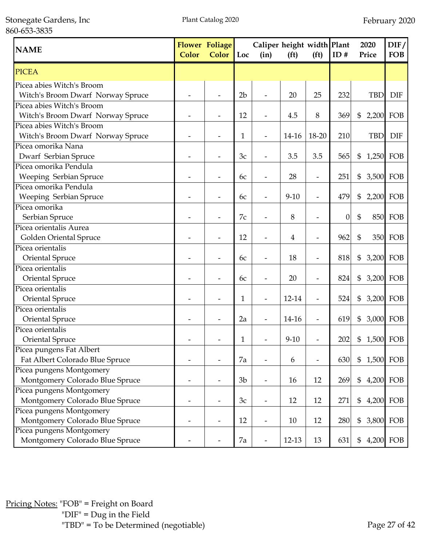Stonegate Gardens, Inc 860-653-3835

| <b>NAME</b>                       | <b>Color</b> | <b>Flower Foliage</b><br>Color | Loc            | Caliper height width Plant<br>(in) | (f <sup>t</sup> ) | (f <sup>t</sup> )        | ID#              | 2020<br>Price      | DIF/<br><b>FOB</b> |
|-----------------------------------|--------------|--------------------------------|----------------|------------------------------------|-------------------|--------------------------|------------------|--------------------|--------------------|
| PICEA                             |              |                                |                |                                    |                   |                          |                  |                    |                    |
| Picea abies Witch's Broom         |              |                                |                |                                    |                   |                          |                  |                    |                    |
| Witch's Broom Dwarf Norway Spruce |              |                                | 2 <sub>b</sub> |                                    | 20                | 25                       | 232              | <b>TBD</b>         | <b>DIF</b>         |
| Picea abies Witch's Broom         |              |                                |                |                                    |                   |                          |                  |                    |                    |
| Witch's Broom Dwarf Norway Spruce |              |                                | 12             |                                    | 4.5               | 8                        | 369              | 2,200 FOB<br>\$    |                    |
| Picea abies Witch's Broom         |              |                                |                |                                    |                   |                          |                  |                    |                    |
| Witch's Broom Dwarf Norway Spruce |              |                                | 1              | $\overline{a}$                     | 14-16             | 18-20                    | 210              | <b>TBD</b>         | <b>DIF</b>         |
| Picea omorika Nana                |              |                                |                |                                    |                   |                          |                  |                    |                    |
| Dwarf Serbian Spruce              |              |                                | 3c             |                                    | 3.5               | 3.5                      | 565              | $1,250$ FOB<br>\$  |                    |
| Picea omorika Pendula             |              |                                |                |                                    |                   |                          |                  |                    |                    |
| Weeping Serbian Spruce            |              |                                | 6c             | $\overline{\phantom{0}}$           | 28                | $\overline{\phantom{m}}$ | 251              | \$<br>3,500 FOB    |                    |
| Picea omorika Pendula             |              |                                |                |                                    |                   |                          |                  |                    |                    |
| Weeping Serbian Spruce            |              |                                | 6c             |                                    | $9 - 10$          | $\overline{\phantom{m}}$ | 479              | \$                 | 2,200 FOB          |
| Picea omorika                     |              |                                |                |                                    |                   |                          |                  |                    |                    |
| Serbian Spruce                    |              |                                | 7c             |                                    | 8                 | $\overline{\phantom{a}}$ | $\boldsymbol{0}$ | \$                 | <b>850 FOB</b>     |
| Picea orientalis Aurea            |              |                                |                |                                    |                   |                          |                  |                    |                    |
| Golden Oriental Spruce            |              |                                | 12             |                                    | 4                 |                          | 962              | $\mathfrak{S}$     | 350 FOB            |
| Picea orientalis                  |              |                                |                |                                    |                   |                          |                  |                    |                    |
| Oriental Spruce                   |              |                                | 6c             |                                    | 18                |                          | 818              | \$                 | 3,200 FOB          |
| Picea orientalis                  |              |                                |                |                                    |                   |                          |                  |                    |                    |
| Oriental Spruce                   |              |                                | 6c             |                                    | 20                |                          | 824              | \$<br>3,200 FOB    |                    |
| Picea orientalis                  |              |                                |                |                                    |                   |                          |                  |                    |                    |
| Oriental Spruce                   |              |                                | 1              |                                    | 12-14             |                          | 524              | \$                 | 3,200 FOB          |
| Picea orientalis                  |              |                                |                |                                    |                   |                          |                  |                    |                    |
| Oriental Spruce                   |              |                                | 2a             |                                    | 14-16             | ÷                        | 619              | \$                 | 3,000 FOB          |
| Picea orientalis                  |              |                                |                |                                    |                   |                          |                  |                    |                    |
| Oriental Spruce                   |              |                                | 1              |                                    | $9 - 10$          |                          | 202              | 1,500 FOB<br>\$    |                    |
| Picea pungens Fat Albert          |              |                                |                |                                    |                   |                          |                  |                    |                    |
| Fat Albert Colorado Blue Spruce   |              |                                | 7a             |                                    | 6                 | $\overline{\phantom{a}}$ | 630              | $\$\$<br>1,500 FOB |                    |
| Picea pungens Montgomery          |              |                                |                |                                    |                   |                          |                  |                    |                    |
| Montgomery Colorado Blue Spruce   |              |                                | 3 <sub>b</sub> | $\overline{a}$                     | 16                | 12                       | 269              | \$                 | 4,200 FOB          |
| Picea pungens Montgomery          |              |                                |                |                                    |                   |                          |                  |                    |                    |
| Montgomery Colorado Blue Spruce   |              | $\overline{\phantom{a}}$       | 3c             | $\overline{a}$                     | 12                | 12                       | 271              | \$                 | 4,200 FOB          |
| Picea pungens Montgomery          |              |                                |                |                                    |                   |                          |                  |                    |                    |
| Montgomery Colorado Blue Spruce   |              |                                | 12             |                                    | 10                | 12                       | 280              | \$                 | 3,800 FOB          |
| Picea pungens Montgomery          |              |                                |                |                                    |                   |                          |                  |                    |                    |
| Montgomery Colorado Blue Spruce   |              |                                | 7a             |                                    | $12-13$           | 13                       | 631              | \$                 | 4,200 FOB          |

Pricing Notes: "FOB" = Freight on Board "DIF" = Dug in the Field "TBD" = To be Determined (negotiable) Page 27 of 42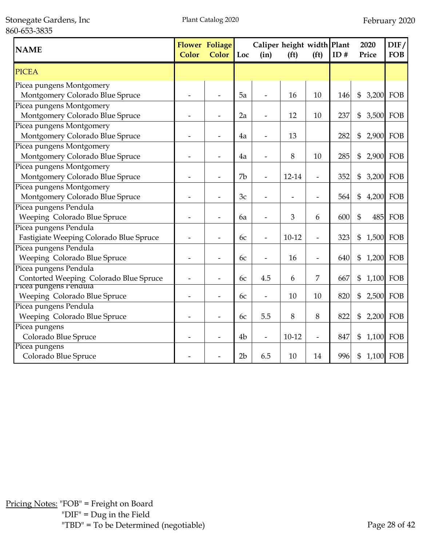Stonegate Gardens, Inc 860-653-3835

| <b>NAME</b>                             | <b>Color</b> | <b>Flower Foliage</b><br><b>Color</b> | Loc            | Caliper height width Plant<br>(in) | (f <sup>t</sup> ) | (f <sup>t</sup> ) | ID# | 2020<br>Price   | DIF/<br><b>FOB</b> |
|-----------------------------------------|--------------|---------------------------------------|----------------|------------------------------------|-------------------|-------------------|-----|-----------------|--------------------|
| <b>PICEA</b>                            |              |                                       |                |                                    |                   |                   |     |                 |                    |
| Picea pungens Montgomery                |              |                                       |                |                                    |                   |                   |     |                 |                    |
| Montgomery Colorado Blue Spruce         |              |                                       | 5a             |                                    | 16                | 10                | 146 | \$<br>3,200 FOB |                    |
| Picea pungens Montgomery                |              |                                       |                |                                    |                   |                   |     |                 |                    |
| Montgomery Colorado Blue Spruce         |              |                                       | 2a             |                                    | 12                | 10                | 237 | \$<br>3,500 FOB |                    |
| Picea pungens Montgomery                |              |                                       |                |                                    |                   |                   |     |                 |                    |
| Montgomery Colorado Blue Spruce         |              |                                       | 4a             |                                    | 13                |                   | 282 | \$<br>2,900 FOB |                    |
| Picea pungens Montgomery                |              |                                       |                |                                    |                   |                   |     |                 |                    |
| Montgomery Colorado Blue Spruce         |              |                                       | 4a             |                                    | 8                 | 10                | 285 | \$              | 2,900 FOB          |
| Picea pungens Montgomery                |              |                                       |                |                                    |                   |                   |     |                 |                    |
| Montgomery Colorado Blue Spruce         |              | $\overline{\phantom{0}}$              | 7b             |                                    | 12-14             | $\overline{a}$    | 352 | \$<br>3,200 FOB |                    |
| Picea pungens Montgomery                |              |                                       |                |                                    |                   |                   |     |                 |                    |
| Montgomery Colorado Blue Spruce         |              |                                       | 3c             |                                    |                   | $\overline{a}$    | 564 | \$<br>4,200 FOB |                    |
| Picea pungens Pendula                   |              |                                       |                |                                    |                   |                   |     |                 |                    |
| Weeping Colorado Blue Spruce            |              |                                       | 6a             |                                    | 3                 | 6                 | 600 | \$<br>485       | FOB                |
| Picea pungens Pendula                   |              |                                       |                |                                    |                   |                   |     |                 |                    |
| Fastigiate Weeping Colorado Blue Spruce |              |                                       | 6c             |                                    | $10-12$           | -                 | 323 | \$<br>1,500 FOB |                    |
| Picea pungens Pendula                   |              |                                       |                |                                    |                   |                   |     |                 |                    |
| Weeping Colorado Blue Spruce            |              |                                       | 6c             |                                    | 16                | ÷                 | 640 | \$<br>1,200 FOB |                    |
| Picea pungens Pendula                   |              |                                       |                |                                    |                   |                   |     |                 |                    |
| Contorted Weeping Colorado Blue Spruce  |              | $\overline{\phantom{0}}$              | 6с             | 4.5                                | 6                 | 7                 | 667 | \$<br>1,100 FOB |                    |
| Picea pungens Pendula                   |              |                                       |                |                                    |                   |                   |     |                 |                    |
| Weeping Colorado Blue Spruce            |              | $\overline{\phantom{0}}$              | 6с             | $\overline{\phantom{0}}$           | 10                | 10                | 820 | \$<br>2,500 FOB |                    |
| Picea pungens Pendula                   |              |                                       |                |                                    |                   |                   |     |                 |                    |
| Weeping Colorado Blue Spruce            |              |                                       | 6c             | 5.5                                | 8                 | 8                 | 822 | \$              | 2,200 FOB          |
| Picea pungens                           |              |                                       |                |                                    |                   |                   |     |                 |                    |
| Colorado Blue Spruce                    |              |                                       | 4 <sub>b</sub> | -                                  | $10-12$           | $\overline{a}$    | 847 | \$<br>1,100 FOB |                    |
| Picea pungens                           |              |                                       |                |                                    |                   |                   |     |                 |                    |
| Colorado Blue Spruce                    |              |                                       | 2 <sub>b</sub> | 6.5                                | 10                | 14                | 996 | 1,100 FOB<br>\$ |                    |

Pricing Notes: "FOB" = Freight on Board "DIF" = Dug in the Field "TBD" = To be Determined (negotiable) Page 28 of 42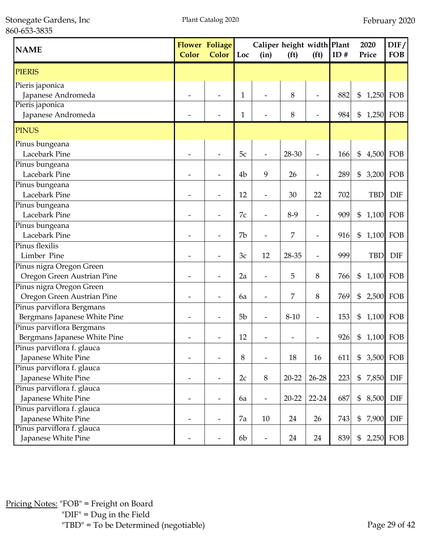Stonegate Gardens, Inc 860-653-3835

| <b>NAME</b>                                               | <b>Color</b> | <b>Flower Foliage</b><br><b>Color</b> | Loc            | Caliper height width Plant<br>(in) | (f <sup>t</sup> ) | (f <sup>t</sup> )        | ID# | 2020<br>Price  | DIF/<br><b>FOB</b> |
|-----------------------------------------------------------|--------------|---------------------------------------|----------------|------------------------------------|-------------------|--------------------------|-----|----------------|--------------------|
| <b>PIERIS</b>                                             |              |                                       |                |                                    |                   |                          |     |                |                    |
| Pieris japonica<br>Japanese Andromeda                     |              |                                       | 1              |                                    | 8                 | $\overline{\phantom{0}}$ | 882 | \$<br>1,250    | FOB                |
| Pieris japonica<br>Japanese Andromeda                     |              |                                       | 1              |                                    | 8                 |                          | 984 | \$             | 1,250 FOB          |
| <b>PINUS</b>                                              |              |                                       |                |                                    |                   |                          |     |                |                    |
| Pinus bungeana<br>Lacebark Pine                           |              |                                       | 5c             | $\overline{\phantom{a}}$           | 28-30             | ÷                        | 166 | \$<br>4,500    | FOB                |
| Pinus bungeana<br>Lacebark Pine                           |              |                                       | 4 <sub>b</sub> | 9                                  | 26                | $\overline{\phantom{0}}$ | 289 | 3,200<br>\$    | FOB                |
| Pinus bungeana<br>Lacebark Pine                           |              |                                       | 12             | $\overline{\phantom{0}}$           | 30                | 22                       | 702 | <b>TBD</b>     | <b>DIF</b>         |
| Pinus bungeana<br>Lacebark Pine                           |              |                                       | 7c             |                                    | $8-9$             | $\overline{\phantom{a}}$ | 909 | \$             | 1,100 FOB          |
| Pinus bungeana<br>Lacebark Pine                           |              |                                       | 7b             |                                    | 7                 | Ĭ.                       | 916 | \$             | 1,100 FOB          |
| Pinus flexilis<br>Limber Pine                             |              |                                       | 3c             | 12                                 | 28-35             | $\overline{\phantom{m}}$ | 999 | <b>TBD</b>     | <b>DIF</b>         |
| Pinus nigra Oregon Green<br>Oregon Green Austrian Pine    |              |                                       | 2a             |                                    | 5                 | 8                        | 766 | \$             | 1,100 FOB          |
| Pinus nigra Oregon Green<br>Oregon Green Austrian Pine    |              |                                       | 6a             |                                    | 7                 | 8                        | 769 | \$             | 2,500 FOB          |
| Pinus parviflora Bergmans<br>Bergmans Japanese White Pine |              |                                       | 5 <sub>b</sub> |                                    | $8-10$            |                          | 153 | \$             | 1,100 FOB          |
| Pinus parviflora Bergmans<br>Bergmans Japanese White Pine |              |                                       | 12             |                                    |                   |                          | 926 | \$             | 1,100 FOB          |
| Pinus parviflora f. glauca<br>Japanese White Pine         |              |                                       | 8              |                                    | 18                | 16                       | 611 | \$             | 3,500 FOB          |
| Pinus parviflora f. glauca<br>Japanese White Pine         |              |                                       | 2c             | 8                                  | $20 - 22$         | $26 - 28$                | 223 | $\$\$<br>7,850 | DIF                |
| Pinus parviflora f. glauca<br>Japanese White Pine         |              |                                       | 6a             | $\overline{\phantom{a}}$           | $20 - 22$         | $22 - 24$                | 687 | \$<br>8,500    | DIF                |
| Pinus parviflora f. glauca<br>Japanese White Pine         |              |                                       | 7a             | 10                                 | 24                | 26                       | 743 | \$<br>7,900    | DIF                |
| Pinus parviflora f. glauca<br>Japanese White Pine         |              |                                       | 6b             | $\overline{\phantom{a}}$           | 24                | 24                       | 839 | \$             | 2,250 FOB          |

Pricing Notes: "FOB" = Freight on Board "DIF" = Dug in the Field "TBD" = To be Determined (negotiable) Page 29 of 42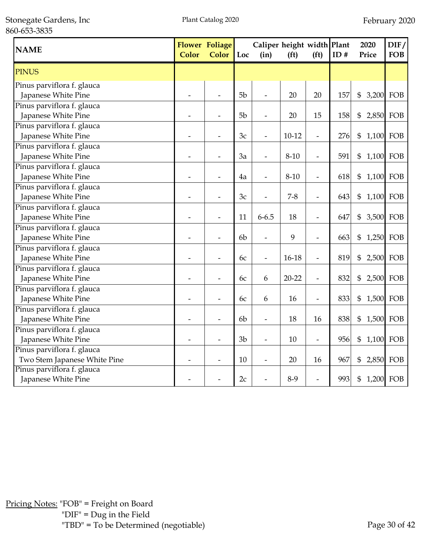Stonegate Gardens, Inc 860-653-3835

| <b>NAME</b>                                       | <b>Color</b> | <b>Flower Foliage</b><br><b>Color</b> | Loc            | Caliper height width Plant<br>(in) | (f <sup>t</sup> ) | (f <sup>t</sup> )        | ID# | 2020<br>Price   | DIF/<br><b>FOB</b> |
|---------------------------------------------------|--------------|---------------------------------------|----------------|------------------------------------|-------------------|--------------------------|-----|-----------------|--------------------|
| <b>PINUS</b>                                      |              |                                       |                |                                    |                   |                          |     |                 |                    |
| Pinus parviflora f. glauca<br>Japanese White Pine |              |                                       | 5 <sub>b</sub> | $\overline{a}$                     | 20                | 20                       | 157 | \$              | 3,200 FOB          |
| Pinus parviflora f. glauca                        |              |                                       |                |                                    |                   |                          |     |                 |                    |
| Japanese White Pine                               |              |                                       | 5 <sub>b</sub> |                                    | 20                | 15                       | 158 | \$              | 2,850 FOB          |
| Pinus parviflora f. glauca                        |              |                                       |                |                                    |                   |                          |     |                 |                    |
| Japanese White Pine                               |              | $\overline{\phantom{0}}$              | 3c             | $\overline{\phantom{0}}$           | $10 - 12$         | $\overline{\phantom{a}}$ | 276 | \$<br>1,100 FOB |                    |
| Pinus parviflora f. glauca                        |              |                                       |                |                                    |                   |                          |     |                 |                    |
| Japanese White Pine                               |              |                                       | 3a             |                                    | $8 - 10$          | $\overline{\phantom{a}}$ | 591 | \$<br>1,100 FOB |                    |
| Pinus parviflora f. glauca                        |              |                                       |                |                                    |                   |                          |     |                 |                    |
| Japanese White Pine                               |              |                                       | 4a             |                                    | $8 - 10$          | $\overline{\phantom{a}}$ | 618 | \$              | 1,100 FOB          |
| Pinus parviflora f. glauca                        |              |                                       |                |                                    |                   |                          |     |                 |                    |
| Japanese White Pine                               |              |                                       | 3c             | $\overline{\phantom{0}}$           | $7 - 8$           | $\overline{\phantom{a}}$ | 643 | \$<br>1,100     | FOB                |
| Pinus parviflora f. glauca                        |              |                                       |                |                                    |                   |                          |     |                 |                    |
| Japanese White Pine                               | -            |                                       | 11             | $6 - 6.5$                          | 18                | $\overline{a}$           | 647 | \$              | 3,500 FOB          |
| Pinus parviflora f. glauca                        |              |                                       |                |                                    |                   |                          |     |                 |                    |
| Japanese White Pine                               |              |                                       | 6 <sub>b</sub> |                                    | 9                 | -                        | 663 | \$<br>1,250 FOB |                    |
| Pinus parviflora f. glauca                        |              |                                       |                |                                    |                   |                          |     |                 |                    |
| Japanese White Pine                               |              |                                       | 6с             | $\overline{\phantom{a}}$           | 16-18             | $\overline{\phantom{a}}$ | 819 | \$<br>2,500 FOB |                    |
| Pinus parviflora f. glauca                        |              |                                       |                |                                    |                   |                          |     |                 |                    |
| Japanese White Pine                               |              |                                       | 6c             | 6                                  | $20 - 22$         | $\overline{\phantom{a}}$ | 832 | \$              | 2,500 FOB          |
| Pinus parviflora f. glauca                        |              |                                       |                |                                    |                   |                          |     |                 |                    |
| Japanese White Pine                               |              |                                       | 6c             | 6                                  | 16                | $\overline{\phantom{a}}$ | 833 | \$              | 1,500 FOB          |
| Pinus parviflora f. glauca                        |              |                                       |                |                                    |                   |                          |     |                 |                    |
| Japanese White Pine                               |              | $\overline{\phantom{a}}$              | 6 <sub>b</sub> | $\overline{\phantom{a}}$           | 18                | 16                       | 838 | \$<br>1,500 FOB |                    |
| Pinus parviflora f. glauca                        |              |                                       |                |                                    |                   |                          |     |                 |                    |
| Japanese White Pine                               |              |                                       | 3 <sub>b</sub> |                                    | 10                | $\frac{1}{2}$            | 956 | \$<br>1,100 FOB |                    |
| Pinus parviflora f. glauca                        |              |                                       |                |                                    |                   |                          |     |                 |                    |
| Two Stem Japanese White Pine                      |              |                                       | 10             |                                    | 20                | 16                       | 967 | \$              | 2,850 FOB          |
| Pinus parviflora f. glauca                        |              |                                       |                |                                    |                   |                          |     |                 |                    |
| Japanese White Pine                               |              |                                       | 2c             |                                    | $8-9$             |                          | 993 | 1,200 FOB<br>\$ |                    |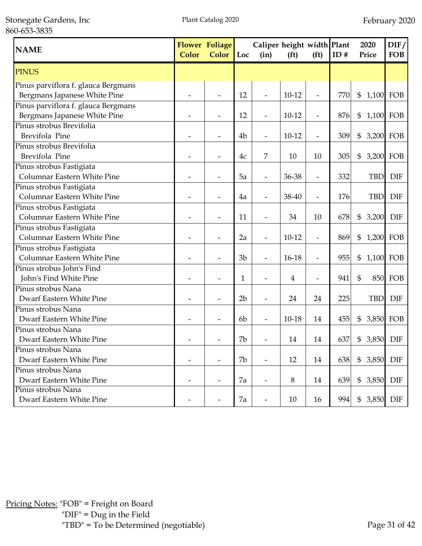Stonegate Gardens, Inc 860-653-3835

| <b>NAME</b>                                                         | <b>Color</b>             | <b>Flower Foliage</b><br><b>Color</b> | Loc            | Caliper height width Plant<br>(in) | (f <sup>t</sup> ) | (f <sup>t</sup> )        | ID# | 2020<br>Price                      | DIF/<br><b>FOB</b> |
|---------------------------------------------------------------------|--------------------------|---------------------------------------|----------------|------------------------------------|-------------------|--------------------------|-----|------------------------------------|--------------------|
| <b>PINUS</b>                                                        |                          |                                       |                |                                    |                   |                          |     |                                    |                    |
| Pinus parviflora f. glauca Bergmans<br>Bergmans Japanese White Pine |                          |                                       | 12             | $\overline{\phantom{a}}$           | $10-12$           | $\overline{a}$           | 770 | $\boldsymbol{\mathsf{S}}$<br>1,100 | FOB                |
| Pinus parviflora f. glauca Bergmans<br>Bergmans Japanese White Pine |                          |                                       | 12             |                                    | $10-12$           | $\overline{\phantom{a}}$ | 876 | \$<br>1,100 FOB                    |                    |
| Pinus strobus Brevifolia<br>Brevifola Pine                          |                          |                                       | 4 <sub>b</sub> | $\overline{\phantom{a}}$           | $10-12$           | $\overline{\phantom{a}}$ | 309 | \$<br>3,200                        | FOB                |
| Pinus strobus Brevifolia<br>Brevifola Pine                          |                          |                                       | 4c             | 7                                  | 10                | 10                       | 305 | \$<br>3,200 FOB                    |                    |
| Pinus strobus Fastigiata<br>Columnar Eastern White Pine             |                          |                                       | 5a             |                                    | 36-38             | $\overline{\phantom{a}}$ | 332 | <b>TBD</b>                         | <b>DIF</b>         |
| Pinus strobus Fastigiata<br>Columnar Eastern White Pine             |                          |                                       | 4a             |                                    | 38-40             | $\overline{\phantom{a}}$ | 176 | <b>TBD</b>                         | <b>DIF</b>         |
| Pinus strobus Fastigiata<br>Columnar Eastern White Pine             |                          |                                       | 11             |                                    | 34                | 10                       | 678 | \$<br>3,200                        | <b>DIF</b>         |
| Pinus strobus Fastigiata<br>Columnar Eastern White Pine             |                          |                                       | 2a             |                                    | $10-12$           |                          | 869 | \$<br>1,200                        | FOB                |
| Pinus strobus Fastigiata<br>Columnar Eastern White Pine             |                          |                                       | 3 <sub>b</sub> |                                    | 16-18             |                          | 955 | \$<br>1,100                        | FOB                |
| Pinus strobus John's Find<br>John's Find White Pine                 |                          |                                       | $\mathbf{1}$   |                                    | $\overline{4}$    |                          | 941 | $\mathfrak{S}$<br>850              | FOB                |
| Pinus strobus Nana<br>Dwarf Eastern White Pine                      |                          |                                       | 2 <sub>b</sub> |                                    | 24                | 24                       | 225 | <b>TBD</b>                         | <b>DIF</b>         |
| Pinus strobus Nana<br>Dwarf Eastern White Pine                      |                          |                                       | 6 <sub>b</sub> |                                    | $10 - 18$         | 14                       | 455 | \$<br>3,850                        | FOB                |
| Pinus strobus Nana<br>Dwarf Eastern White Pine                      |                          |                                       | 7b             |                                    | 14                | 14                       | 637 | 3,850<br>\$                        | <b>DIF</b>         |
| Pinus strobus Nana<br>Dwarf Eastern White Pine                      | $\overline{\phantom{a}}$ | $\overline{\phantom{a}}$              | 7b             | $\overline{\phantom{a}}$           | 12                | 14                       | 638 | \$<br>3,850                        | DIF                |
| Pinus strobus Nana<br>Dwarf Eastern White Pine                      | $\overline{\phantom{a}}$ | $\overline{\phantom{a}}$              | 7a             | $\overline{\phantom{a}}$           | 8                 | 14                       | 639 | \$<br>3,850                        | <b>DIF</b>         |
| Pinus strobus Nana<br>Dwarf Eastern White Pine                      |                          |                                       | 7a             |                                    | 10                | 16                       | 994 | \$<br>3,850                        | DIF                |

Pricing Notes: "FOB" = Freight on Board "DIF" = Dug in the Field "TBD" = To be Determined (negotiable) Page 31 of 42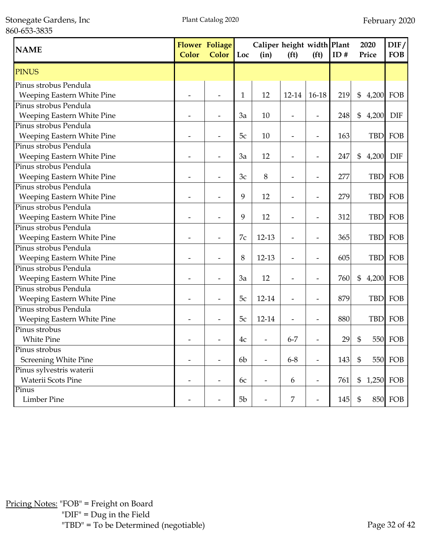Stonegate Gardens, Inc 860-653-3835

| <b>NAME</b>                | <b>Color</b>   | <b>Flower Foliage</b><br>Color | Loc | Caliper height width Plant<br>(in) | (f <sup>t</sup> )        | (f <sup>t</sup> )        | ID# | 2020<br>Price              |            | DIF/<br><b>FOB</b> |
|----------------------------|----------------|--------------------------------|-----|------------------------------------|--------------------------|--------------------------|-----|----------------------------|------------|--------------------|
| <b>PINUS</b>               |                |                                |     |                                    |                          |                          |     |                            |            |                    |
| Pinus strobus Pendula      |                |                                |     |                                    |                          |                          |     |                            |            |                    |
| Weeping Eastern White Pine |                |                                | 1   | 12                                 | 12-14                    | $16-18$                  | 219 | $\boldsymbol{\mathsf{\$}}$ | 4,200      | FOB                |
| Pinus strobus Pendula      |                |                                |     |                                    |                          |                          |     |                            |            |                    |
| Weeping Eastern White Pine |                |                                | 3a  | 10                                 |                          | $\overline{a}$           | 248 | $\frac{6}{5}$              | 4,200      | <b>DIF</b>         |
| Pinus strobus Pendula      |                |                                |     |                                    |                          |                          |     |                            |            |                    |
| Weeping Eastern White Pine |                |                                | 5c  | 10                                 | $\overline{\phantom{a}}$ | $\overline{\phantom{a}}$ | 163 |                            | <b>TBD</b> | FOB                |
| Pinus strobus Pendula      |                |                                |     |                                    |                          |                          |     |                            |            |                    |
| Weeping Eastern White Pine |                |                                | 3a  | 12                                 | $\overline{\phantom{0}}$ | $\overline{a}$           | 247 | \$                         | 4,200      | <b>DIF</b>         |
| Pinus strobus Pendula      |                |                                |     |                                    |                          |                          |     |                            |            |                    |
| Weeping Eastern White Pine |                |                                | 3c  | 8                                  | $\overline{\phantom{0}}$ | $\overline{\phantom{a}}$ | 277 |                            | <b>TBD</b> | FOB                |
| Pinus strobus Pendula      |                |                                |     |                                    |                          |                          |     |                            |            |                    |
| Weeping Eastern White Pine |                |                                | 9   | 12                                 | $\overline{\phantom{0}}$ | $\overline{\phantom{0}}$ | 279 |                            | <b>TBD</b> | FOB                |
| Pinus strobus Pendula      |                |                                |     |                                    |                          |                          |     |                            |            |                    |
| Weeping Eastern White Pine |                |                                | 9   | 12                                 |                          | $\overline{\phantom{0}}$ | 312 |                            | <b>TBD</b> | FOB                |
| Pinus strobus Pendula      |                |                                |     |                                    |                          |                          |     |                            |            |                    |
| Weeping Eastern White Pine |                |                                | 7c  | $12 - 13$                          |                          |                          | 365 |                            | <b>TBD</b> | FOB                |
| Pinus strobus Pendula      |                |                                |     |                                    |                          |                          |     |                            |            |                    |
| Weeping Eastern White Pine |                |                                | 8   | $12 - 13$                          |                          |                          | 605 |                            |            | TBD FOB            |
| Pinus strobus Pendula      |                |                                |     |                                    |                          |                          |     |                            |            |                    |
| Weeping Eastern White Pine |                |                                | 3a  | 12                                 |                          |                          | 760 | \$                         |            | 4,200 FOB          |
| Pinus strobus Pendula      |                |                                |     |                                    |                          |                          |     |                            |            |                    |
| Weeping Eastern White Pine |                |                                | 5c  | 12-14                              |                          |                          | 879 |                            | <b>TBD</b> | FOB                |
| Pinus strobus Pendula      |                |                                |     |                                    |                          |                          |     |                            |            |                    |
| Weeping Eastern White Pine |                |                                | 5c  | 12-14                              |                          |                          | 880 |                            | <b>TBD</b> | FOB                |
| Pinus strobus              |                |                                |     |                                    |                          |                          |     |                            |            |                    |
| <b>White Pine</b>          |                |                                | 4c  |                                    | $6 - 7$                  |                          | 29  | \$                         |            | <b>550 FOB</b>     |
| Pinus strobus              |                |                                |     |                                    |                          |                          |     |                            |            |                    |
| Screening White Pine       |                |                                | 6b  | $\overline{\phantom{a}}$           | $6 - 8$                  | $\overline{\phantom{m}}$ | 143 | $\mathbb{S}$               |            | <b>550 FOB</b>     |
| Pinus sylvestris waterii   |                |                                |     |                                    |                          |                          |     |                            |            |                    |
| <b>Waterii Scots Pine</b>  | $\overline{a}$ |                                | 6c  | $\overline{\phantom{a}}$           | 6                        | $\frac{1}{2}$            | 761 | \$                         |            | 1,250 FOB          |
| Pinus                      |                |                                |     |                                    |                          |                          |     |                            |            |                    |
| <b>Limber Pine</b>         |                |                                | 5b  | $\overline{\phantom{a}}$           | 7                        |                          | 145 | $\boldsymbol{\mathsf{\$}}$ |            | <b>850 FOB</b>     |

Pricing Notes: "FOB" = Freight on Board "DIF" = Dug in the Field "TBD" = To be Determined (negotiable) Page 32 of 42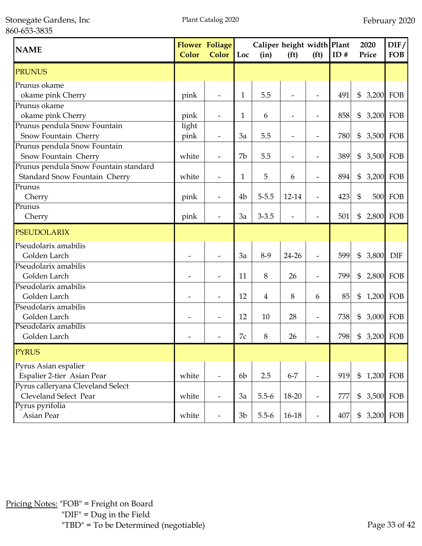Stonegate Gardens, Inc 860-653-3835

| <b>NAME</b>                                                            | <b>Color</b>  | <b>Flower Foliage</b><br>Color | Loc            | Caliper height width Plant<br>(in) | (f <sup>t</sup> )        | (f <sup>t</sup> )        | ID# | 2020<br>Price  | DIF/<br><b>FOB</b> |
|------------------------------------------------------------------------|---------------|--------------------------------|----------------|------------------------------------|--------------------------|--------------------------|-----|----------------|--------------------|
| <b>PRUNUS</b>                                                          |               |                                |                |                                    |                          |                          |     |                |                    |
| Prunus okame<br>okame pink Cherry                                      | pink          |                                | 1              | 5.5                                |                          |                          | 491 | $\$\$<br>3,200 | FOB                |
| Prunus okame<br>okame pink Cherry                                      | pink          | $\overline{\phantom{a}}$       | 1              | 6                                  | $\overline{\phantom{a}}$ | $\overline{\phantom{0}}$ | 858 | \$             | 3,200 FOB          |
| Prunus pendula Snow Fountain<br>Snow Fountain Cherry                   | light<br>pink | $\overline{\phantom{a}}$       | 3a             | 5.5                                | $\overline{\phantom{a}}$ | $\overline{\phantom{0}}$ | 780 | $\$\$<br>3,500 | FOB                |
| Prunus pendula Snow Fountain<br>Snow Fountain Cherry                   | white         | $\overline{\phantom{a}}$       | 7b             | 5.5                                | $\overline{\phantom{a}}$ | $\overline{\phantom{a}}$ | 389 | \$             | 3,500 FOB          |
| Prunus pendula Snow Fountain standard<br>Standard Snow Fountain Cherry | white         | $\overline{\phantom{a}}$       | $\mathbf{1}$   | 5                                  | 6                        | $\overline{\phantom{a}}$ | 894 | \$             | 3,200 FOB          |
| Prunus<br>Cherry                                                       | pink          |                                | 4 <sub>b</sub> | $5 - 5.5$                          | 12-14                    | $\overline{\phantom{a}}$ | 423 | $\mathfrak{S}$ | <b>500 FOB</b>     |
| Prunus<br>Cherry                                                       | pink          |                                | 3a             | $3 - 3.5$                          |                          |                          | 501 | \$             | 2,800 FOB          |
| <b>PSEUDOLARIX</b>                                                     |               |                                |                |                                    |                          |                          |     |                |                    |
| Pseudolarix amabilis<br>Golden Larch                                   |               |                                | 3a             | $8-9$                              | 24-26                    | $\overline{\phantom{0}}$ | 599 | $\$\$<br>3,800 | <b>DIF</b>         |
| Pseudolarix amabilis<br>Golden Larch                                   |               |                                | 11             | 8                                  | 26                       | $\overline{\phantom{a}}$ | 799 | $\$\$<br>2,800 | FOB                |
| Pseudolarix amabilis<br>Golden Larch                                   |               |                                | 12             | 4                                  | 8                        | 6                        | 85  | \$             | 1,200 FOB          |
| Pseudolarix amabilis<br>Golden Larch                                   |               |                                | 12             | 10                                 | 28                       | $\overline{\phantom{a}}$ | 738 | \$             | 3,000 FOB          |
| Pseudolarix amabilis<br>Golden Larch                                   |               |                                | 7c             | 8                                  | 26                       |                          | 798 | \$             | 3,200 FOB          |
| <b>PYRUS</b>                                                           |               |                                |                |                                    |                          |                          |     |                |                    |
| Pyrus Asian espalier<br>Espalier 2-tier Asian Pear                     | white         |                                | 6 <sub>b</sub> | 2.5                                | $6 - 7$                  | $\overline{\phantom{a}}$ | 919 | \$ 1,200 FOB   |                    |
| Pyrus calleryana Cleveland Select<br>Cleveland Select Pear             | white         | $\overline{\phantom{a}}$       | 3a             | $5.5 - 6$                          | 18-20                    | $\overline{\phantom{a}}$ | 777 | $\mathfrak{S}$ | 3,500 FOB          |
| Pyrus pyrifolia<br>Asian Pear                                          | white         |                                | 3 <sub>b</sub> | $5.5 - 6$                          | 16-18                    | $\overline{\phantom{a}}$ | 407 | $\mathfrak{S}$ | 3,200 FOB          |

Pricing Notes: "FOB" = Freight on Board "DIF" = Dug in the Field "TBD" = To be Determined (negotiable) Page 33 of 42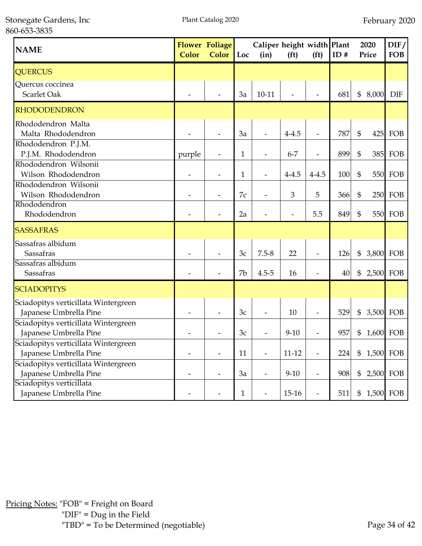Stonegate Gardens, Inc 860-653-3835

| <b>NAME</b>                                                    | <b>Color</b> | <b>Flower Foliage</b><br><b>Color</b> | Loc | Caliper height width Plant<br>(in) | (f <sup>t</sup> ) | (f <sup>t</sup> )        | ID# |                | 2020<br>Price | DIF/<br><b>FOB</b> |
|----------------------------------------------------------------|--------------|---------------------------------------|-----|------------------------------------|-------------------|--------------------------|-----|----------------|---------------|--------------------|
| <b>QUERCUS</b>                                                 |              |                                       |     |                                    |                   |                          |     |                |               |                    |
| Quercus coccinea<br>Scarlet Oak                                |              |                                       | 3a  | $10 - 11$                          |                   |                          | 681 | \$             | 8,000         | <b>DIF</b>         |
| <b>RHODODENDRON</b>                                            |              |                                       |     |                                    |                   |                          |     |                |               |                    |
| Rhododendron Malta<br>Malta Rhododendron                       |              |                                       | 3a  |                                    | $4 - 4.5$         |                          | 787 | \$             |               | 425 FOB            |
| Rhododendron P.J.M.<br>P.J.M. Rhododendron                     | purple       |                                       | 1   |                                    | $6 - 7$           | $\overline{\phantom{0}}$ | 899 | $\mathfrak{S}$ |               | 385 FOB            |
| Rhododendron Wilsonii<br>Wilson Rhododendron                   |              |                                       | 1   |                                    | $4 - 4.5$         | $4 - 4.5$                | 100 | \$             |               | <b>550 FOB</b>     |
| Rhododendron Wilsonii<br>Wilson Rhododendron                   |              |                                       | 7c  |                                    | 3                 | 5                        | 366 | $\mathfrak{S}$ |               | <b>250 FOB</b>     |
| Rhododendron<br>Rhododendron                                   |              |                                       | 2a  |                                    |                   | 5.5                      | 849 | $\mathfrak{S}$ |               | <b>550 FOB</b>     |
| <b>SASSAFRAS</b>                                               |              |                                       |     |                                    |                   |                          |     |                |               |                    |
| Sassafras albidum<br>Sassafras<br>Sassafras albidum            |              |                                       | 3c  | $7.5 - 8$                          | 22                |                          | 126 | \$             | 3,800 FOB     |                    |
| Sassafras                                                      |              |                                       | 7b  | $4.5 - 5$                          | 16                |                          | 40  | \$             | 2,500 FOB     |                    |
| <b>SCIADOPITYS</b>                                             |              |                                       |     |                                    |                   |                          |     |                |               |                    |
| Sciadopitys verticillata Wintergreen<br>Japanese Umbrella Pine |              |                                       | 3c  |                                    | 10                |                          | 529 | \$             | 3,500 FOB     |                    |
| Sciadopitys verticillata Wintergreen<br>Japanese Umbrella Pine |              |                                       | 3c  |                                    | $9 - 10$          |                          | 957 | \$             | 1,600         | FOB                |
| Sciadopitys verticillata Wintergreen<br>Japanese Umbrella Pine |              |                                       | 11  |                                    | $11 - 12$         |                          | 224 | $\mathfrak{S}$ |               | 1,500 FOB          |
| Sciadopitys verticillata Wintergreen<br>Japanese Umbrella Pine |              |                                       | 3a  |                                    | $9 - 10$          | $\overline{\phantom{0}}$ | 908 | $\$\$          |               | 2,500 FOB          |
| Sciadopitys verticillata<br>Japanese Umbrella Pine             |              |                                       | 1   | $\overline{\phantom{a}}$           | $15-16$           |                          | 511 | $\mathfrak{S}$ | 1,500 FOB     |                    |

Pricing Notes: "FOB" = Freight on Board "DIF" = Dug in the Field "TBD" = To be Determined (negotiable) Page 34 of 42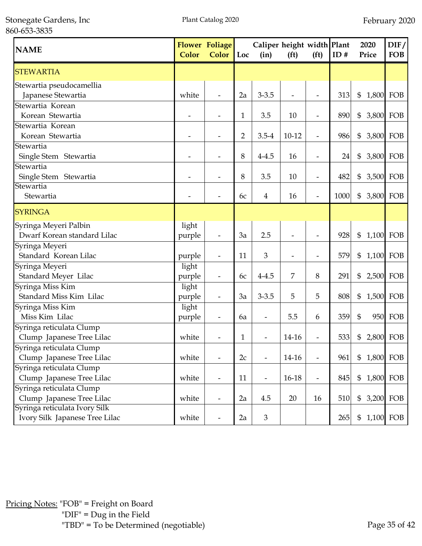Stonegate Gardens, Inc 860-653-3835

| <b>NAME</b>                                                     | <b>Color</b>    | <b>Flower Foliage</b><br><b>Color</b> | Loc | Caliper height width Plant<br>(in) | (f <sup>t</sup> ) | (f <sup>t</sup> )        | ID#  | 2020<br>Price               | DIF/<br><b>FOB</b> |
|-----------------------------------------------------------------|-----------------|---------------------------------------|-----|------------------------------------|-------------------|--------------------------|------|-----------------------------|--------------------|
| <b>STEWARTIA</b>                                                |                 |                                       |     |                                    |                   |                          |      |                             |                    |
| Stewartia pseudocamellia<br>Japanese Stewartia                  | white           |                                       | 2a  | $3 - 3.5$                          |                   |                          | 313  | $\$\$                       | 1,800 FOB          |
| Stewartia Korean<br>Korean Stewartia                            |                 |                                       | 1   | 3.5                                | 10                | $\overline{\phantom{a}}$ | 890  | \$                          | 3,800 FOB          |
| Stewartia Korean<br>Korean Stewartia                            |                 |                                       | 2   | $3.5 - 4$                          | $10 - 12$         | $\overline{a}$           | 986  | \$<br>3,800                 | FOB                |
| Stewartia<br>Single Stem Stewartia                              |                 |                                       | 8   | $4 - 4.5$                          | 16                | $\overline{\phantom{a}}$ | 24   | \$                          | 3,800 FOB          |
| Stewartia<br>Single Stem Stewartia                              |                 |                                       | 8   | 3.5                                | 10                | $\overline{\phantom{a}}$ | 482  | \$                          | 3,500 FOB          |
| Stewartia<br>Stewartia                                          |                 |                                       | 6c  | 4                                  | 16                |                          | 1000 | \$                          | 3,800 FOB          |
| <b>SYRINGA</b>                                                  |                 |                                       |     |                                    |                   |                          |      |                             |                    |
| Syringa Meyeri Palbin<br>Dwarf Korean standard Lilac            | light<br>purple |                                       | 3a  | 2.5                                |                   |                          | 928  | $\$\$                       | 1,100 FOB          |
| Syringa Meyeri<br>Standard Korean Lilac                         | purple          | $\overline{\phantom{a}}$              | 11  | 3                                  |                   | ÷                        | 579  | $\mathfrak{S}$<br>1,100 FOB |                    |
| Syringa Meyeri<br>Standard Meyer Lilac                          | light<br>purple | $\overline{\phantom{a}}$              | 6c  | $4 - 4.5$                          | 7                 | 8                        | 291  | \$                          | 2,500 FOB          |
| Syringa Miss Kim<br>Standard Miss Kim Lilac                     | light<br>purple | $\overline{\phantom{a}}$              | 3a  | $3 - 3.5$                          | 5                 | 5                        | 808  | $\$\$                       | 1,500 FOB          |
| Syringa Miss Kim<br>Miss Kim Lilac                              | light<br>purple | $\overline{\phantom{a}}$              | 6a  | $\overline{a}$                     | 5.5               | 6                        | 359  | \$                          | 950 FOB            |
| Syringa reticulata Clump<br>Clump Japanese Tree Lilac           | white           |                                       | 1   |                                    | 14-16             |                          | 533  | \$                          | 2,800 FOB          |
| Syringa reticulata Clump<br>Clump Japanese Tree Lilac           | white           | $\overline{\phantom{a}}$              | 2c  |                                    | 14-16             | $\overline{\phantom{m}}$ | 961  | $\$\$                       | 1,800 FOB          |
| Syringa reticulata Clump<br>Clump Japanese Tree Lilac           | white           | $\overline{\phantom{a}}$              | 11  | $\overline{\phantom{0}}$           | 16-18             | $\overline{\phantom{a}}$ | 845  | $\$\$                       | 1,800 FOB          |
| Syringa reticulata Clump<br>Clump Japanese Tree Lilac           | white           | $\overline{\phantom{a}}$              | 2a  | 4.5                                | 20                | 16                       | 510  | \$                          | 3,200 FOB          |
| Syringa reticulata Ivory Silk<br>Ivory Silk Japanese Tree Lilac | white           | $\overline{\phantom{a}}$              | 2a  | 3                                  |                   |                          | 265  | $\mathfrak{S}$              | 1,100 FOB          |

Pricing Notes: "FOB" = Freight on Board "DIF" = Dug in the Field "TBD" = To be Determined (negotiable) Page 35 of 42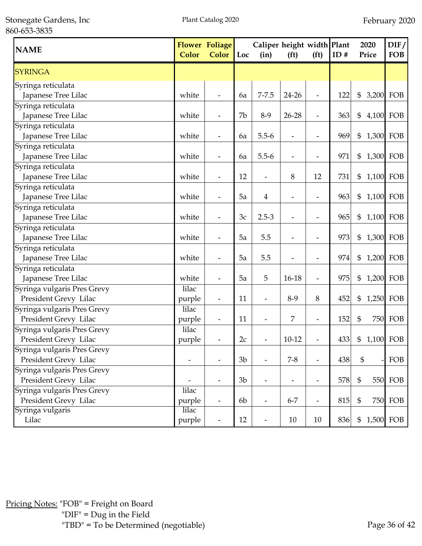Stonegate Gardens, Inc 860-653-3835

| <b>NAME</b>                                          | Color           | <b>Flower Foliage</b><br><b>Color</b> | Loc            | Caliper height width Plant<br>(in) | (f <sup>t</sup> )        | (f <sup>t</sup> )        | ID# | 2020<br>Price             | DIF/<br><b>FOB</b> |
|------------------------------------------------------|-----------------|---------------------------------------|----------------|------------------------------------|--------------------------|--------------------------|-----|---------------------------|--------------------|
| <b>SYRINGA</b>                                       |                 |                                       |                |                                    |                          |                          |     |                           |                    |
| Syringa reticulata<br>Japanese Tree Lilac            | white           |                                       | 6a             | $7 - 7.5$                          | 24-26                    | $\overline{a}$           | 122 | \$<br>3,200               | FOB                |
| Syringa reticulata<br>Japanese Tree Lilac            | white           | $\overline{\phantom{a}}$              | 7b             | $8-9$                              | $26 - 28$                | $\overline{\phantom{m}}$ | 363 | 4,100 FOB<br>\$           |                    |
| Syringa reticulata<br>Japanese Tree Lilac            | white           |                                       | 6a             | $5.5 - 6$                          |                          | $\overline{\phantom{0}}$ | 969 | \$<br>1,300 FOB           |                    |
| Syringa reticulata<br>Japanese Tree Lilac            | white           |                                       | 6a             | $5.5 - 6$                          |                          | $\overline{\phantom{a}}$ | 971 | \$<br>1,300 FOB           |                    |
| Syringa reticulata                                   |                 |                                       | 12             |                                    |                          | 12                       |     |                           |                    |
| Japanese Tree Lilac<br>Syringa reticulata            | white           |                                       |                |                                    | 8                        |                          | 731 | 1,100 FOB<br>\$           |                    |
| Japanese Tree Lilac<br>Syringa reticulata            | white           |                                       | 5a             | $\overline{4}$                     |                          |                          | 963 | \$<br>1,100 FOB           |                    |
| Japanese Tree Lilac<br>Syringa reticulata            | white           |                                       | 3c             | $2.5 - 3$                          |                          |                          | 965 | \$<br>1,100 FOB           |                    |
| Japanese Tree Lilac<br>Syringa reticulata            | white           |                                       | 5a             | 5.5                                |                          |                          | 973 | \$<br>1,300 FOB           |                    |
| Japanese Tree Lilac<br>Syringa reticulata            | white           |                                       | 5a             | 5.5                                |                          |                          | 974 | 1,200 FOB<br>\$           |                    |
| Japanese Tree Lilac                                  | white           |                                       | 5a             | 5                                  | $16 - 18$                | $\overline{a}$           | 975 | \$<br>1,200 FOB           |                    |
| Syringa vulgaris Pres Grevy<br>President Grevy Lilac | lilac<br>purple | $\overline{\phantom{a}}$              | 11             | $\overline{\phantom{a}}$           | $8-9$                    | 8                        | 452 | 1,250 FOB<br>\$           |                    |
| Syringa vulgaris Pres Grevy<br>President Grevy Lilac | lilac<br>purple | $\overline{\phantom{a}}$              | 11             | $\overline{\phantom{a}}$           | 7                        | $\overline{\phantom{a}}$ | 152 | \$                        | 750 FOB            |
| Syringa vulgaris Pres Grevy<br>President Grevy Lilac | lilac<br>purple | $\overline{\phantom{a}}$              | 2c             | $\overline{\phantom{0}}$           | $10-12$                  | $\overline{\phantom{m}}$ | 433 | \$<br>1,100 FOB           |                    |
| Syringa vulgaris Pres Grevy<br>President Grevy Lilac |                 |                                       | 3 <sub>b</sub> |                                    | $7 - 8$                  | $\overline{\phantom{a}}$ | 438 | $\mathbb{S}$              | FOB                |
| Syringa vulgaris Pres Grevy<br>President Grevy Lilac |                 |                                       | 3 <sub>b</sub> | $\overline{\phantom{0}}$           | $\overline{\phantom{a}}$ | $\overline{\phantom{a}}$ | 578 | $\boldsymbol{\mathsf{S}}$ | <b>550 FOB</b>     |
| Syringa vulgaris Pres Grevy<br>President Grevy Lilac | lilac<br>purple | $\overline{\phantom{a}}$              | 6b             | $\overline{\phantom{a}}$           | $6 - 7$                  | $\overline{\phantom{a}}$ | 815 | $\mathfrak{S}$            | 750 FOB            |
| Syringa vulgaris<br>Lilac                            | lilac<br>purple |                                       | 12             | $\overline{\phantom{a}}$           | 10                       | 10                       | 836 | \$                        | 1,500 FOB          |

Pricing Notes: "FOB" = Freight on Board "DIF" = Dug in the Field "TBD" = To be Determined (negotiable) Page 36 of 42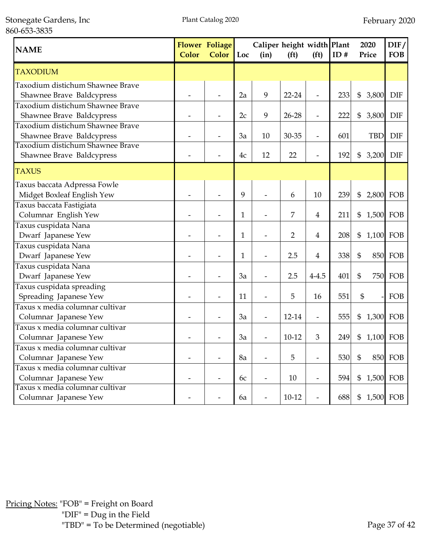Stonegate Gardens, Inc 860-653-3835

| <b>NAME</b>                                                   | <b>Color</b> | <b>Flower Foliage</b><br><b>Color</b><br>Loc<br>(in) |    | Caliper height width Plant<br>(f <sup>t</sup> )<br>(f <sup>t</sup> ) |                | ID#                      | 2020<br>Price | DIF/<br><b>FOB</b>      |                |
|---------------------------------------------------------------|--------------|------------------------------------------------------|----|----------------------------------------------------------------------|----------------|--------------------------|---------------|-------------------------|----------------|
| <b>TAXODIUM</b>                                               |              |                                                      |    |                                                                      |                |                          |               |                         |                |
| Taxodium distichum Shawnee Brave<br>Shawnee Brave Baldcypress |              |                                                      | 2a | 9                                                                    | 22-24          | $\overline{a}$           | 233           | \$<br>3,800             | <b>DIF</b>     |
| Taxodium distichum Shawnee Brave<br>Shawnee Brave Baldcypress |              |                                                      | 2c | 9                                                                    | $26 - 28$      | $\overline{\phantom{m}}$ | 222           | \$<br>3,800             | <b>DIF</b>     |
| Taxodium distichum Shawnee Brave<br>Shawnee Brave Baldcypress |              |                                                      | 3a | 10                                                                   | 30-35          | $\overline{\phantom{0}}$ | 601           | <b>TBD</b>              | <b>DIF</b>     |
| Taxodium distichum Shawnee Brave<br>Shawnee Brave Baldcypress |              |                                                      | 4c | 12                                                                   | 22             |                          | 192           | $\mathfrak{S}$<br>3,200 | <b>DIF</b>     |
| <b>TAXUS</b>                                                  |              |                                                      |    |                                                                      |                |                          |               |                         |                |
| Taxus baccata Adpressa Fowle<br>Midget Boxleaf English Yew    |              |                                                      | 9  |                                                                      | 6              | 10                       | 239           | \$<br>2,800             | FOB            |
| Taxus baccata Fastigiata<br>Columnar English Yew              |              |                                                      | 1  |                                                                      | 7              | $\overline{\mathbf{4}}$  | 211           | \$<br>1,500 FOB         |                |
| Taxus cuspidata Nana<br>Dwarf Japanese Yew                    |              |                                                      | 1  |                                                                      | $\overline{2}$ | 4                        | 208           | \$<br>1,100             | FOB            |
| Taxus cuspidata Nana<br>Dwarf Japanese Yew                    |              |                                                      | 1  |                                                                      | 2.5            | 4                        | 338           | $\mathfrak{S}$          | <b>850 FOB</b> |
| Taxus cuspidata Nana<br>Dwarf Japanese Yew                    |              |                                                      | 3a |                                                                      | 2.5            | $4 - 4.5$                | 401           | \$<br>750               | FOB            |
| Taxus cuspidata spreading<br>Spreading Japanese Yew           |              |                                                      | 11 |                                                                      | 5              | 16                       | 551           | $\mathfrak{S}$          | FOB            |
| Taxus x media columnar cultivar<br>Columnar Japanese Yew      |              |                                                      | 3a |                                                                      | 12-14          | $\overline{\phantom{a}}$ | 555           | \$<br>1,300 FOB         |                |
| Taxus x media columnar cultivar<br>Columnar Japanese Yew      |              |                                                      | 3a |                                                                      | $10 - 12$      | 3                        | 249           | \$<br>1,100 FOB         |                |
| Taxus x media columnar cultivar<br>Columnar Japanese Yew      |              |                                                      | 8a |                                                                      | 5              |                          | 530           | $\mathbb{S}$            | 850 FOB        |
| Taxus x media columnar cultivar<br>Columnar Japanese Yew      |              |                                                      | 6c |                                                                      | 10             | $\overline{a}$           | 594           | $\$\$<br>1,500 FOB      |                |
| Taxus x media columnar cultivar<br>Columnar Japanese Yew      |              |                                                      | 6a |                                                                      | $10-12$        | $\overline{\phantom{m}}$ | 688           | $\$\$<br>1,500 FOB      |                |

Pricing Notes: "FOB" = Freight on Board "DIF" = Dug in the Field "TBD" = To be Determined (negotiable) Page 37 of 42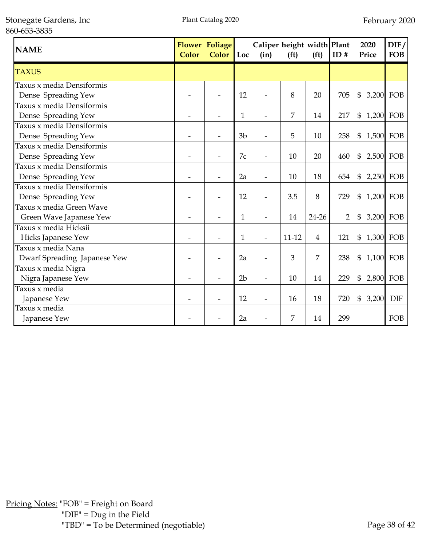Stonegate Gardens, Inc 860-653-3835

| <b>NAME</b>                  | <b>Flower Foliage</b><br><b>Color</b><br><b>Color</b> |                | Caliper height width Plant<br>Loc<br>(in) |  | (f <sup>t</sup> ) | (f <sub>t</sub> ) | ID#            | 2020<br>Price               | DIF/<br><b>FOB</b> |
|------------------------------|-------------------------------------------------------|----------------|-------------------------------------------|--|-------------------|-------------------|----------------|-----------------------------|--------------------|
| <b>TAXUS</b>                 |                                                       |                |                                           |  |                   |                   |                |                             |                    |
| Taxus x media Densiformis    |                                                       |                |                                           |  |                   |                   |                |                             |                    |
| Dense Spreading Yew          |                                                       |                | 12                                        |  | 8                 | 20                | 705            | 3,200 FOB<br>$\mathfrak{S}$ |                    |
| Taxus x media Densiformis    |                                                       |                |                                           |  |                   |                   |                |                             |                    |
| Dense Spreading Yew          |                                                       |                | 1                                         |  | 7                 | 14                | 217            | \$<br>1,200 FOB             |                    |
| Taxus x media Densiformis    |                                                       |                |                                           |  |                   |                   |                |                             |                    |
| Dense Spreading Yew          |                                                       |                | 3 <sub>b</sub>                            |  | 5                 | 10                | 258            | \$<br>1,500 FOB             |                    |
| Taxus x media Densiformis    |                                                       |                |                                           |  |                   |                   |                |                             |                    |
| Dense Spreading Yew          |                                                       | $\overline{a}$ | 7c                                        |  | 10                | 20                | 460            | \$<br>2,500 FOB             |                    |
| Taxus x media Densiformis    |                                                       |                |                                           |  |                   |                   |                |                             |                    |
| Dense Spreading Yew          |                                                       |                | 2a                                        |  | 10                | 18                | 654            | \$<br>$2,250$ FOB           |                    |
| Taxus x media Densiformis    |                                                       |                |                                           |  |                   |                   |                |                             |                    |
| Dense Spreading Yew          |                                                       |                | 12                                        |  | 3.5               | 8                 | 729            | 1,200 FOB<br>\$             |                    |
| Taxus x media Green Wave     |                                                       |                |                                           |  |                   |                   |                |                             |                    |
| Green Wave Japanese Yew      |                                                       |                | 1                                         |  | 14                | 24-26             | $\overline{2}$ | \$<br>3,200 FOB             |                    |
| Taxus x media Hicksii        |                                                       |                |                                           |  |                   |                   |                |                             |                    |
| Hicks Japanese Yew           |                                                       |                | $\mathbf{1}$                              |  | $11 - 12$         | $\overline{4}$    | 121            | \$<br>1,300 FOB             |                    |
| Taxus x media Nana           |                                                       |                |                                           |  |                   |                   |                |                             |                    |
| Dwarf Spreading Japanese Yew |                                                       |                | 2a                                        |  | 3                 | 7                 | 238            | \$<br>1,100 FOB             |                    |
| Taxus x media Nigra          |                                                       |                |                                           |  |                   |                   |                |                             |                    |
| Nigra Japanese Yew           |                                                       |                | 2 <sub>b</sub>                            |  | 10                | 14                | 229            | \$<br>2,800 FOB             |                    |
| Taxus x media                |                                                       |                |                                           |  |                   |                   |                |                             |                    |
| Japanese Yew                 |                                                       |                | 12                                        |  | 16                | 18                | 720            | \$<br>3,200                 | <b>DIF</b>         |
| Taxus x media                |                                                       |                |                                           |  |                   |                   |                |                             |                    |
| Japanese Yew                 |                                                       |                | 2a                                        |  | 7                 | 14                | 299            |                             | FOB                |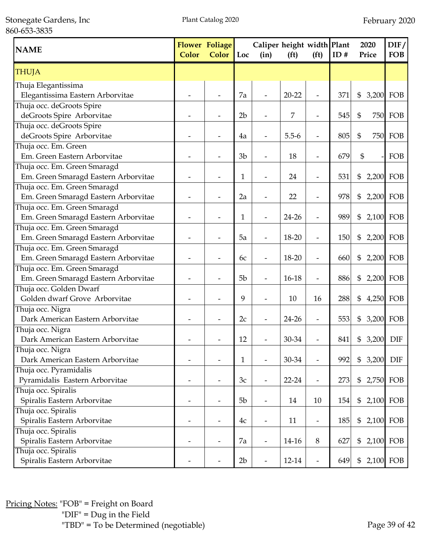Stonegate Gardens, Inc 860-653-3835

| <b>NAME</b>                          | Color | Flower Foliage<br>Color  | Loc            | Caliper height width Plant<br>(in) | (f <sup>t</sup> ) | (f <sup>t</sup> )            | ID# | 2020<br>Price   | DIF/<br><b>FOB</b> |
|--------------------------------------|-------|--------------------------|----------------|------------------------------------|-------------------|------------------------------|-----|-----------------|--------------------|
| <b>THUJA</b>                         |       |                          |                |                                    |                   |                              |     |                 |                    |
| Thuja Elegantissima                  |       |                          |                |                                    |                   |                              |     |                 |                    |
| Elegantissima Eastern Arborvitae     |       |                          | 7a             |                                    | $20 - 22$         |                              | 371 | \$<br>3,200     | FOB                |
| Thuja occ. deGroots Spire            |       |                          |                |                                    |                   |                              |     |                 |                    |
| deGroots Spire Arborvitae            |       |                          | 2 <sub>b</sub> |                                    | 7                 | $\overline{a}$               | 545 | \$              | <b>750 FOB</b>     |
| Thuja occ. deGroots Spire            |       |                          |                |                                    |                   |                              |     |                 |                    |
| deGroots Spire Arborvitae            |       |                          | 4a             | $\overline{\phantom{0}}$           | $5.5 - 6$         | $\overline{\phantom{a}}$     | 805 | \$<br>750       | FOB                |
| Thuja occ. Em. Green                 |       |                          |                |                                    |                   |                              |     |                 |                    |
| Em. Green Eastern Arborvitae         |       |                          | 3 <sub>b</sub> |                                    | 18                | $\overline{\phantom{a}}$     | 679 | \$              | FOB                |
| Thuja occ. Em. Green Smaragd         |       |                          |                |                                    |                   |                              |     |                 |                    |
| Em. Green Smaragd Eastern Arborvitae |       |                          | $\mathbf{1}$   | $\overline{\phantom{0}}$           | 24                | $\overline{\phantom{a}}$     | 531 | \$              | 2,200 FOB          |
| Thuja occ. Em. Green Smaragd         |       |                          |                |                                    |                   |                              |     |                 |                    |
| Em. Green Smaragd Eastern Arborvitae |       |                          | 2a             | $\overline{\phantom{0}}$           | 22                | $\overline{\phantom{a}}$     | 978 | \$              | 2,200 FOB          |
| Thuja occ. Em. Green Smaragd         |       |                          |                |                                    |                   |                              |     |                 |                    |
| Em. Green Smaragd Eastern Arborvitae |       |                          | $\mathbf{1}$   | $\overline{\phantom{0}}$           | 24-26             | $\overline{\phantom{m}}$     | 989 | \$              | 2,100 FOB          |
| Thuja occ. Em. Green Smaragd         |       |                          |                |                                    |                   |                              |     |                 |                    |
| Em. Green Smaragd Eastern Arborvitae |       |                          | 5a             |                                    | 18-20             |                              | 150 | \$              | 2,200 FOB          |
| Thuja occ. Em. Green Smaragd         |       |                          |                |                                    |                   |                              |     |                 |                    |
| Em. Green Smaragd Eastern Arborvitae |       |                          | 6c             |                                    | 18-20             |                              | 660 | \$              | 2,200 FOB          |
| Thuja occ. Em. Green Smaragd         |       |                          |                |                                    |                   |                              |     |                 |                    |
| Em. Green Smaragd Eastern Arborvitae |       |                          | 5 <sub>b</sub> |                                    | $16-18$           |                              | 886 | \$              | 2,200 FOB          |
| Thuja occ. Golden Dwarf              |       |                          |                |                                    |                   |                              |     |                 |                    |
| Golden dwarf Grove Arborvitae        |       |                          | 9              |                                    | 10                | 16                           | 288 | \$              | 4,250 FOB          |
| Thuja occ. Nigra                     |       |                          |                |                                    |                   |                              |     |                 |                    |
| Dark American Eastern Arborvitae     |       |                          | 2c             |                                    | 24-26             |                              | 553 | \$              | 3,200 FOB          |
| Thuja occ. Nigra                     |       |                          |                |                                    |                   |                              |     |                 |                    |
| Dark American Eastern Arborvitae     |       |                          | 12             |                                    | 30-34             |                              | 841 | \$<br>3,200 DIF |                    |
| Thuja occ. Nigra                     |       |                          |                |                                    |                   |                              |     |                 |                    |
| Dark American Eastern Arborvitae     |       |                          | 1              | $\qquad \qquad \blacksquare$       | 30-34             | $\overline{\phantom{m}}$     | 992 | \$<br>3,200     | DIF                |
| Thuja occ. Pyramidalis               |       |                          |                |                                    |                   |                              |     |                 |                    |
| Pyramidalis Eastern Arborvitae       |       |                          | 3c             | $\overline{\phantom{a}}$           | $22 - 24$         | $\overline{\phantom{m}}$     | 273 | \$              | 2,750 FOB          |
| Thuja occ. Spiralis                  |       |                          |                |                                    |                   |                              |     |                 |                    |
| Spiralis Eastern Arborvitae          | -     | $\overline{\phantom{0}}$ | 5 <sub>b</sub> | $\overline{\phantom{a}}$           | 14                | 10                           | 154 | \$              | 2,100 FOB          |
| Thuja occ. Spiralis                  |       |                          |                |                                    |                   |                              |     |                 |                    |
| Spiralis Eastern Arborvitae          |       |                          | 4c             | $\overline{\phantom{a}}$           | 11                | $\qquad \qquad \blacksquare$ | 185 | \$              | 2,100 FOB          |
| Thuja occ. Spiralis                  |       |                          |                |                                    |                   |                              |     |                 |                    |
| Spiralis Eastern Arborvitae          |       |                          | 7a             | $\overline{\phantom{a}}$           | 14-16             | 8                            | 627 | \$              | 2,100 FOB          |
| Thuja occ. Spiralis                  |       |                          |                |                                    |                   |                              |     |                 |                    |
| Spiralis Eastern Arborvitae          |       |                          | 2b             |                                    | 12-14             | $\overline{\phantom{a}}$     | 649 | \$              | 2,100 FOB          |

Pricing Notes: "FOB" = Freight on Board "DIF" = Dug in the Field "TBD" = To be Determined (negotiable) Page 39 of 42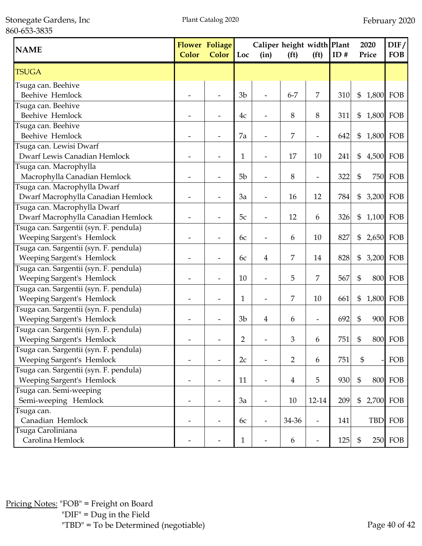Stonegate Gardens, Inc 860-653-3835

| <b>NAME</b>                            | <b>Color</b> | <b>Flower Foliage</b><br><b>Color</b> | Loc            | Caliper height width Plant<br>(in) | (f <sup>t</sup> ) | (f <sup>t</sup> )        | ID# | 2020<br>Price               | DIF/<br><b>FOB</b> |
|----------------------------------------|--------------|---------------------------------------|----------------|------------------------------------|-------------------|--------------------------|-----|-----------------------------|--------------------|
| <b>TSUGA</b>                           |              |                                       |                |                                    |                   |                          |     |                             |                    |
| Tsuga can. Beehive                     |              |                                       |                |                                    |                   |                          |     |                             |                    |
| Beehive Hemlock                        |              |                                       | 3 <sub>b</sub> | $\overline{a}$                     | $6 - 7$           | 7                        | 310 | $\mathfrak{S}$<br>1,800 FOB |                    |
| Tsuga can. Beehive                     |              |                                       |                |                                    |                   |                          |     |                             |                    |
| Beehive Hemlock                        |              |                                       | 4c             |                                    | 8                 | 8                        | 311 | \$<br>1,800 FOB             |                    |
| Tsuga can. Beehive                     |              |                                       |                |                                    |                   |                          |     |                             |                    |
| Beehive Hemlock                        |              |                                       | 7a             | $\overline{\phantom{a}}$           | 7                 | $\overline{\phantom{m}}$ | 642 | \$                          | 1,800 FOB          |
| Tsuga can. Lewisi Dwarf                |              |                                       |                |                                    |                   |                          |     |                             |                    |
| Dwarf Lewis Canadian Hemlock           |              |                                       | 1              |                                    | 17                | 10                       | 241 | \$                          | 4,500 FOB          |
| Tsuga can. Macrophylla                 |              |                                       |                |                                    |                   |                          |     |                             |                    |
| Macrophylla Canadian Hemlock           |              |                                       | 5 <sub>b</sub> |                                    | $\,8\,$           | $\overline{\phantom{a}}$ | 322 | \$                          | <b>750 FOB</b>     |
| Tsuga can. Macrophylla Dwarf           |              |                                       |                |                                    |                   |                          |     |                             |                    |
| Dwarf Macrophylla Canadian Hemlock     |              |                                       | 3a             |                                    | 16                | 12                       | 784 | \$<br>3,200 FOB             |                    |
| Tsuga can. Macrophylla Dwarf           |              |                                       |                |                                    |                   |                          |     |                             |                    |
| Dwarf Macrophylla Canadian Hemlock     |              |                                       | 5c             | $\overline{\phantom{a}}$           | 12                | 6                        | 326 | \$<br>1,100 FOB             |                    |
| Tsuga can. Sargentii (syn. F. pendula) |              |                                       |                |                                    |                   |                          |     |                             |                    |
| Weeping Sargent's Hemlock              |              |                                       | 6c             |                                    | 6                 | 10                       | 827 | \$                          | 2,650 FOB          |
| Tsuga can. Sargentii (syn. F. pendula) |              |                                       |                |                                    |                   |                          |     |                             |                    |
| Weeping Sargent's Hemlock              |              |                                       | 6c             | 4                                  | 7                 | 14                       | 828 | \$                          | 3,200 FOB          |
| Tsuga can. Sargentii (syn. F. pendula) |              |                                       |                |                                    |                   |                          |     |                             |                    |
| Weeping Sargent's Hemlock              |              |                                       | 10             |                                    | 5                 | 7                        | 567 | \$                          | <b>800 FOB</b>     |
| Tsuga can. Sargentii (syn. F. pendula) |              |                                       |                |                                    |                   |                          |     |                             |                    |
| Weeping Sargent's Hemlock              |              |                                       | $\mathbf{1}$   |                                    | 7                 | 10                       | 661 | \$                          | 1,800 FOB          |
| Tsuga can. Sargentii (syn. F. pendula) |              |                                       |                |                                    |                   |                          |     |                             |                    |
| Weeping Sargent's Hemlock              |              |                                       | 3 <sub>b</sub> | 4                                  | 6                 |                          | 692 | \$                          | 900 FOB            |
| Tsuga can. Sargentii (syn. F. pendula) |              |                                       |                |                                    |                   |                          |     |                             |                    |
| Weeping Sargent's Hemlock              |              |                                       | $\overline{2}$ |                                    | 3                 | 6                        | 751 | \$                          | <b>800 FOB</b>     |
| Tsuga can. Sargentii (syn. F. pendula) |              |                                       |                |                                    |                   |                          |     |                             |                    |
| Weeping Sargent's Hemlock              |              |                                       | 2c             |                                    | $\overline{2}$    | 6                        | 751 | $\mathbb{S}$                | FOB                |
| Tsuga can. Sargentii (syn. F. pendula) |              |                                       |                |                                    |                   |                          |     |                             |                    |
| Weeping Sargent's Hemlock              |              |                                       | 11             | $\overline{\phantom{a}}$           | $\overline{4}$    | 5                        | 930 | \$                          | <b>800 FOB</b>     |
| Tsuga can. Semi-weeping                |              |                                       |                |                                    |                   |                          |     |                             |                    |
| Semi-weeping Hemlock                   |              | $\overline{\phantom{a}}$              | 3a             | $\overline{\phantom{a}}$           | 10                | 12-14                    | 209 | \$                          | 2,700 FOB          |
| Tsuga can.                             |              |                                       |                |                                    |                   |                          |     |                             |                    |
| Canadian Hemlock                       |              |                                       | 6c             |                                    | 34-36             | $\overline{\phantom{a}}$ | 141 | <b>TBD</b>                  | FOB                |
| Tsuga Caroliniana                      |              |                                       |                |                                    |                   |                          |     |                             |                    |
| Carolina Hemlock                       |              |                                       | $\mathbf{1}$   |                                    | $\boldsymbol{6}$  |                          | 125 | $\mathfrak{S}$              | 250 FOB            |

Pricing Notes: "FOB" = Freight on Board "DIF" = Dug in the Field "TBD" = To be Determined (negotiable) Page 40 of 42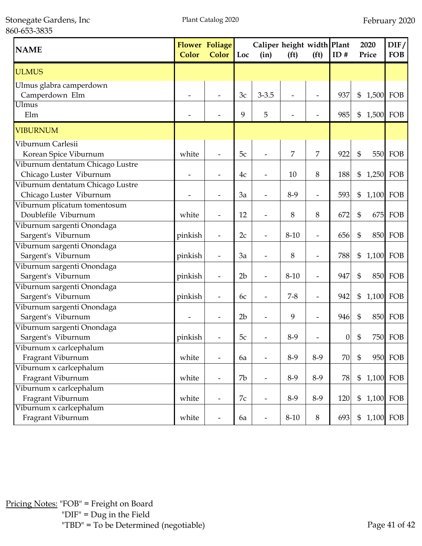Stonegate Gardens, Inc 860-653-3835

| <b>NAME</b>                                                 | <b>Color</b> | <b>Flower Foliage</b><br>Color | Loc            | Caliper height width Plant<br>(in) | (f <sup>t</sup> )        | (f <sup>t</sup> )        | ID#              |                            | 2020<br>Price | DIF/<br><b>FOB</b> |
|-------------------------------------------------------------|--------------|--------------------------------|----------------|------------------------------------|--------------------------|--------------------------|------------------|----------------------------|---------------|--------------------|
| <b>ULMUS</b>                                                |              |                                |                |                                    |                          |                          |                  |                            |               |                    |
| Ulmus glabra camperdown<br>Camperdown Elm                   |              |                                | 3c             | $3 - 3.5$                          |                          |                          | 937              | \$                         | 1,500 FOB     |                    |
| Ulmus<br>Elm                                                |              |                                | 9              | 5                                  | $\overline{\phantom{0}}$ |                          | 985              | $\$\$                      |               | 1,500 FOB          |
| <b>VIBURNUM</b>                                             |              |                                |                |                                    |                          |                          |                  |                            |               |                    |
| Viburnum Carlesii<br>Korean Spice Viburnum                  | white        |                                | 5c             |                                    | 7                        | 7                        | 922              | $\mathfrak{S}$             | 550           | FOB                |
| Viburnum dentatum Chicago Lustre<br>Chicago Luster Viburnum |              |                                | 4c             |                                    | 10                       | 8                        | 188              | \$                         | 1,250 FOB     |                    |
| Viburnum dentatum Chicago Lustre<br>Chicago Luster Viburnum |              |                                | 3a             |                                    | $8-9$                    | $\overline{a}$           | 593              | \$                         | 1,100         | FOB                |
| Viburnum plicatum tomentosum<br>Doublefile Viburnum         | white        | $\overline{\phantom{a}}$       | 12             | $\overline{\phantom{0}}$           | 8                        | 8                        | 672              | \$                         | 675           | FOB                |
| Viburnum sargenti Onondaga<br>Sargent's Viburnum            | pinkish      | $\overline{\phantom{a}}$       | 2c             | $\overline{\phantom{0}}$           | $8 - 10$                 | $\overline{a}$           | 656              | \$                         |               | <b>850 FOB</b>     |
| Viburnum sargenti Onondaga<br>Sargent's Viburnum            | pinkish      |                                | 3a             |                                    | 8                        | $\overline{\phantom{a}}$ | 788              | \$                         |               | 1,100 FOB          |
| Viburnum sargenti Onondaga<br>Sargent's Viburnum            | pinkish      | $\overline{\phantom{a}}$       | 2 <sub>b</sub> | $\overline{a}$                     | $8 - 10$                 | $\overline{\phantom{m}}$ | 947              | \$                         |               | 850 FOB            |
| Viburnum sargenti Onondaga<br>Sargent's Viburnum            | pinkish      | $\overline{\phantom{a}}$       | 6c             |                                    | $7 - 8$                  | $\overline{a}$           | 942              | \$                         |               | 1,100 FOB          |
| Viburnum sargenti Onondaga<br>Sargent's Viburnum            |              |                                | 2 <sub>b</sub> |                                    | 9                        |                          | 946              | $\mathfrak{S}$             |               | 850 FOB            |
| Viburnum sargenti Onondaga<br>Sargent's Viburnum            | pinkish      |                                | 5c             |                                    | $8-9$                    |                          | $\boldsymbol{0}$ | \$                         |               | <b>750 FOB</b>     |
| Viburnum x carlcephalum<br>Fragrant Viburnum                | white        | $\overline{\phantom{a}}$       | 6a             |                                    | 8-9                      | $8-9$                    | 70               | $\mathfrak{S}$             |               | 950 FOB            |
| Viburnum x carlcephalum<br>Fragrant Viburnum                | white        | $\overline{\phantom{a}}$       | 7b             | $\overline{\phantom{0}}$           | 8-9                      | 8-9                      | 78               | $\boldsymbol{\mathsf{\$}}$ |               | 1,100 FOB          |
| Viburnum x carlcephalum<br>Fragrant Viburnum                | white        |                                | 7c             | $\overline{a}$                     | 8-9                      | $8-9$                    | 120              | $\boldsymbol{\mathsf{\$}}$ |               | 1,100 FOB          |
| Viburnum x carlcephalum<br>Fragrant Viburnum                | white        |                                | 6a             | $\overline{\phantom{0}}$           | $8 - 10$                 | $8\,$                    | 693              | $\frac{6}{5}$              |               | 1,100 FOB          |

Pricing Notes: "FOB" = Freight on Board "DIF" = Dug in the Field "TBD" = To be Determined (negotiable) Page 41 of 42